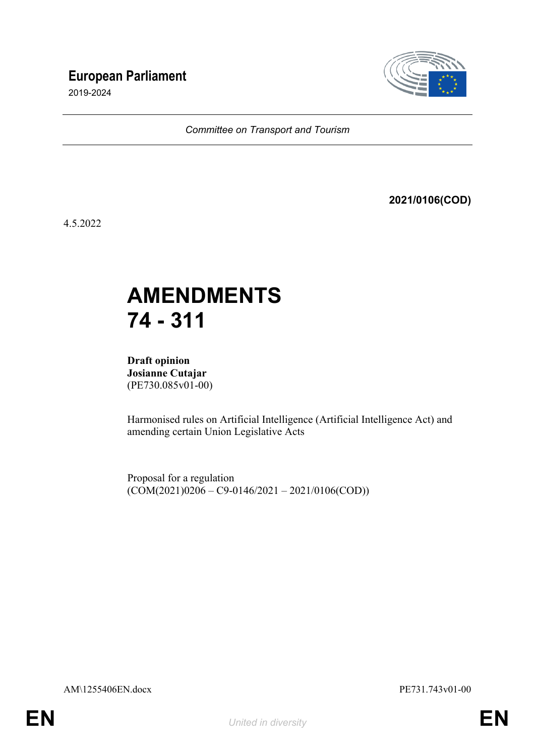## **European Parliament**

2019-2024



*Committee on Transport and Tourism*

**2021/0106(COD)**

4.5.2022

# **AMENDMENTS 74 - 311**

**Draft opinion Josianne Cutajar** (PE730.085v01-00)

Harmonised rules on Artificial Intelligence (Artificial Intelligence Act) and amending certain Union Legislative Acts

Proposal for a regulation  $(COM(2021)0206 - C9 - 0146/2021 - 2021/0106(COD))$ 

AM\1255406EN.docx PE731.743v01-00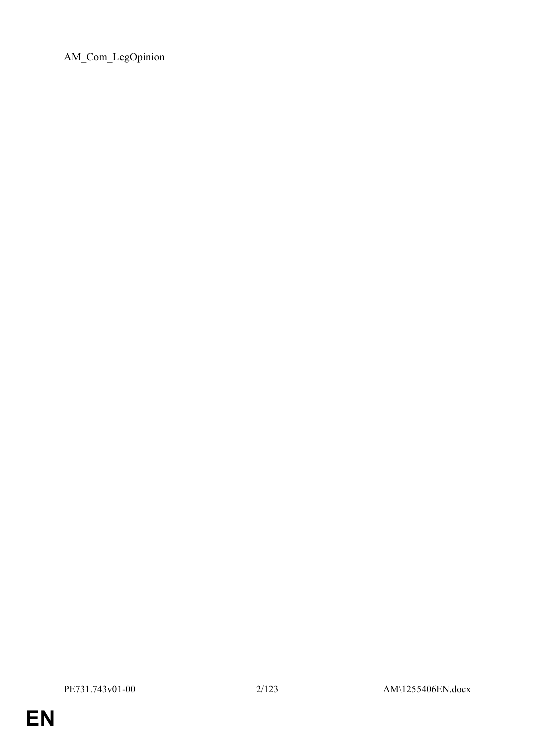AM\_Com\_LegOpinion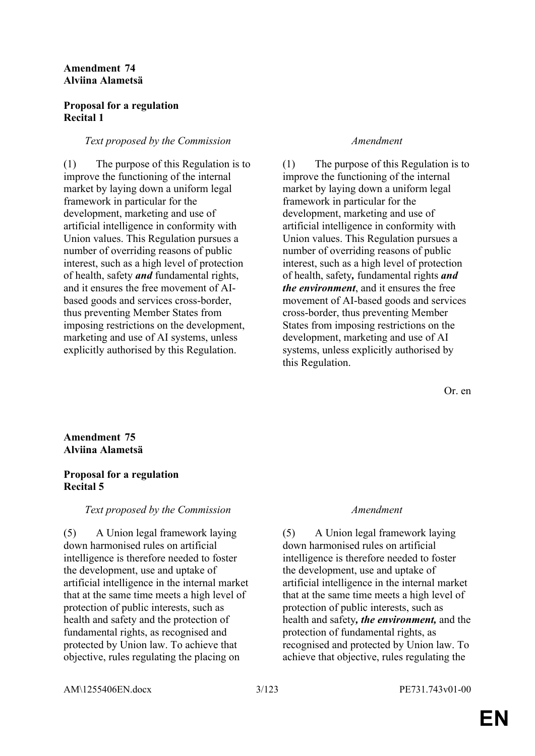#### **Amendment 74 Alviina Alametsä**

### **Proposal for a regulation Recital 1**

### *Text proposed by the Commission Amendment*

(1) The purpose of this Regulation is to improve the functioning of the internal market by laying down a uniform legal framework in particular for the development, marketing and use of artificial intelligence in conformity with Union values. This Regulation pursues a number of overriding reasons of public interest, such as a high level of protection of health, safety *and* fundamental rights, and it ensures the free movement of AIbased goods and services cross-border, thus preventing Member States from imposing restrictions on the development, marketing and use of AI systems, unless explicitly authorised by this Regulation.

(1) The purpose of this Regulation is to improve the functioning of the internal market by laying down a uniform legal framework in particular for the development, marketing and use of artificial intelligence in conformity with Union values. This Regulation pursues a number of overriding reasons of public interest, such as a high level of protection of health, safety*,* fundamental rights *and the environment*, and it ensures the free movement of AI-based goods and services cross-border, thus preventing Member States from imposing restrictions on the development, marketing and use of AI systems, unless explicitly authorised by this Regulation.

Or. en

### **Amendment 75 Alviina Alametsä**

### **Proposal for a regulation Recital 5**

### *Text proposed by the Commission Amendment*

(5) A Union legal framework laying down harmonised rules on artificial intelligence is therefore needed to foster the development, use and uptake of artificial intelligence in the internal market that at the same time meets a high level of protection of public interests, such as health and safety and the protection of fundamental rights, as recognised and protected by Union law. To achieve that objective, rules regulating the placing on

(5) A Union legal framework laying down harmonised rules on artificial intelligence is therefore needed to foster the development, use and uptake of artificial intelligence in the internal market that at the same time meets a high level of protection of public interests, such as health and safety*, the environment,* and the protection of fundamental rights, as recognised and protected by Union law. To achieve that objective, rules regulating the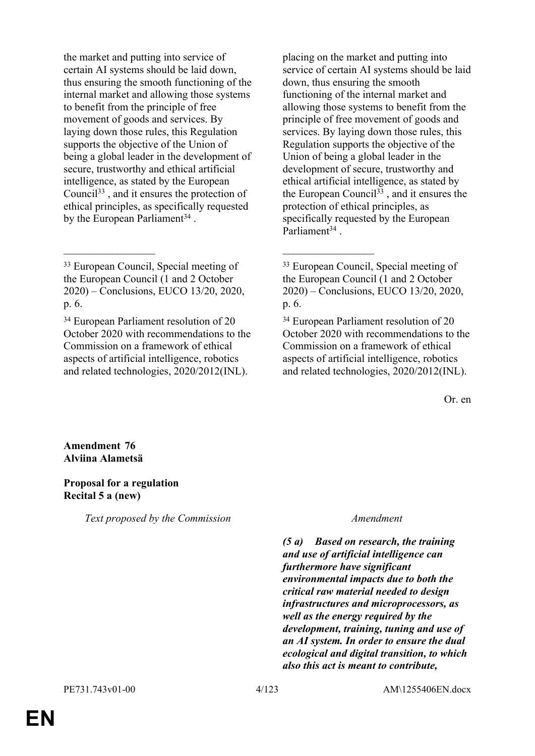the market and putting into service of certain AI systems should be laid down, thus ensuring the smooth functioning of the internal market and allowing those systems to benefit from the principle of free movement of goods and services. By laying down those rules, this Regulation supports the objective of the Union of being a global leader in the development of secure, trustworthy and ethical artificial intelligence, as stated by the European Council<sup>33</sup> , and it ensures the protection of ethical principles, as specifically requested by the European Parliament<sup>34</sup>.

\_\_\_\_\_\_\_\_\_\_\_\_\_\_\_\_\_ \_\_\_\_\_\_\_\_\_\_\_\_\_\_\_\_\_

placing on the market and putting into service of certain AI systems should be laid down, thus ensuring the smooth functioning of the internal market and allowing those systems to benefit from the principle of free movement of goods and services. By laying down those rules, this Regulation supports the objective of the Union of being a global leader in the development of secure, trustworthy and ethical artificial intelligence, as stated by the European Council<sup>33</sup>, and it ensures the protection of ethical principles, as specifically requested by the European Parliament<sup>34</sup>.

<sup>34</sup> European Parliament resolution of 20 October 2020 with recommendations to the Commission on a framework of ethical aspects of artificial intelligence, robotics and related technologies, 2020/2012(INL).

Or. en

**Amendment 76 Alviina Alametsä**

#### **Proposal for a regulation Recital 5 a (new)**

*Text proposed by the Commission Amendment*

*(5 a) Based on research, the training and use of artificial intelligence can furthermore have significant environmental impacts due to both the critical raw material needed to design infrastructures and microprocessors, as well as the energy required by the development, training, tuning and use of an AI system. In order to ensure the dual ecological and digital transition, to which also this act is meant to contribute,* 

<sup>33</sup> European Council, Special meeting of the European Council (1 and 2 October 2020) – Conclusions, EUCO 13/20, 2020, p. 6.

<sup>34</sup> European Parliament resolution of 20 October 2020 with recommendations to the Commission on a framework of ethical aspects of artificial intelligence, robotics and related technologies, 2020/2012(INL).

<sup>33</sup> European Council, Special meeting of the European Council (1 and 2 October 2020) – Conclusions, EUCO 13/20, 2020, p. 6.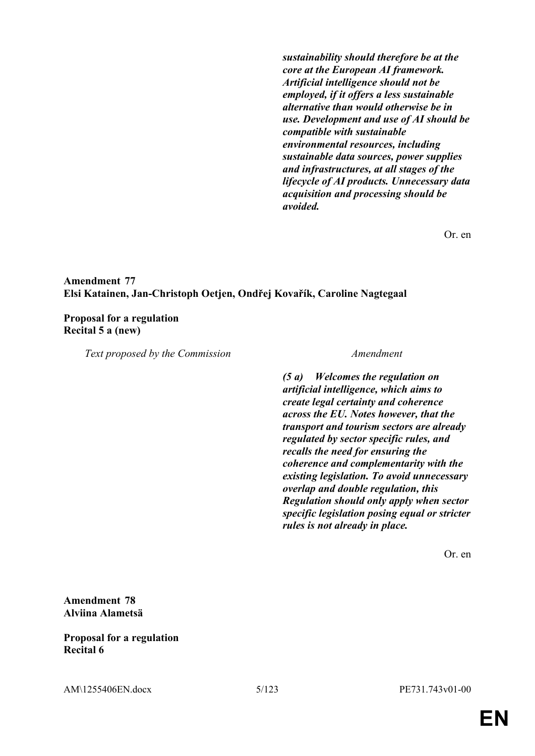*sustainability should therefore be at the core at the European AI framework. Artificial intelligence should not be employed, if it offers a less sustainable alternative than would otherwise be in use. Development and use of AI should be compatible with sustainable environmental resources, including sustainable data sources, power supplies and infrastructures, at all stages of the lifecycle of AI products. Unnecessary data acquisition and processing should be avoided.*

Or. en

#### **Amendment 77 Elsi Katainen, Jan-Christoph Oetjen, Ondřej Kovařík, Caroline Nagtegaal**

#### **Proposal for a regulation Recital 5 a (new)**

*Text proposed by the Commission Amendment*

*(5 a) Welcomes the regulation on artificial intelligence, which aims to create legal certainty and coherence across the EU. Notes however, that the transport and tourism sectors are already regulated by sector specific rules, and recalls the need for ensuring the coherence and complementarity with the existing legislation. To avoid unnecessary overlap and double regulation, this Regulation should only apply when sector specific legislation posing equal or stricter rules is not already in place.*

Or. en

### **Amendment 78 Alviina Alametsä**

### **Proposal for a regulation Recital 6**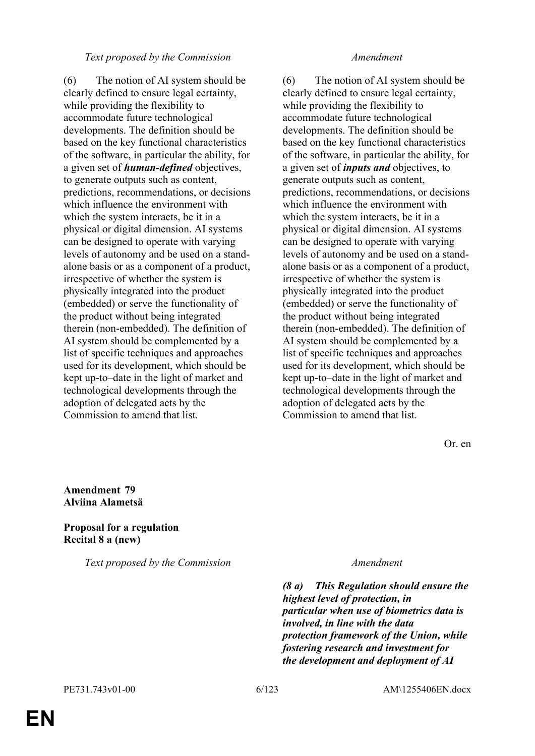#### *Text proposed by the Commission Amendment*

(6) The notion of AI system should be clearly defined to ensure legal certainty, while providing the flexibility to accommodate future technological developments. The definition should be based on the key functional characteristics of the software, in particular the ability, for a given set of *human-defined* objectives, to generate outputs such as content, predictions, recommendations, or decisions which influence the environment with which the system interacts, be it in a physical or digital dimension. AI systems can be designed to operate with varying levels of autonomy and be used on a standalone basis or as a component of a product, irrespective of whether the system is physically integrated into the product (embedded) or serve the functionality of the product without being integrated therein (non-embedded). The definition of AI system should be complemented by a list of specific techniques and approaches used for its development, which should be kept up-to–date in the light of market and technological developments through the adoption of delegated acts by the Commission to amend that list.

(6) The notion of AI system should be clearly defined to ensure legal certainty, while providing the flexibility to accommodate future technological developments. The definition should be based on the key functional characteristics of the software, in particular the ability, for a given set of *inputs and* objectives, to generate outputs such as content, predictions, recommendations, or decisions which influence the environment with which the system interacts, be it in a physical or digital dimension. AI systems can be designed to operate with varying levels of autonomy and be used on a standalone basis or as a component of a product, irrespective of whether the system is physically integrated into the product (embedded) or serve the functionality of the product without being integrated therein (non-embedded). The definition of AI system should be complemented by a list of specific techniques and approaches used for its development, which should be kept up-to–date in the light of market and technological developments through the adoption of delegated acts by the Commission to amend that list.

Or. en

**Amendment 79 Alviina Alametsä**

### **Proposal for a regulation Recital 8 a (new)**

*Text proposed by the Commission Amendment*

*(8 a) This Regulation should ensure the highest level of protection, in particular when use of biometrics data is involved, in line with the data protection framework of the Union, while fostering research and investment for the development and deployment of AI*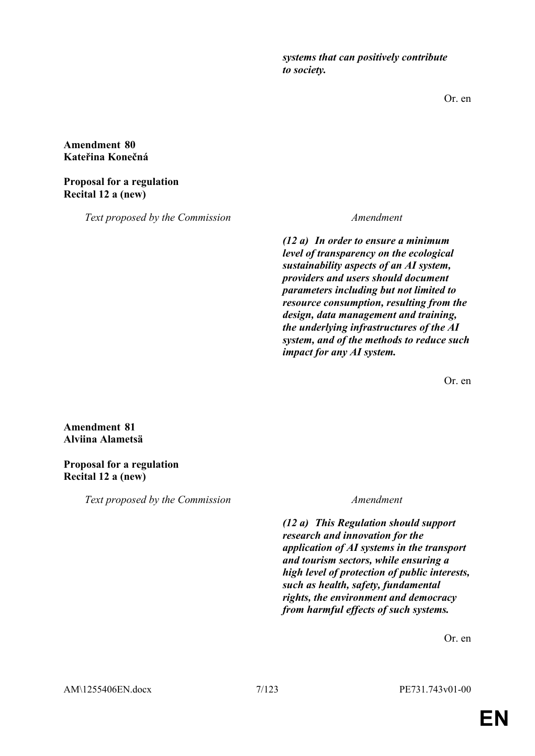*systems that can positively contribute to society.* 

Or. en

### **Amendment 80 Kateřina Konečná**

### **Proposal for a regulation Recital 12 a (new)**

*Text proposed by the Commission Amendment*

*(12 a) In order to ensure a minimum level of transparency on the ecological sustainability aspects of an AI system, providers and users should document parameters including but not limited to resource consumption, resulting from the design, data management and training, the underlying infrastructures of the AI system, and of the methods to reduce such impact for any AI system.*

Or. en

### **Amendment 81 Alviina Alametsä**

### **Proposal for a regulation Recital 12 a (new)**

*Text proposed by the Commission Amendment*

*(12 a) This Regulation should support research and innovation for the application of AI systems in the transport and tourism sectors, while ensuring a high level of protection of public interests, such as health, safety, fundamental rights, the environment and democracy from harmful effects of such systems.*

Or. en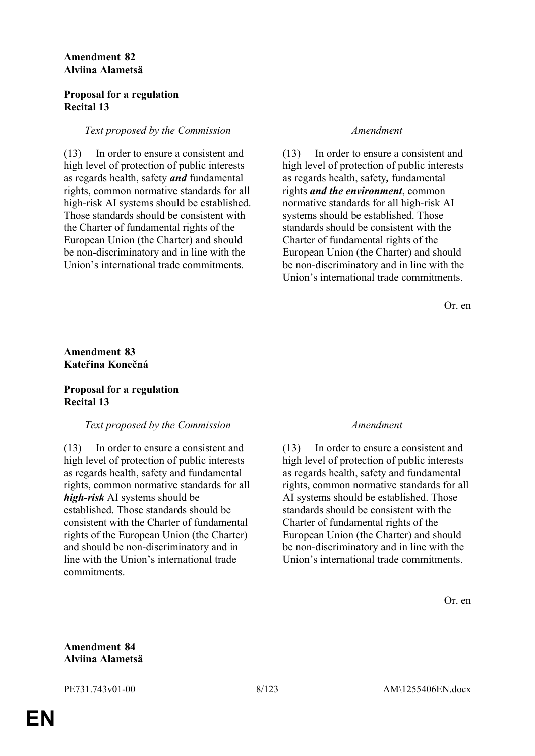### **Amendment 82 Alviina Alametsä**

#### **Proposal for a regulation Recital 13**

#### *Text proposed by the Commission Amendment*

(13) In order to ensure a consistent and high level of protection of public interests as regards health, safety *and* fundamental rights, common normative standards for all high-risk AI systems should be established. Those standards should be consistent with the Charter of fundamental rights of the European Union (the Charter) and should be non-discriminatory and in line with the Union's international trade commitments.

(13) In order to ensure a consistent and high level of protection of public interests as regards health, safety*,* fundamental rights *and the environment*, common normative standards for all high-risk AI systems should be established. Those standards should be consistent with the Charter of fundamental rights of the European Union (the Charter) and should be non-discriminatory and in line with the Union's international trade commitments.

Or. en

### **Amendment 83 Kateřina Konečná**

### **Proposal for a regulation Recital 13**

#### *Text proposed by the Commission Amendment*

(13) In order to ensure a consistent and high level of protection of public interests as regards health, safety and fundamental rights, common normative standards for all *high-risk* AI systems should be established. Those standards should be consistent with the Charter of fundamental rights of the European Union (the Charter) and should be non-discriminatory and in line with the Union's international trade commitments.

(13) In order to ensure a consistent and high level of protection of public interests as regards health, safety and fundamental rights, common normative standards for all AI systems should be established. Those standards should be consistent with the Charter of fundamental rights of the European Union (the Charter) and should be non-discriminatory and in line with the Union's international trade commitments.

Or. en

### **Amendment 84 Alviina Alametsä**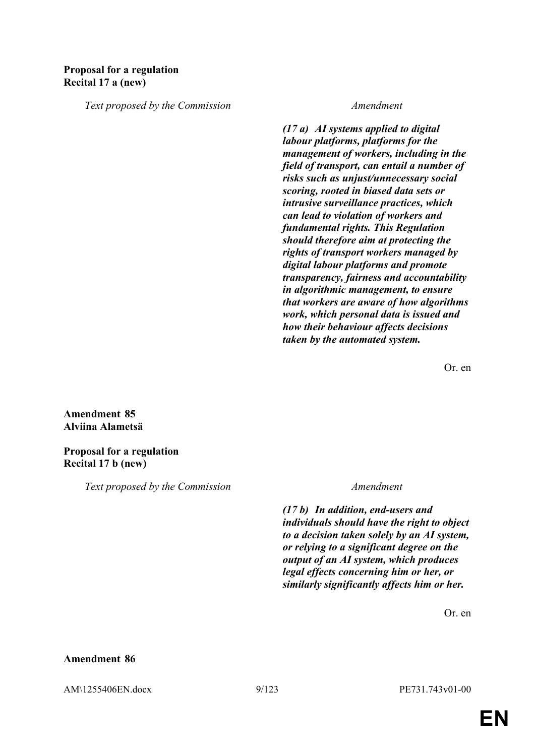### **Proposal for a regulation Recital 17 a (new)**

*Text proposed by the Commission Amendment*

*(17 a) AI systems applied to digital labour platforms, platforms for the management of workers, including in the field of transport, can entail a number of risks such as unjust/unnecessary social scoring, rooted in biased data sets or intrusive surveillance practices, which can lead to violation of workers and fundamental rights. This Regulation should therefore aim at protecting the rights of transport workers managed by digital labour platforms and promote transparency, fairness and accountability in algorithmic management, to ensure that workers are aware of how algorithms work, which personal data is issued and how their behaviour affects decisions taken by the automated system.*

Or. en

**Amendment 85 Alviina Alametsä**

**Proposal for a regulation Recital 17 b (new)**

*Text proposed by the Commission Amendment*

*(17 b) In addition, end-users and individuals should have the right to object to a decision taken solely by an AI system, or relying to a significant degree on the output of an AI system, which produces legal effects concerning him or her, or similarly significantly affects him or her.*

Or. en

#### **Amendment 86**

AM\1255406EN.docx 9/123 PE731.743v01-00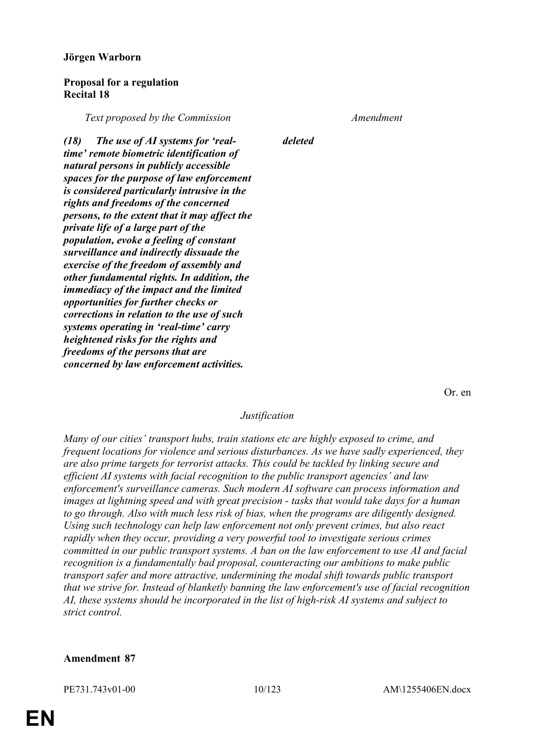#### **Jörgen Warborn**

#### **Proposal for a regulation Recital 18**

*Text proposed by the Commission Amendment*

*(18) The use of AI systems for 'realtime' remote biometric identification of natural persons in publicly accessible spaces for the purpose of law enforcement is considered particularly intrusive in the rights and freedoms of the concerned persons, to the extent that it may affect the private life of a large part of the population, evoke a feeling of constant surveillance and indirectly dissuade the exercise of the freedom of assembly and other fundamental rights. In addition, the immediacy of the impact and the limited opportunities for further checks or corrections in relation to the use of such systems operating in 'real-time' carry heightened risks for the rights and freedoms of the persons that are concerned by law enforcement activities.*

*deleted*

Or. en

#### *Justification*

*Many of our cities' transport hubs, train stations etc are highly exposed to crime, and frequent locations for violence and serious disturbances. As we have sadly experienced, they are also prime targets for terrorist attacks. This could be tackled by linking secure and efficient AI systems with facial recognition to the public transport agencies' and law enforcement's surveillance cameras. Such modern AI software can process information and images at lightning speed and with great precision - tasks that would take days for a human to go through. Also with much less risk of bias, when the programs are diligently designed. Using such technology can help law enforcement not only prevent crimes, but also react rapidly when they occur, providing a very powerful tool to investigate serious crimes committed in our public transport systems. A ban on the law enforcement to use AI and facial recognition is a fundamentally bad proposal, counteracting our ambitions to make public transport safer and more attractive, undermining the modal shift towards public transport that we strive for. Instead of blanketly banning the law enforcement's use of facial recognition AI, these systems should be incorporated in the list of high-risk AI systems and subject to strict control.*

#### **Amendment 87**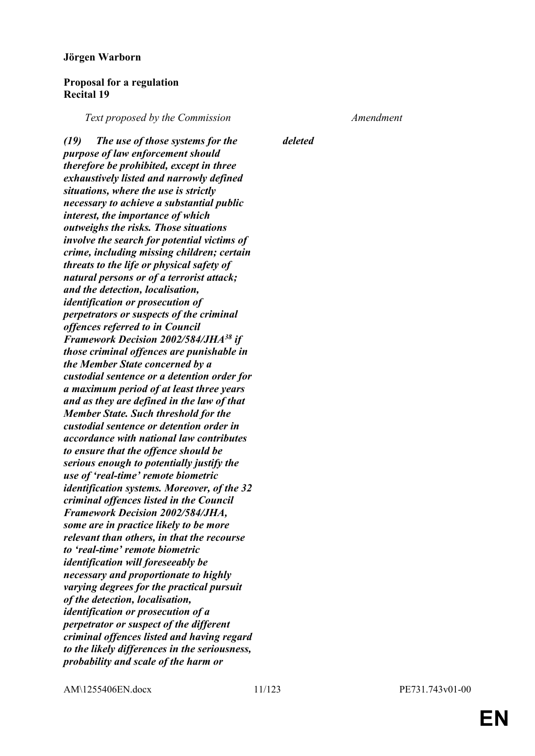#### **Jörgen Warborn**

#### **Proposal for a regulation Recital 19**

*Text proposed by the Commission Amendment*

*(19) The use of those systems for the purpose of law enforcement should therefore be prohibited, except in three exhaustively listed and narrowly defined situations, where the use is strictly necessary to achieve a substantial public interest, the importance of which outweighs the risks. Those situations involve the search for potential victims of crime, including missing children; certain threats to the life or physical safety of natural persons or of a terrorist attack; and the detection, localisation, identification or prosecution of perpetrators or suspects of the criminal offences referred to in Council Framework Decision 2002/584/JHA<sup>38</sup> if those criminal offences are punishable in the Member State concerned by a custodial sentence or a detention order for a maximum period of at least three years and as they are defined in the law of that Member State. Such threshold for the custodial sentence or detention order in accordance with national law contributes to ensure that the offence should be serious enough to potentially justify the use of 'real-time' remote biometric identification systems. Moreover, of the 32 criminal offences listed in the Council Framework Decision 2002/584/JHA, some are in practice likely to be more relevant than others, in that the recourse to 'real-time' remote biometric identification will foreseeably be necessary and proportionate to highly varying degrees for the practical pursuit of the detection, localisation, identification or prosecution of a perpetrator or suspect of the different criminal offences listed and having regard to the likely differences in the seriousness, probability and scale of the harm or* 

*deleted*

AM\1255406EN.docx 11/123 PE731.743v01-00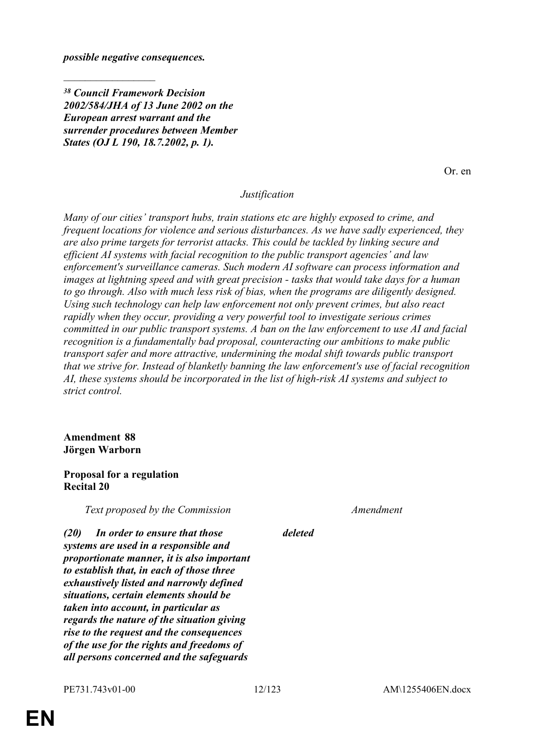*possible negative consequences.*

 $\frac{1}{2}$ 

*<sup>38</sup> Council Framework Decision 2002/584/JHA of 13 June 2002 on the European arrest warrant and the surrender procedures between Member States (OJ L 190, 18.7.2002, p. 1).*

Or. en

#### *Justification*

*Many of our cities' transport hubs, train stations etc are highly exposed to crime, and frequent locations for violence and serious disturbances. As we have sadly experienced, they are also prime targets for terrorist attacks. This could be tackled by linking secure and efficient AI systems with facial recognition to the public transport agencies' and law enforcement's surveillance cameras. Such modern AI software can process information and images at lightning speed and with great precision - tasks that would take days for a human to go through. Also with much less risk of bias, when the programs are diligently designed. Using such technology can help law enforcement not only prevent crimes, but also react rapidly when they occur, providing a very powerful tool to investigate serious crimes committed in our public transport systems. A ban on the law enforcement to use AI and facial recognition is a fundamentally bad proposal, counteracting our ambitions to make public transport safer and more attractive, undermining the modal shift towards public transport that we strive for. Instead of blanketly banning the law enforcement's use of facial recognition AI, these systems should be incorporated in the list of high-risk AI systems and subject to strict control.*

#### **Amendment 88 Jörgen Warborn**

#### **Proposal for a regulation Recital 20**

*Text proposed by the Commission Amendment*

*(20) In order to ensure that those systems are used in a responsible and proportionate manner, it is also important to establish that, in each of those three exhaustively listed and narrowly defined situations, certain elements should be taken into account, in particular as regards the nature of the situation giving rise to the request and the consequences of the use for the rights and freedoms of all persons concerned and the safeguards* 

## *deleted*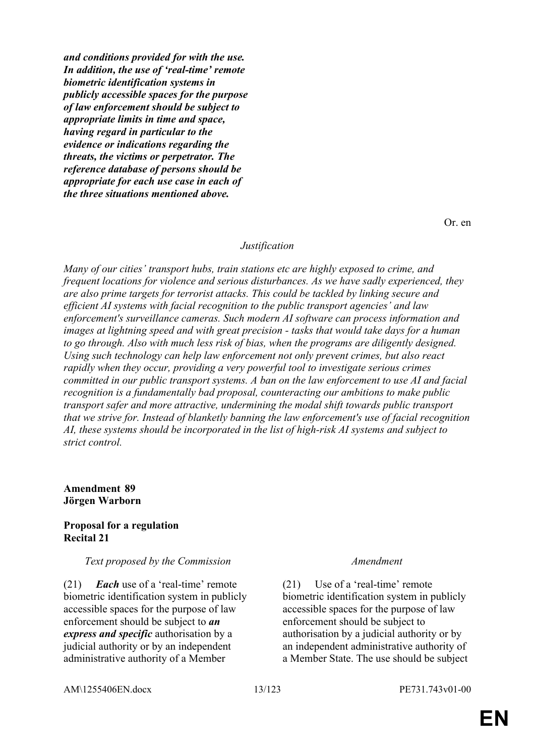*and conditions provided for with the use. In addition, the use of 'real-time' remote biometric identification systems in publicly accessible spaces for the purpose of law enforcement should be subject to appropriate limits in time and space, having regard in particular to the evidence or indications regarding the threats, the victims or perpetrator. The reference database of persons should be appropriate for each use case in each of the three situations mentioned above.*

Or. en

#### *Justification*

*Many of our cities' transport hubs, train stations etc are highly exposed to crime, and frequent locations for violence and serious disturbances. As we have sadly experienced, they are also prime targets for terrorist attacks. This could be tackled by linking secure and efficient AI systems with facial recognition to the public transport agencies' and law enforcement's surveillance cameras. Such modern AI software can process information and images at lightning speed and with great precision - tasks that would take days for a human to go through. Also with much less risk of bias, when the programs are diligently designed. Using such technology can help law enforcement not only prevent crimes, but also react rapidly when they occur, providing a very powerful tool to investigate serious crimes committed in our public transport systems. A ban on the law enforcement to use AI and facial recognition is a fundamentally bad proposal, counteracting our ambitions to make public transport safer and more attractive, undermining the modal shift towards public transport that we strive for. Instead of blanketly banning the law enforcement's use of facial recognition AI, these systems should be incorporated in the list of high-risk AI systems and subject to strict control.*

#### **Amendment 89 Jörgen Warborn**

#### **Proposal for a regulation Recital 21**

#### *Text proposed by the Commission Amendment*

(21) *Each* use of a 'real-time' remote biometric identification system in publicly accessible spaces for the purpose of law enforcement should be subject to *an express and specific* authorisation by a judicial authority or by an independent administrative authority of a Member

(21) Use of a 'real-time' remote biometric identification system in publicly accessible spaces for the purpose of law enforcement should be subject to authorisation by a judicial authority or by an independent administrative authority of a Member State. The use should be subject

AM\1255406EN.docx 13/123 PE731.743v01-00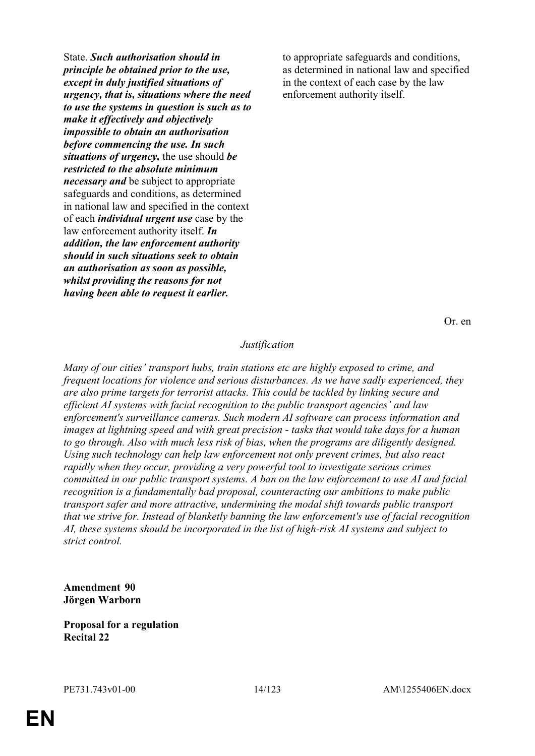State. *Such authorisation should in principle be obtained prior to the use, except in duly justified situations of urgency, that is, situations where the need to use the systems in question is such as to make it effectively and objectively impossible to obtain an authorisation before commencing the use. In such situations of urgency,* the use should *be restricted to the absolute minimum necessary and* be subject to appropriate safeguards and conditions, as determined in national law and specified in the context of each *individual urgent use* case by the law enforcement authority itself. *In addition, the law enforcement authority should in such situations seek to obtain an authorisation as soon as possible, whilst providing the reasons for not having been able to request it earlier.*

to appropriate safeguards and conditions, as determined in national law and specified in the context of each case by the law enforcement authority itself.

Or. en

#### *Justification*

*Many of our cities' transport hubs, train stations etc are highly exposed to crime, and frequent locations for violence and serious disturbances. As we have sadly experienced, they are also prime targets for terrorist attacks. This could be tackled by linking secure and efficient AI systems with facial recognition to the public transport agencies' and law enforcement's surveillance cameras. Such modern AI software can process information and images at lightning speed and with great precision - tasks that would take days for a human to go through. Also with much less risk of bias, when the programs are diligently designed. Using such technology can help law enforcement not only prevent crimes, but also react rapidly when they occur, providing a very powerful tool to investigate serious crimes committed in our public transport systems. A ban on the law enforcement to use AI and facial recognition is a fundamentally bad proposal, counteracting our ambitions to make public transport safer and more attractive, undermining the modal shift towards public transport that we strive for. Instead of blanketly banning the law enforcement's use of facial recognition AI, these systems should be incorporated in the list of high-risk AI systems and subject to strict control.*

#### **Amendment 90 Jörgen Warborn**

**Proposal for a regulation Recital 22**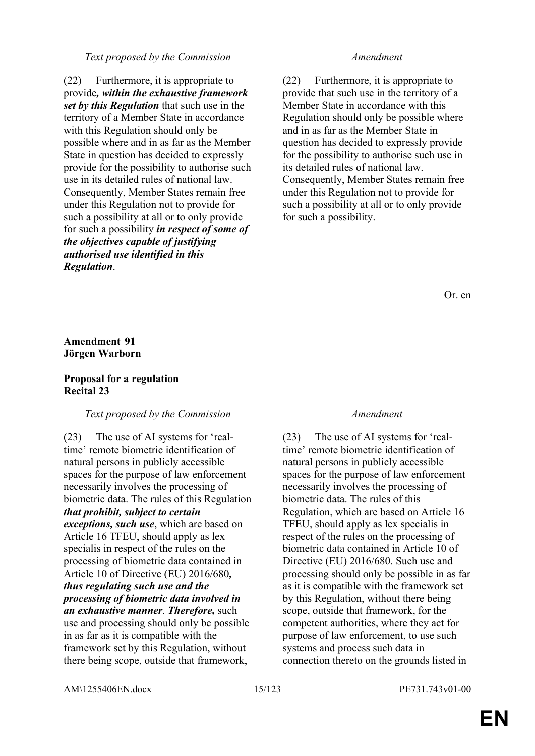#### *Text proposed by the Commission Amendment*

(22) Furthermore, it is appropriate to provide*, within the exhaustive framework set by this Regulation* that such use in the territory of a Member State in accordance with this Regulation should only be possible where and in as far as the Member State in question has decided to expressly provide for the possibility to authorise such use in its detailed rules of national law. Consequently, Member States remain free under this Regulation not to provide for such a possibility at all or to only provide for such a possibility *in respect of some of the objectives capable of justifying authorised use identified in this Regulation*.

(22) Furthermore, it is appropriate to provide that such use in the territory of a Member State in accordance with this Regulation should only be possible where and in as far as the Member State in question has decided to expressly provide for the possibility to authorise such use in its detailed rules of national law. Consequently, Member States remain free under this Regulation not to provide for such a possibility at all or to only provide for such a possibility.

Or. en

### **Amendment 91 Jörgen Warborn**

#### **Proposal for a regulation Recital 23**

#### *Text proposed by the Commission Amendment*

(23) The use of AI systems for 'realtime' remote biometric identification of natural persons in publicly accessible spaces for the purpose of law enforcement necessarily involves the processing of biometric data. The rules of this Regulation *that prohibit, subject to certain exceptions, such use*, which are based on Article 16 TFEU, should apply as lex specialis in respect of the rules on the processing of biometric data contained in Article 10 of Directive (EU) 2016/680*, thus regulating such use and the processing of biometric data involved in an exhaustive manner*. *Therefore,* such use and processing should only be possible in as far as it is compatible with the framework set by this Regulation, without there being scope, outside that framework,

(23) The use of AI systems for 'realtime' remote biometric identification of natural persons in publicly accessible spaces for the purpose of law enforcement necessarily involves the processing of biometric data. The rules of this Regulation, which are based on Article 16 TFEU, should apply as lex specialis in respect of the rules on the processing of biometric data contained in Article 10 of Directive (EU) 2016/680. Such use and processing should only be possible in as far as it is compatible with the framework set by this Regulation, without there being scope, outside that framework, for the competent authorities, where they act for purpose of law enforcement, to use such systems and process such data in connection thereto on the grounds listed in

AM\1255406EN.docx 15/123 PE731.743v01-00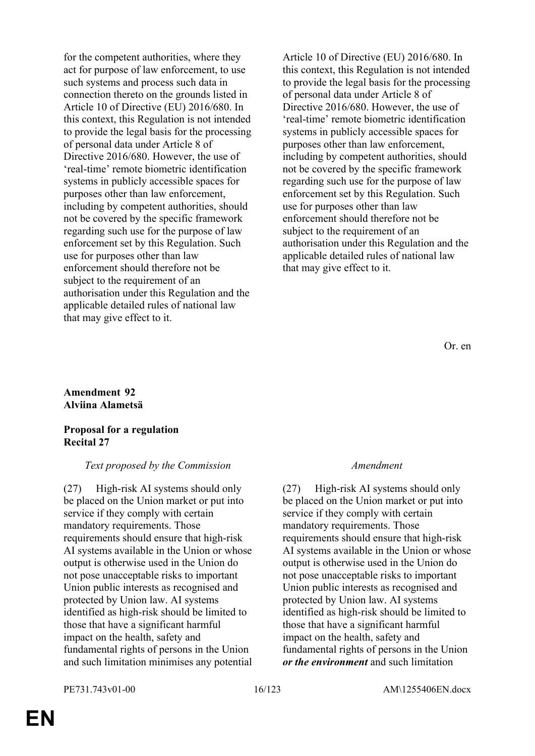for the competent authorities, where they act for purpose of law enforcement, to use such systems and process such data in connection thereto on the grounds listed in Article 10 of Directive (EU) 2016/680. In this context, this Regulation is not intended to provide the legal basis for the processing of personal data under Article 8 of Directive 2016/680. However, the use of 'real-time' remote biometric identification systems in publicly accessible spaces for purposes other than law enforcement, including by competent authorities, should not be covered by the specific framework regarding such use for the purpose of law enforcement set by this Regulation. Such use for purposes other than law enforcement should therefore not be subject to the requirement of an authorisation under this Regulation and the applicable detailed rules of national law that may give effect to it.

Article 10 of Directive (EU) 2016/680. In this context, this Regulation is not intended to provide the legal basis for the processing of personal data under Article 8 of Directive 2016/680. However, the use of 'real-time' remote biometric identification systems in publicly accessible spaces for purposes other than law enforcement, including by competent authorities, should not be covered by the specific framework regarding such use for the purpose of law enforcement set by this Regulation. Such use for purposes other than law enforcement should therefore not be subject to the requirement of an authorisation under this Regulation and the applicable detailed rules of national law that may give effect to it.

Or. en

### **Amendment 92 Alviina Alametsä**

#### **Proposal for a regulation Recital 27**

### *Text proposed by the Commission Amendment*

(27) High-risk AI systems should only be placed on the Union market or put into service if they comply with certain mandatory requirements. Those requirements should ensure that high-risk AI systems available in the Union or whose output is otherwise used in the Union do not pose unacceptable risks to important Union public interests as recognised and protected by Union law. AI systems identified as high-risk should be limited to those that have a significant harmful impact on the health, safety and fundamental rights of persons in the Union and such limitation minimises any potential

(27) High-risk AI systems should only be placed on the Union market or put into service if they comply with certain mandatory requirements. Those requirements should ensure that high-risk AI systems available in the Union or whose output is otherwise used in the Union do not pose unacceptable risks to important Union public interests as recognised and protected by Union law. AI systems identified as high-risk should be limited to those that have a significant harmful impact on the health, safety and fundamental rights of persons in the Union *or the environment* and such limitation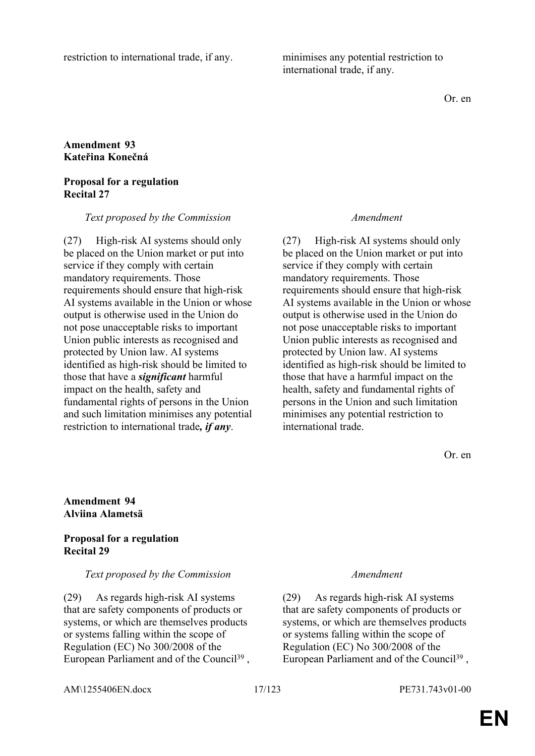restriction to international trade, if any. minimises any potential restriction to

international trade, if any.

Or. en

### **Amendment 93 Kateřina Konečná**

#### **Proposal for a regulation Recital 27**

*Text proposed by the Commission Amendment*

(27) High-risk AI systems should only be placed on the Union market or put into service if they comply with certain mandatory requirements. Those requirements should ensure that high-risk AI systems available in the Union or whose output is otherwise used in the Union do not pose unacceptable risks to important Union public interests as recognised and protected by Union law. AI systems identified as high-risk should be limited to those that have a *significant* harmful impact on the health, safety and fundamental rights of persons in the Union and such limitation minimises any potential restriction to international trade*, if any*.

(27) High-risk AI systems should only be placed on the Union market or put into service if they comply with certain mandatory requirements. Those requirements should ensure that high-risk AI systems available in the Union or whose output is otherwise used in the Union do not pose unacceptable risks to important Union public interests as recognised and protected by Union law. AI systems identified as high-risk should be limited to those that have a harmful impact on the health, safety and fundamental rights of persons in the Union and such limitation minimises any potential restriction to international trade.

Or. en

#### **Amendment 94 Alviina Alametsä**

### **Proposal for a regulation Recital 29**

#### *Text proposed by the Commission Amendment*

(29) As regards high-risk AI systems that are safety components of products or systems, or which are themselves products or systems falling within the scope of Regulation (EC) No 300/2008 of the European Parliament and of the Council<sup>39</sup>,

(29) As regards high-risk AI systems that are safety components of products or systems, or which are themselves products or systems falling within the scope of Regulation (EC) No 300/2008 of the European Parliament and of the Council<sup>39</sup>,

AM\1255406EN.docx 17/123 PE731.743v01-00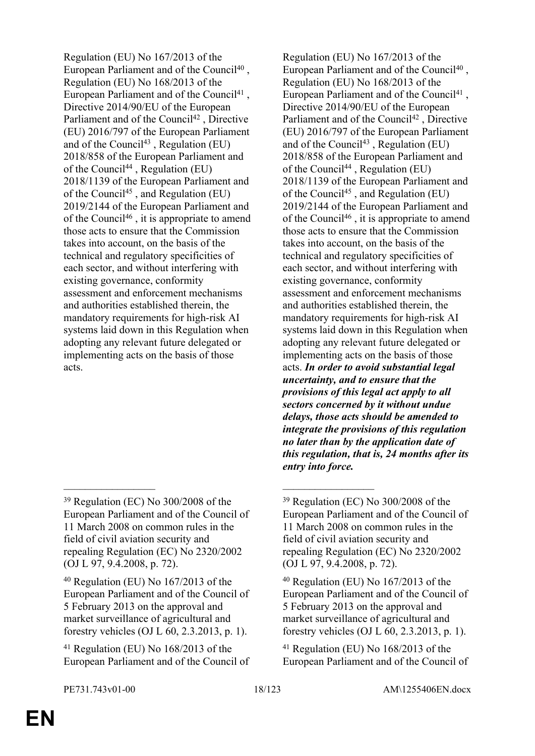Regulation (EU) No 167/2013 of the European Parliament and of the Council<sup>40</sup>, Regulation (EU) No 168/2013 of the European Parliament and of the Council<sup>41</sup>, Directive 2014/90/EU of the European Parliament and of the Council<sup>42</sup>, Directive (EU) 2016/797 of the European Parliament and of the Council<sup>43</sup>, Regulation (EU) 2018/858 of the European Parliament and of the Council<sup>44</sup>, Regulation (EU) 2018/1139 of the European Parliament and of the Council<sup>45</sup>, and Regulation (EU) 2019/2144 of the European Parliament and of the Council<sup>46</sup> , it is appropriate to amend those acts to ensure that the Commission takes into account, on the basis of the technical and regulatory specificities of each sector, and without interfering with existing governance, conformity assessment and enforcement mechanisms and authorities established therein, the mandatory requirements for high-risk AI systems laid down in this Regulation when adopting any relevant future delegated or implementing acts on the basis of those acts.

\_\_\_\_\_\_\_\_\_\_\_\_\_\_\_\_\_ \_\_\_\_\_\_\_\_\_\_\_\_\_\_\_\_\_

<sup>40</sup> Regulation (EU) No 167/2013 of the European Parliament and of the Council of 5 February 2013 on the approval and market surveillance of agricultural and forestry vehicles (OJ L 60, 2.3.2013, p. 1).

Regulation (EU) No 167/2013 of the European Parliament and of the Council<sup>40</sup>, Regulation (EU) No 168/2013 of the European Parliament and of the Council<sup>41</sup>, Directive 2014/90/EU of the European Parliament and of the Council<sup>42</sup>, Directive (EU) 2016/797 of the European Parliament and of the Council<sup>43</sup>, Regulation  $(EU)$ 2018/858 of the European Parliament and of the Council<sup>44</sup>, Regulation (EU) 2018/1139 of the European Parliament and of the Council<sup>45</sup>, and Regulation (EU) 2019/2144 of the European Parliament and of the Council<sup>46</sup>, it is appropriate to amend those acts to ensure that the Commission takes into account, on the basis of the technical and regulatory specificities of each sector, and without interfering with existing governance, conformity assessment and enforcement mechanisms and authorities established therein, the mandatory requirements for high-risk AI systems laid down in this Regulation when adopting any relevant future delegated or implementing acts on the basis of those acts. *In order to avoid substantial legal uncertainty, and to ensure that the provisions of this legal act apply to all sectors concerned by it without undue delays, those acts should be amended to integrate the provisions of this regulation no later than by the application date of this regulation, that is, 24 months after its entry into force.*

<sup>39</sup> Regulation (EC) No 300/2008 of the European Parliament and of the Council of 11 March 2008 on common rules in the field of civil aviation security and repealing Regulation (EC) No 2320/2002 (OJ L 97, 9.4.2008, p. 72).

<sup>41</sup> Regulation (EU) No 168/2013 of the European Parliament and of the Council of

<sup>39</sup> Regulation (EC) No 300/2008 of the European Parliament and of the Council of 11 March 2008 on common rules in the field of civil aviation security and repealing Regulation (EC) No 2320/2002 (OJ L 97, 9.4.2008, p. 72).

<sup>40</sup> Regulation (EU) No 167/2013 of the European Parliament and of the Council of 5 February 2013 on the approval and market surveillance of agricultural and forestry vehicles (OJ L 60, 2.3.2013, p. 1).

<sup>41</sup> Regulation (EU) No 168/2013 of the European Parliament and of the Council of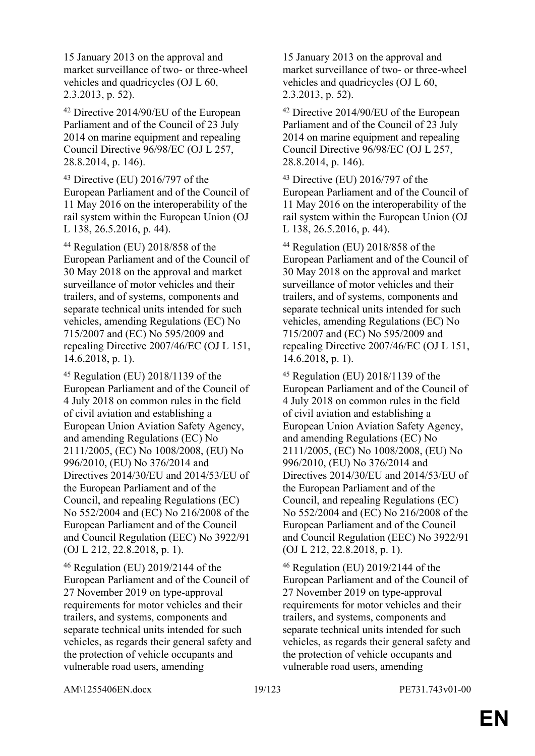15 January 2013 on the approval and market surveillance of two- or three-wheel vehicles and quadricycles (OJ L 60, 2.3.2013, p. 52).

<sup>42</sup> Directive 2014/90/EU of the European Parliament and of the Council of 23 July 2014 on marine equipment and repealing Council Directive 96/98/EC (OJ L 257, 28.8.2014, p. 146).

<sup>43</sup> Directive (EU) 2016/797 of the European Parliament and of the Council of 11 May 2016 on the interoperability of the rail system within the European Union (OJ L 138, 26.5.2016, p. 44).

<sup>44</sup> Regulation (EU) 2018/858 of the European Parliament and of the Council of 30 May 2018 on the approval and market surveillance of motor vehicles and their trailers, and of systems, components and separate technical units intended for such vehicles, amending Regulations (EC) No 715/2007 and (EC) No 595/2009 and repealing Directive 2007/46/EC (OJ L 151, 14.6.2018, p. 1).

<sup>45</sup> Regulation (EU) 2018/1139 of the European Parliament and of the Council of 4 July 2018 on common rules in the field of civil aviation and establishing a European Union Aviation Safety Agency, and amending Regulations (EC) No 2111/2005, (EC) No 1008/2008, (EU) No 996/2010, (EU) No 376/2014 and Directives 2014/30/EU and 2014/53/EU of the European Parliament and of the Council, and repealing Regulations (EC) No 552/2004 and (EC) No 216/2008 of the European Parliament and of the Council and Council Regulation (EEC) No 3922/91 (OJ L 212, 22.8.2018, p. 1).

<sup>46</sup> Regulation (EU) 2019/2144 of the European Parliament and of the Council of 27 November 2019 on type-approval requirements for motor vehicles and their trailers, and systems, components and separate technical units intended for such vehicles, as regards their general safety and the protection of vehicle occupants and vulnerable road users, amending

15 January 2013 on the approval and market surveillance of two- or three-wheel vehicles and quadricycles (OJ L 60, 2.3.2013, p. 52).

<sup>42</sup> Directive 2014/90/EU of the European Parliament and of the Council of 23 July 2014 on marine equipment and repealing Council Directive 96/98/EC (OJ L 257, 28.8.2014, p. 146).

<sup>43</sup> Directive (EU) 2016/797 of the European Parliament and of the Council of 11 May 2016 on the interoperability of the rail system within the European Union (OJ L 138, 26.5.2016, p. 44).

<sup>44</sup> Regulation (EU) 2018/858 of the European Parliament and of the Council of 30 May 2018 on the approval and market surveillance of motor vehicles and their trailers, and of systems, components and separate technical units intended for such vehicles, amending Regulations (EC) No 715/2007 and (EC) No 595/2009 and repealing Directive 2007/46/EC (OJ L 151, 14.6.2018, p. 1).

<sup>45</sup> Regulation (EU) 2018/1139 of the European Parliament and of the Council of 4 July 2018 on common rules in the field of civil aviation and establishing a European Union Aviation Safety Agency, and amending Regulations (EC) No 2111/2005, (EC) No 1008/2008, (EU) No 996/2010, (EU) No 376/2014 and Directives 2014/30/EU and 2014/53/EU of the European Parliament and of the Council, and repealing Regulations (EC) No 552/2004 and (EC) No 216/2008 of the European Parliament and of the Council and Council Regulation (EEC) No 3922/91 (OJ L 212, 22.8.2018, p. 1).

<sup>46</sup> Regulation (EU) 2019/2144 of the European Parliament and of the Council of 27 November 2019 on type-approval requirements for motor vehicles and their trailers, and systems, components and separate technical units intended for such vehicles, as regards their general safety and the protection of vehicle occupants and vulnerable road users, amending

AM\1255406EN.docx 19/123 PE731.743v01-00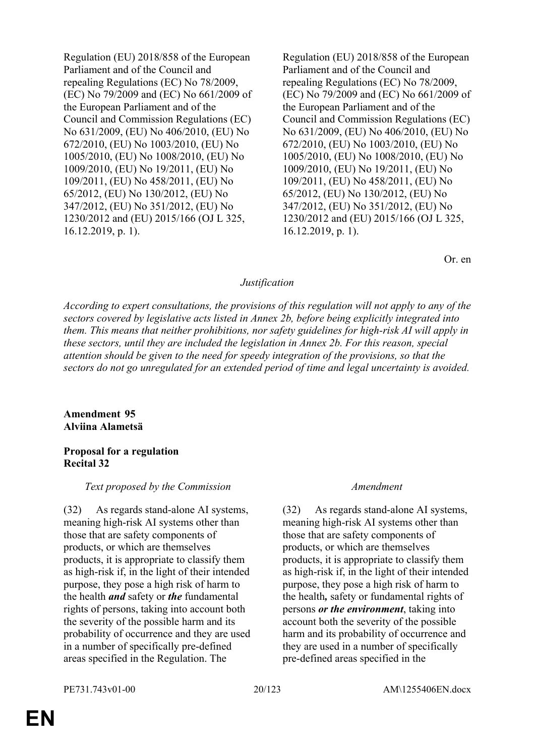Regulation (EU) 2018/858 of the European Parliament and of the Council and repealing Regulations (EC) No 78/2009, (EC) No 79/2009 and (EC) No 661/2009 of the European Parliament and of the Council and Commission Regulations (EC) No 631/2009, (EU) No 406/2010, (EU) No 672/2010, (EU) No 1003/2010, (EU) No 1005/2010, (EU) No 1008/2010, (EU) No 1009/2010, (EU) No 19/2011, (EU) No 109/2011, (EU) No 458/2011, (EU) No 65/2012, (EU) No 130/2012, (EU) No 347/2012, (EU) No 351/2012, (EU) No 1230/2012 and (EU) 2015/166 (OJ L 325, 16.12.2019, p. 1).

Regulation (EU) 2018/858 of the European Parliament and of the Council and repealing Regulations (EC) No 78/2009, (EC) No 79/2009 and (EC) No 661/2009 of the European Parliament and of the Council and Commission Regulations (EC) No 631/2009, (EU) No 406/2010, (EU) No 672/2010, (EU) No 1003/2010, (EU) No 1005/2010, (EU) No 1008/2010, (EU) No 1009/2010, (EU) No 19/2011, (EU) No 109/2011, (EU) No 458/2011, (EU) No 65/2012, (EU) No 130/2012, (EU) No 347/2012, (EU) No 351/2012, (EU) No 1230/2012 and (EU) 2015/166 (OJ L 325, 16.12.2019, p. 1).

Or. en

### *Justification*

*According to expert consultations, the provisions of this regulation will not apply to any of the sectors covered by legislative acts listed in Annex 2b, before being explicitly integrated into them. This means that neither prohibitions, nor safety guidelines for high-risk AI will apply in these sectors, until they are included the legislation in Annex 2b. For this reason, special attention should be given to the need for speedy integration of the provisions, so that the sectors do not go unregulated for an extended period of time and legal uncertainty is avoided.*

### **Amendment 95 Alviina Alametsä**

#### **Proposal for a regulation Recital 32**

#### *Text proposed by the Commission Amendment*

(32) As regards stand-alone AI systems, meaning high-risk AI systems other than those that are safety components of products, or which are themselves products, it is appropriate to classify them as high-risk if, in the light of their intended purpose, they pose a high risk of harm to the health *and* safety or *the* fundamental rights of persons, taking into account both the severity of the possible harm and its probability of occurrence and they are used in a number of specifically pre-defined areas specified in the Regulation. The

(32) As regards stand-alone AI systems, meaning high-risk AI systems other than those that are safety components of products, or which are themselves products, it is appropriate to classify them as high-risk if, in the light of their intended purpose, they pose a high risk of harm to the health*,* safety or fundamental rights of persons *or the environment*, taking into account both the severity of the possible harm and its probability of occurrence and they are used in a number of specifically pre-defined areas specified in the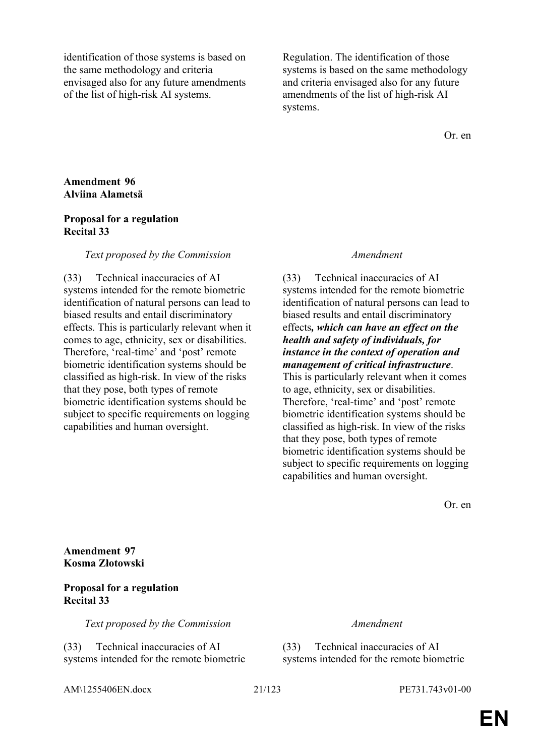identification of those systems is based on the same methodology and criteria envisaged also for any future amendments of the list of high-risk AI systems.

Regulation. The identification of those systems is based on the same methodology and criteria envisaged also for any future amendments of the list of high-risk AI systems.

Or. en

#### **Amendment 96 Alviina Alametsä**

#### **Proposal for a regulation Recital 33**

#### *Text proposed by the Commission Amendment*

(33) Technical inaccuracies of AI systems intended for the remote biometric identification of natural persons can lead to biased results and entail discriminatory effects. This is particularly relevant when it comes to age, ethnicity, sex or disabilities. Therefore, 'real-time' and 'post' remote biometric identification systems should be classified as high-risk. In view of the risks that they pose, both types of remote biometric identification systems should be subject to specific requirements on logging capabilities and human oversight.

(33) Technical inaccuracies of AI systems intended for the remote biometric identification of natural persons can lead to biased results and entail discriminatory effects*, which can have an effect on the health and safety of individuals, for instance in the context of operation and management of critical infrastructure*. This is particularly relevant when it comes to age, ethnicity, sex or disabilities. Therefore, 'real-time' and 'post' remote biometric identification systems should be classified as high-risk. In view of the risks that they pose, both types of remote biometric identification systems should be subject to specific requirements on logging capabilities and human oversight.

Or. en

**Amendment 97 Kosma Złotowski**

#### **Proposal for a regulation Recital 33**

*Text proposed by the Commission Amendment*

(33) Technical inaccuracies of AI systems intended for the remote biometric

(33) Technical inaccuracies of AI systems intended for the remote biometric

AM\1255406EN.docx 21/123 PE731.743v01-00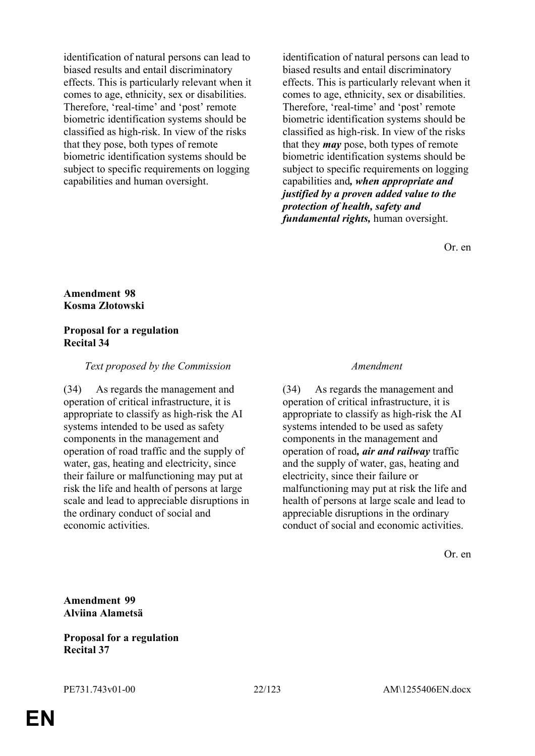identification of natural persons can lead to biased results and entail discriminatory effects. This is particularly relevant when it comes to age, ethnicity, sex or disabilities. Therefore, 'real-time' and 'post' remote biometric identification systems should be classified as high-risk. In view of the risks that they pose, both types of remote biometric identification systems should be subject to specific requirements on logging capabilities and human oversight.

identification of natural persons can lead to biased results and entail discriminatory effects. This is particularly relevant when it comes to age, ethnicity, sex or disabilities. Therefore, 'real-time' and 'post' remote biometric identification systems should be classified as high-risk. In view of the risks that they *may* pose, both types of remote biometric identification systems should be subject to specific requirements on logging capabilities and*, when appropriate and justified by a proven added value to the protection of health, safety and fundamental rights,* human oversight.

Or. en

### **Amendment 98 Kosma Złotowski**

#### **Proposal for a regulation Recital 34**

#### *Text proposed by the Commission Amendment*

(34) As regards the management and operation of critical infrastructure, it is appropriate to classify as high-risk the AI systems intended to be used as safety components in the management and operation of road traffic and the supply of water, gas, heating and electricity, since their failure or malfunctioning may put at risk the life and health of persons at large scale and lead to appreciable disruptions in the ordinary conduct of social and economic activities.

(34) As regards the management and operation of critical infrastructure, it is appropriate to classify as high-risk the AI systems intended to be used as safety components in the management and operation of road*, air and railway* traffic and the supply of water, gas, heating and electricity, since their failure or malfunctioning may put at risk the life and health of persons at large scale and lead to appreciable disruptions in the ordinary conduct of social and economic activities.

Or. en

**Amendment 99 Alviina Alametsä**

**Proposal for a regulation Recital 37**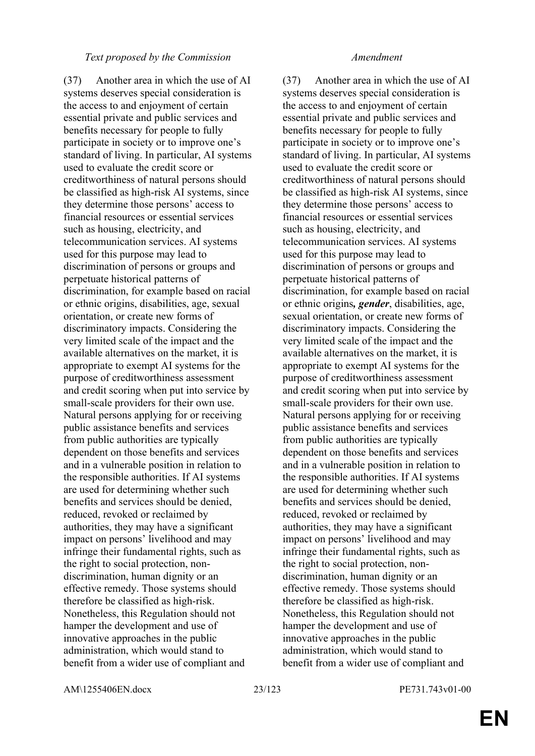#### *Text proposed by the Commission Amendment*

(37) Another area in which the use of AI systems deserves special consideration is the access to and enjoyment of certain essential private and public services and benefits necessary for people to fully participate in society or to improve one's standard of living. In particular, AI systems used to evaluate the credit score or creditworthiness of natural persons should be classified as high-risk AI systems, since they determine those persons' access to financial resources or essential services such as housing, electricity, and telecommunication services. AI systems used for this purpose may lead to discrimination of persons or groups and perpetuate historical patterns of discrimination, for example based on racial or ethnic origins, disabilities, age, sexual orientation, or create new forms of discriminatory impacts. Considering the very limited scale of the impact and the available alternatives on the market, it is appropriate to exempt AI systems for the purpose of creditworthiness assessment and credit scoring when put into service by small-scale providers for their own use. Natural persons applying for or receiving public assistance benefits and services from public authorities are typically dependent on those benefits and services and in a vulnerable position in relation to the responsible authorities. If AI systems are used for determining whether such benefits and services should be denied, reduced, revoked or reclaimed by authorities, they may have a significant impact on persons' livelihood and may infringe their fundamental rights, such as the right to social protection, nondiscrimination, human dignity or an effective remedy. Those systems should therefore be classified as high-risk. Nonetheless, this Regulation should not hamper the development and use of innovative approaches in the public administration, which would stand to benefit from a wider use of compliant and

(37) Another area in which the use of AI systems deserves special consideration is the access to and enjoyment of certain essential private and public services and benefits necessary for people to fully participate in society or to improve one's standard of living. In particular, AI systems used to evaluate the credit score or creditworthiness of natural persons should be classified as high-risk AI systems, since they determine those persons' access to financial resources or essential services such as housing, electricity, and telecommunication services. AI systems used for this purpose may lead to discrimination of persons or groups and perpetuate historical patterns of discrimination, for example based on racial or ethnic origins*, gender*, disabilities, age, sexual orientation, or create new forms of discriminatory impacts. Considering the very limited scale of the impact and the available alternatives on the market, it is appropriate to exempt AI systems for the purpose of creditworthiness assessment and credit scoring when put into service by small-scale providers for their own use. Natural persons applying for or receiving public assistance benefits and services from public authorities are typically dependent on those benefits and services and in a vulnerable position in relation to the responsible authorities. If AI systems are used for determining whether such benefits and services should be denied, reduced, revoked or reclaimed by authorities, they may have a significant impact on persons' livelihood and may infringe their fundamental rights, such as the right to social protection, nondiscrimination, human dignity or an effective remedy. Those systems should therefore be classified as high-risk. Nonetheless, this Regulation should not hamper the development and use of innovative approaches in the public administration, which would stand to benefit from a wider use of compliant and

AM\1255406EN.docx 23/123 PE731.743v01-00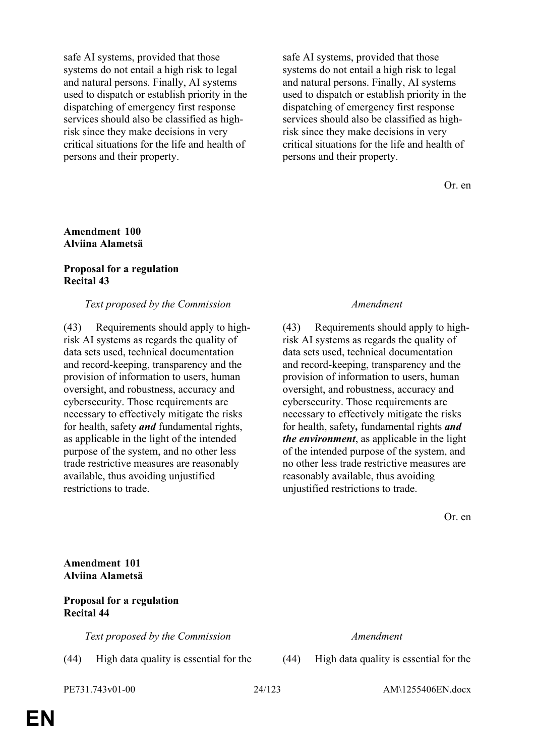safe AI systems, provided that those systems do not entail a high risk to legal and natural persons. Finally, AI systems used to dispatch or establish priority in the dispatching of emergency first response services should also be classified as highrisk since they make decisions in very critical situations for the life and health of persons and their property.

safe AI systems, provided that those systems do not entail a high risk to legal and natural persons. Finally, AI systems used to dispatch or establish priority in the dispatching of emergency first response services should also be classified as highrisk since they make decisions in very critical situations for the life and health of persons and their property.

Or. en

#### **Amendment 100 Alviina Alametsä**

#### **Proposal for a regulation Recital 43**

### *Text proposed by the Commission Amendment*

(43) Requirements should apply to highrisk AI systems as regards the quality of data sets used, technical documentation and record-keeping, transparency and the provision of information to users, human oversight, and robustness, accuracy and cybersecurity. Those requirements are necessary to effectively mitigate the risks for health, safety *and* fundamental rights, as applicable in the light of the intended purpose of the system, and no other less trade restrictive measures are reasonably available, thus avoiding unjustified restrictions to trade.

(43) Requirements should apply to highrisk AI systems as regards the quality of data sets used, technical documentation and record-keeping, transparency and the provision of information to users, human oversight, and robustness, accuracy and cybersecurity. Those requirements are necessary to effectively mitigate the risks for health, safety*,* fundamental rights *and the environment*, as applicable in the light of the intended purpose of the system, and no other less trade restrictive measures are reasonably available, thus avoiding unjustified restrictions to trade.

Or. en

**Amendment 101 Alviina Alametsä**

### **Proposal for a regulation Recital 44**

*Text proposed by the Commission Amendment*

(44) High data quality is essential for the (44) High data quality is essential for the

PE731.743v01-00 24/123 AM\1255406EN.docx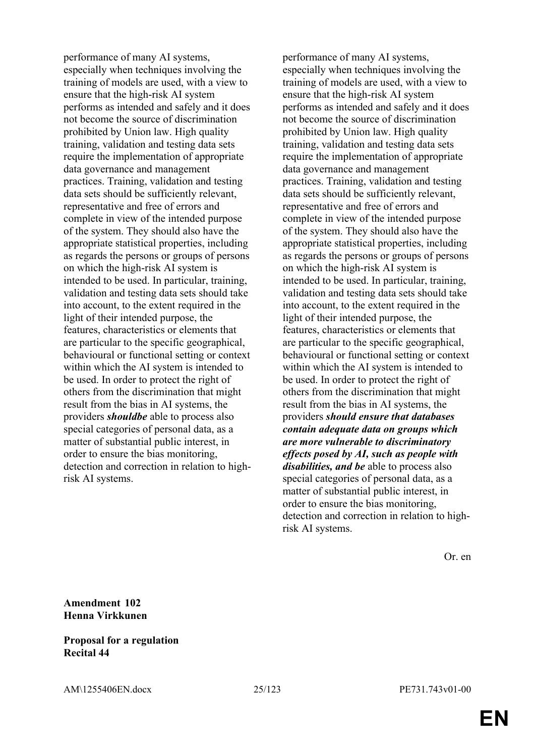performance of many AI systems, especially when techniques involving the training of models are used, with a view to ensure that the high-risk AI system performs as intended and safely and it does not become the source of discrimination prohibited by Union law. High quality training, validation and testing data sets require the implementation of appropriate data governance and management practices. Training, validation and testing data sets should be sufficiently relevant, representative and free of errors and complete in view of the intended purpose of the system. They should also have the appropriate statistical properties, including as regards the persons or groups of persons on which the high-risk AI system is intended to be used. In particular, training, validation and testing data sets should take into account, to the extent required in the light of their intended purpose, the features, characteristics or elements that are particular to the specific geographical, behavioural or functional setting or context within which the AI system is intended to be used. In order to protect the right of others from the discrimination that might result from the bias in AI systems, the providers *shouldbe* able to process also special categories of personal data, as a matter of substantial public interest, in order to ensure the bias monitoring, detection and correction in relation to highrisk AI systems.

performance of many AI systems, especially when techniques involving the training of models are used, with a view to ensure that the high-risk AI system performs as intended and safely and it does not become the source of discrimination prohibited by Union law. High quality training, validation and testing data sets require the implementation of appropriate data governance and management practices. Training, validation and testing data sets should be sufficiently relevant, representative and free of errors and complete in view of the intended purpose of the system. They should also have the appropriate statistical properties, including as regards the persons or groups of persons on which the high-risk AI system is intended to be used. In particular, training, validation and testing data sets should take into account, to the extent required in the light of their intended purpose, the features, characteristics or elements that are particular to the specific geographical, behavioural or functional setting or context within which the AI system is intended to be used. In order to protect the right of others from the discrimination that might result from the bias in AI systems, the providers *should ensure that databases contain adequate data on groups which are more vulnerable to discriminatory effects posed by AI, such as people with disabilities, and be* able to process also special categories of personal data, as a matter of substantial public interest, in order to ensure the bias monitoring, detection and correction in relation to highrisk AI systems.

Or. en

### **Amendment 102 Henna Virkkunen**

### **Proposal for a regulation Recital 44**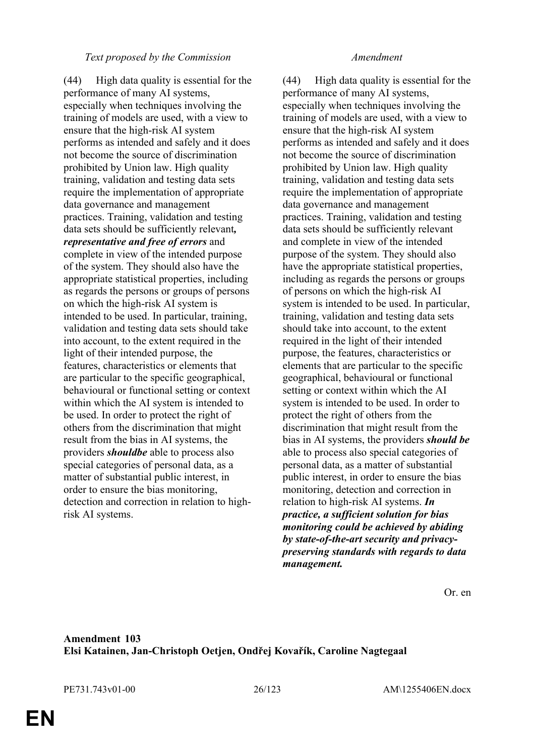#### *Text proposed by the Commission Amendment*

(44) High data quality is essential for the performance of many AI systems, especially when techniques involving the training of models are used, with a view to ensure that the high-risk AI system performs as intended and safely and it does not become the source of discrimination prohibited by Union law. High quality training, validation and testing data sets require the implementation of appropriate data governance and management practices. Training, validation and testing data sets should be sufficiently relevant*, representative and free of errors* and complete in view of the intended purpose of the system. They should also have the appropriate statistical properties, including as regards the persons or groups of persons on which the high-risk AI system is intended to be used. In particular, training, validation and testing data sets should take into account, to the extent required in the light of their intended purpose, the features, characteristics or elements that are particular to the specific geographical, behavioural or functional setting or context within which the AI system is intended to be used. In order to protect the right of others from the discrimination that might result from the bias in AI systems, the providers *shouldbe* able to process also special categories of personal data, as a matter of substantial public interest, in order to ensure the bias monitoring, detection and correction in relation to highrisk AI systems.

(44) High data quality is essential for the performance of many AI systems, especially when techniques involving the training of models are used, with a view to ensure that the high-risk AI system performs as intended and safely and it does not become the source of discrimination prohibited by Union law. High quality training, validation and testing data sets require the implementation of appropriate data governance and management practices. Training, validation and testing data sets should be sufficiently relevant and complete in view of the intended purpose of the system. They should also have the appropriate statistical properties, including as regards the persons or groups of persons on which the high-risk AI system is intended to be used. In particular, training, validation and testing data sets should take into account, to the extent required in the light of their intended purpose, the features, characteristics or elements that are particular to the specific geographical, behavioural or functional setting or context within which the AI system is intended to be used. In order to protect the right of others from the discrimination that might result from the bias in AI systems, the providers *should be* able to process also special categories of personal data, as a matter of substantial public interest, in order to ensure the bias monitoring, detection and correction in relation to high-risk AI systems. *In practice, a sufficient solution for bias monitoring could be achieved by abiding by state-of-the-art security and privacypreserving standards with regards to data management.*

Or. en

### **Amendment 103 Elsi Katainen, Jan-Christoph Oetjen, Ondřej Kovařík, Caroline Nagtegaal**

PE731.743v01-00 26/123 AM\1255406EN.docx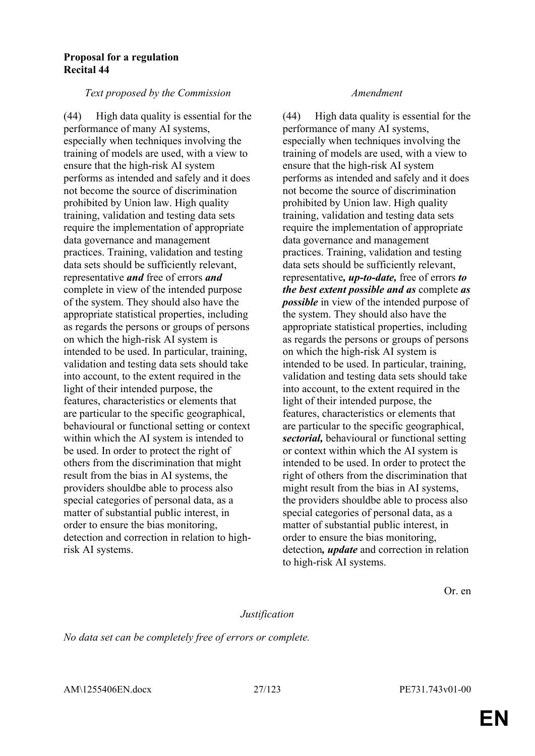#### **Proposal for a regulation Recital 44**

#### *Text proposed by the Commission Amendment*

(44) High data quality is essential for the performance of many AI systems, especially when techniques involving the training of models are used, with a view to ensure that the high-risk AI system performs as intended and safely and it does not become the source of discrimination prohibited by Union law. High quality training, validation and testing data sets require the implementation of appropriate data governance and management practices. Training, validation and testing data sets should be sufficiently relevant, representative *and* free of errors *and* complete in view of the intended purpose of the system. They should also have the appropriate statistical properties, including as regards the persons or groups of persons on which the high-risk AI system is intended to be used. In particular, training, validation and testing data sets should take into account, to the extent required in the light of their intended purpose, the features, characteristics or elements that are particular to the specific geographical, behavioural or functional setting or context within which the AI system is intended to be used. In order to protect the right of others from the discrimination that might result from the bias in AI systems, the providers shouldbe able to process also special categories of personal data, as a matter of substantial public interest, in order to ensure the bias monitoring, detection and correction in relation to highrisk AI systems.

(44) High data quality is essential for the performance of many AI systems, especially when techniques involving the training of models are used, with a view to ensure that the high-risk AI system performs as intended and safely and it does not become the source of discrimination prohibited by Union law. High quality training, validation and testing data sets require the implementation of appropriate data governance and management practices. Training, validation and testing data sets should be sufficiently relevant, representative*, up-to-date,* free of errors *to the best extent possible and as* complete *as possible* in view of the intended purpose of the system. They should also have the appropriate statistical properties, including as regards the persons or groups of persons on which the high-risk AI system is intended to be used. In particular, training, validation and testing data sets should take into account, to the extent required in the light of their intended purpose, the features, characteristics or elements that are particular to the specific geographical, *sectorial,* behavioural or functional setting or context within which the AI system is intended to be used. In order to protect the right of others from the discrimination that might result from the bias in AI systems, the providers shouldbe able to process also special categories of personal data, as a matter of substantial public interest, in order to ensure the bias monitoring, detection*, update* and correction in relation to high-risk AI systems.

Or. en

### *Justification*

*No data set can be completely free of errors or complete.*

AM\1255406EN.docx 27/123 PE731.743v01-00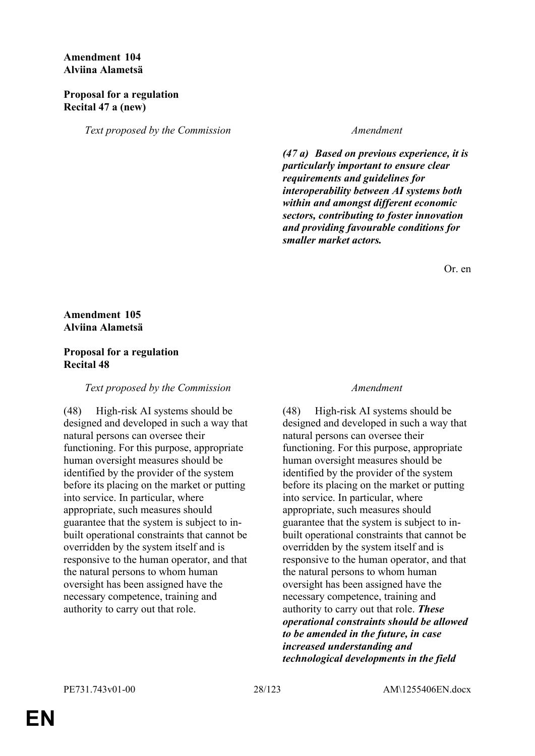### **Amendment 104 Alviina Alametsä**

#### **Proposal for a regulation Recital 47 a (new)**

*Text proposed by the Commission Amendment*

*(47 a) Based on previous experience, it is particularly important to ensure clear requirements and guidelines for interoperability between AI systems both within and amongst different economic sectors, contributing to foster innovation and providing favourable conditions for smaller market actors.*

Or. en

### **Amendment 105 Alviina Alametsä**

### **Proposal for a regulation Recital 48**

#### *Text proposed by the Commission Amendment*

(48) High-risk AI systems should be designed and developed in such a way that natural persons can oversee their functioning. For this purpose, appropriate human oversight measures should be identified by the provider of the system before its placing on the market or putting into service. In particular, where appropriate, such measures should guarantee that the system is subject to inbuilt operational constraints that cannot be overridden by the system itself and is responsive to the human operator, and that the natural persons to whom human oversight has been assigned have the necessary competence, training and authority to carry out that role.

(48) High-risk AI systems should be designed and developed in such a way that natural persons can oversee their functioning. For this purpose, appropriate human oversight measures should be identified by the provider of the system before its placing on the market or putting into service. In particular, where appropriate, such measures should guarantee that the system is subject to inbuilt operational constraints that cannot be overridden by the system itself and is responsive to the human operator, and that the natural persons to whom human oversight has been assigned have the necessary competence, training and authority to carry out that role. *These operational constraints should be allowed to be amended in the future, in case increased understanding and technological developments in the field*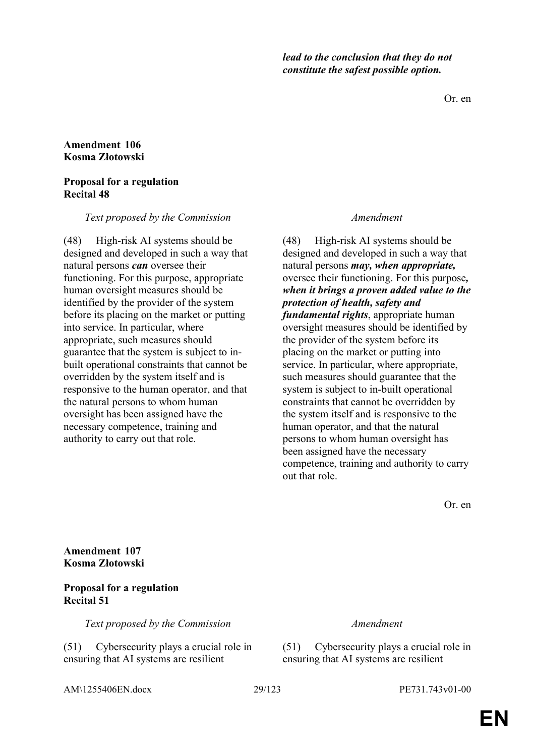*lead to the conclusion that they do not constitute the safest possible option.*

Or. en

#### **Amendment 106 Kosma Złotowski**

#### **Proposal for a regulation Recital 48**

*Text proposed by the Commission Amendment*

(48) High-risk AI systems should be designed and developed in such a way that natural persons *can* oversee their functioning. For this purpose, appropriate human oversight measures should be identified by the provider of the system before its placing on the market or putting into service. In particular, where appropriate, such measures should guarantee that the system is subject to inbuilt operational constraints that cannot be overridden by the system itself and is responsive to the human operator, and that the natural persons to whom human oversight has been assigned have the necessary competence, training and authority to carry out that role.

(48) High-risk AI systems should be designed and developed in such a way that natural persons *may, when appropriate,* oversee their functioning. For this purpose*, when it brings a proven added value to the protection of health, safety and fundamental rights*, appropriate human oversight measures should be identified by the provider of the system before its placing on the market or putting into service. In particular, where appropriate, such measures should guarantee that the system is subject to in-built operational constraints that cannot be overridden by the system itself and is responsive to the human operator, and that the natural persons to whom human oversight has been assigned have the necessary competence, training and authority to carry out that role.

Or. en

**Amendment 107 Kosma Złotowski**

### **Proposal for a regulation Recital 51**

*Text proposed by the Commission Amendment*

(51) Cybersecurity plays a crucial role in ensuring that AI systems are resilient

(51) Cybersecurity plays a crucial role in ensuring that AI systems are resilient

AM\1255406EN.docx 29/123 PE731.743v01-00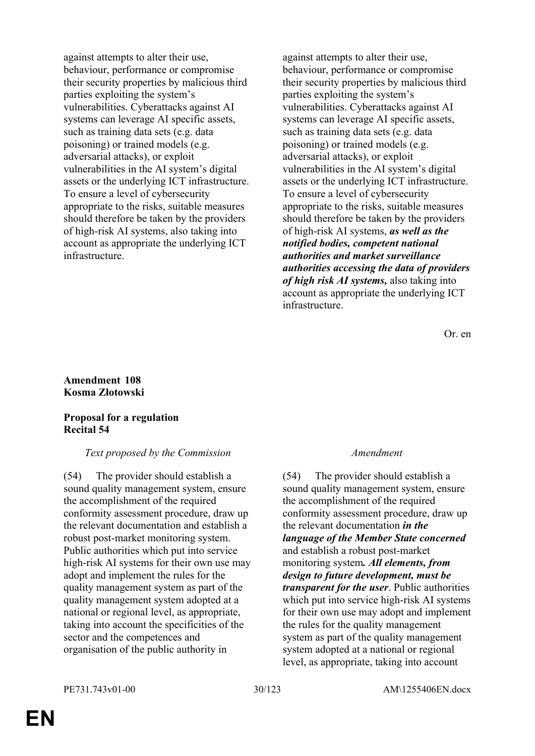against attempts to alter their use, behaviour, performance or compromise their security properties by malicious third parties exploiting the system's vulnerabilities. Cyberattacks against AI systems can leverage AI specific assets, such as training data sets (e.g. data poisoning) or trained models (e.g. adversarial attacks), or exploit vulnerabilities in the AI system's digital assets or the underlying ICT infrastructure. To ensure a level of cybersecurity appropriate to the risks, suitable measures should therefore be taken by the providers of high-risk AI systems, also taking into account as appropriate the underlying ICT infrastructure.

against attempts to alter their use, behaviour, performance or compromise their security properties by malicious third parties exploiting the system's vulnerabilities. Cyberattacks against AI systems can leverage AI specific assets, such as training data sets (e.g. data poisoning) or trained models (e.g. adversarial attacks), or exploit vulnerabilities in the AI system's digital assets or the underlying ICT infrastructure. To ensure a level of cybersecurity appropriate to the risks, suitable measures should therefore be taken by the providers of high-risk AI systems, *as well as the notified bodies, competent national authorities and market surveillance authorities accessing the data of providers of high risk AI systems,* also taking into account as appropriate the underlying ICT infrastructure.

Or. en

#### **Amendment 108 Kosma Złotowski**

### **Proposal for a regulation Recital 54**

#### *Text proposed by the Commission Amendment*

(54) The provider should establish a sound quality management system, ensure the accomplishment of the required conformity assessment procedure, draw up the relevant documentation and establish a robust post-market monitoring system. Public authorities which put into service high-risk AI systems for their own use may adopt and implement the rules for the quality management system as part of the quality management system adopted at a national or regional level, as appropriate, taking into account the specificities of the sector and the competences and organisation of the public authority in

(54) The provider should establish a sound quality management system, ensure the accomplishment of the required conformity assessment procedure, draw up the relevant documentation *in the language of the Member State concerned* and establish a robust post-market monitoring system*. All elements, from design to future development, must be transparent for the user*. Public authorities which put into service high-risk AI systems for their own use may adopt and implement the rules for the quality management system as part of the quality management system adopted at a national or regional level, as appropriate, taking into account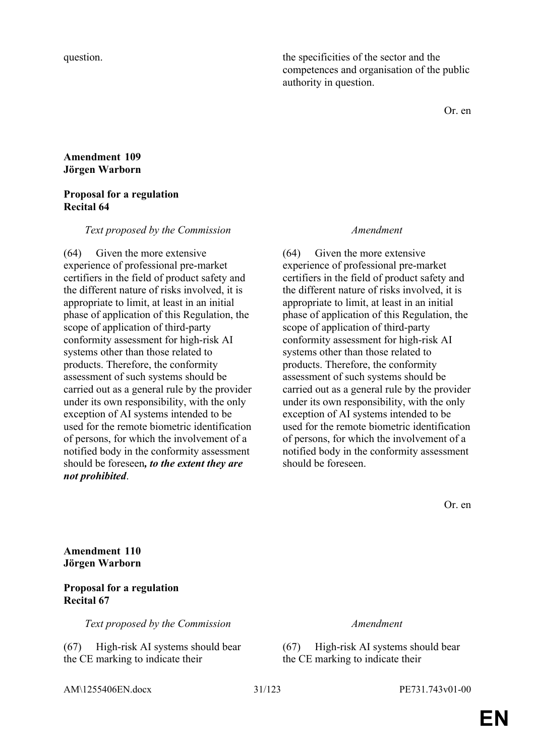question. the specificities of the sector and the competences and organisation of the public authority in question.

Or. en

#### **Amendment 109 Jörgen Warborn**

#### **Proposal for a regulation Recital 64**

#### *Text proposed by the Commission Amendment*

(64) Given the more extensive experience of professional pre-market certifiers in the field of product safety and the different nature of risks involved, it is appropriate to limit, at least in an initial phase of application of this Regulation, the scope of application of third-party conformity assessment for high-risk AI systems other than those related to products. Therefore, the conformity assessment of such systems should be carried out as a general rule by the provider under its own responsibility, with the only exception of AI systems intended to be used for the remote biometric identification of persons, for which the involvement of a notified body in the conformity assessment should be foreseen*, to the extent they are not prohibited*.

(64) Given the more extensive experience of professional pre-market certifiers in the field of product safety and the different nature of risks involved, it is appropriate to limit, at least in an initial phase of application of this Regulation, the scope of application of third-party conformity assessment for high-risk AI systems other than those related to products. Therefore, the conformity assessment of such systems should be carried out as a general rule by the provider under its own responsibility, with the only exception of AI systems intended to be used for the remote biometric identification of persons, for which the involvement of a notified body in the conformity assessment should be foreseen.

Or. en

**Amendment 110 Jörgen Warborn**

### **Proposal for a regulation Recital 67**

*Text proposed by the Commission Amendment*

(67) High-risk AI systems should bear the CE marking to indicate their

(67) High-risk AI systems should bear the CE marking to indicate their

AM\1255406EN.docx 31/123 PE731.743v01-00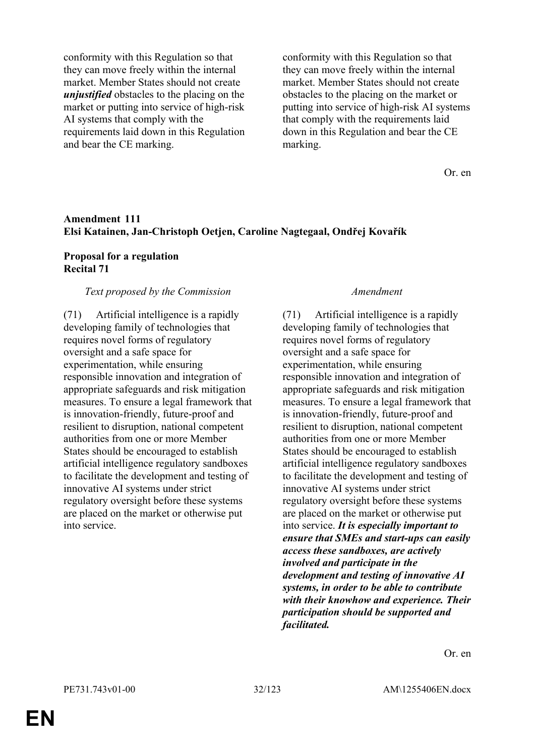conformity with this Regulation so that they can move freely within the internal market. Member States should not create *unjustified* obstacles to the placing on the market or putting into service of high-risk AI systems that comply with the requirements laid down in this Regulation and bear the CE marking.

conformity with this Regulation so that they can move freely within the internal market. Member States should not create obstacles to the placing on the market or putting into service of high-risk AI systems that comply with the requirements laid down in this Regulation and bear the CE marking.

Or. en

#### **Amendment 111 Elsi Katainen, Jan-Christoph Oetjen, Caroline Nagtegaal, Ondřej Kovařík**

#### **Proposal for a regulation Recital 71**

#### *Text proposed by the Commission Amendment*

(71) Artificial intelligence is a rapidly developing family of technologies that requires novel forms of regulatory oversight and a safe space for experimentation, while ensuring responsible innovation and integration of appropriate safeguards and risk mitigation measures. To ensure a legal framework that is innovation-friendly, future-proof and resilient to disruption, national competent authorities from one or more Member States should be encouraged to establish artificial intelligence regulatory sandboxes to facilitate the development and testing of innovative AI systems under strict regulatory oversight before these systems are placed on the market or otherwise put into service.

(71) Artificial intelligence is a rapidly developing family of technologies that requires novel forms of regulatory oversight and a safe space for experimentation, while ensuring responsible innovation and integration of appropriate safeguards and risk mitigation measures. To ensure a legal framework that is innovation-friendly, future-proof and resilient to disruption, national competent authorities from one or more Member States should be encouraged to establish artificial intelligence regulatory sandboxes to facilitate the development and testing of innovative AI systems under strict regulatory oversight before these systems are placed on the market or otherwise put into service. *It is especially important to ensure that SMEs and start-ups can easily access these sandboxes, are actively involved and participate in the development and testing of innovative AI systems, in order to be able to contribute with their knowhow and experience. Their participation should be supported and facilitated.*

Or. en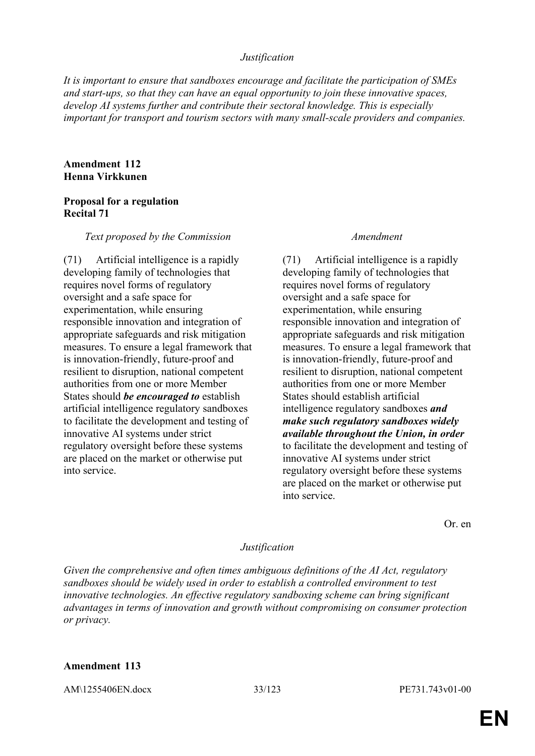#### *Justification*

*It is important to ensure that sandboxes encourage and facilitate the participation of SMEs and start-ups, so that they can have an equal opportunity to join these innovative spaces, develop AI systems further and contribute their sectoral knowledge. This is especially important for transport and tourism sectors with many small-scale providers and companies.*

#### **Amendment 112 Henna Virkkunen**

### **Proposal for a regulation Recital 71**

#### *Text proposed by the Commission Amendment*

(71) Artificial intelligence is a rapidly developing family of technologies that requires novel forms of regulatory oversight and a safe space for experimentation, while ensuring responsible innovation and integration of appropriate safeguards and risk mitigation measures. To ensure a legal framework that is innovation-friendly, future-proof and resilient to disruption, national competent authorities from one or more Member States should *be encouraged to* establish artificial intelligence regulatory sandboxes to facilitate the development and testing of innovative AI systems under strict regulatory oversight before these systems are placed on the market or otherwise put into service.

(71) Artificial intelligence is a rapidly developing family of technologies that requires novel forms of regulatory oversight and a safe space for experimentation, while ensuring responsible innovation and integration of appropriate safeguards and risk mitigation measures. To ensure a legal framework that is innovation-friendly, future-proof and resilient to disruption, national competent authorities from one or more Member States should establish artificial intelligence regulatory sandboxes *and make such regulatory sandboxes widely available throughout the Union, in order* to facilitate the development and testing of innovative AI systems under strict regulatory oversight before these systems are placed on the market or otherwise put into service.

Or. en

#### *Justification*

*Given the comprehensive and often times ambiguous definitions of the AI Act, regulatory sandboxes should be widely used in order to establish a controlled environment to test innovative technologies. An effective regulatory sandboxing scheme can bring significant advantages in terms of innovation and growth without compromising on consumer protection or privacy.*

### **Amendment 113**

AM\1255406EN.docx 33/123 PE731.743v01-00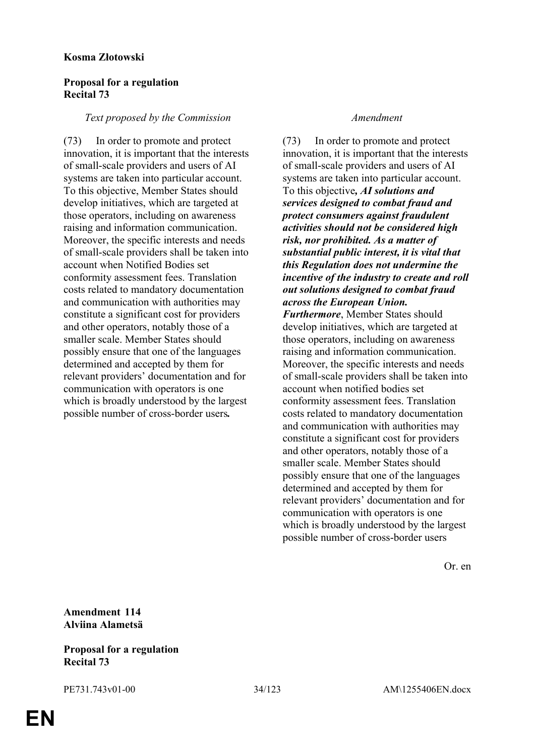#### **Kosma Złotowski**

#### **Proposal for a regulation Recital 73**

#### *Text proposed by the Commission Amendment*

(73) In order to promote and protect innovation, it is important that the interests of small-scale providers and users of AI systems are taken into particular account. To this objective, Member States should develop initiatives, which are targeted at those operators, including on awareness raising and information communication. Moreover, the specific interests and needs of small-scale providers shall be taken into account when Notified Bodies set conformity assessment fees. Translation costs related to mandatory documentation and communication with authorities may constitute a significant cost for providers and other operators, notably those of a smaller scale. Member States should possibly ensure that one of the languages determined and accepted by them for relevant providers' documentation and for communication with operators is one which is broadly understood by the largest possible number of cross-border users*.*

(73) In order to promote and protect innovation, it is important that the interests of small-scale providers and users of AI systems are taken into particular account. To this objective*, AI solutions and services designed to combat fraud and protect consumers against fraudulent activities should not be considered high risk, nor prohibited. As a matter of substantial public interest, it is vital that this Regulation does not undermine the incentive of the industry to create and roll out solutions designed to combat fraud across the European Union. Furthermore*, Member States should develop initiatives, which are targeted at those operators, including on awareness raising and information communication. Moreover, the specific interests and needs of small-scale providers shall be taken into account when notified bodies set conformity assessment fees. Translation costs related to mandatory documentation and communication with authorities may constitute a significant cost for providers and other operators, notably those of a smaller scale. Member States should possibly ensure that one of the languages determined and accepted by them for relevant providers' documentation and for communication with operators is one which is broadly understood by the largest possible number of cross-border users

Or. en

**Amendment 114 Alviina Alametsä**

**Proposal for a regulation Recital 73**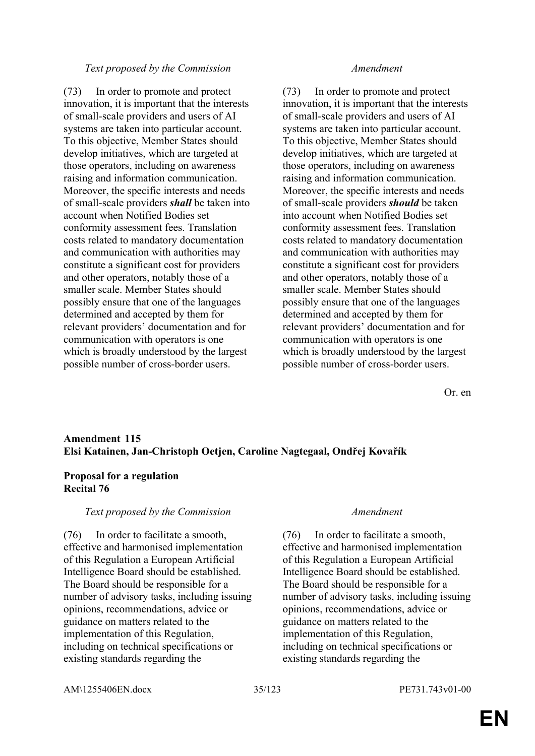#### *Text proposed by the Commission Amendment*

(73) In order to promote and protect innovation, it is important that the interests of small-scale providers and users of AI systems are taken into particular account. To this objective, Member States should develop initiatives, which are targeted at those operators, including on awareness raising and information communication. Moreover, the specific interests and needs of small-scale providers *shall* be taken into account when Notified Bodies set conformity assessment fees. Translation costs related to mandatory documentation and communication with authorities may constitute a significant cost for providers and other operators, notably those of a smaller scale. Member States should possibly ensure that one of the languages determined and accepted by them for relevant providers' documentation and for communication with operators is one which is broadly understood by the largest possible number of cross-border users.

(73) In order to promote and protect innovation, it is important that the interests of small-scale providers and users of AI systems are taken into particular account. To this objective, Member States should develop initiatives, which are targeted at those operators, including on awareness raising and information communication. Moreover, the specific interests and needs of small-scale providers *should* be taken into account when Notified Bodies set conformity assessment fees. Translation costs related to mandatory documentation and communication with authorities may constitute a significant cost for providers and other operators, notably those of a smaller scale. Member States should possibly ensure that one of the languages determined and accepted by them for relevant providers' documentation and for communication with operators is one which is broadly understood by the largest possible number of cross-border users.

Or. en

### **Amendment 115 Elsi Katainen, Jan-Christoph Oetjen, Caroline Nagtegaal, Ondřej Kovařík**

### **Proposal for a regulation Recital 76**

#### *Text proposed by the Commission Amendment*

(76) In order to facilitate a smooth, effective and harmonised implementation of this Regulation a European Artificial Intelligence Board should be established. The Board should be responsible for a number of advisory tasks, including issuing opinions, recommendations, advice or guidance on matters related to the implementation of this Regulation, including on technical specifications or existing standards regarding the

(76) In order to facilitate a smooth, effective and harmonised implementation of this Regulation a European Artificial Intelligence Board should be established. The Board should be responsible for a number of advisory tasks, including issuing opinions, recommendations, advice or guidance on matters related to the implementation of this Regulation, including on technical specifications or existing standards regarding the

AM\1255406EN.docx 35/123 PE731.743v01-00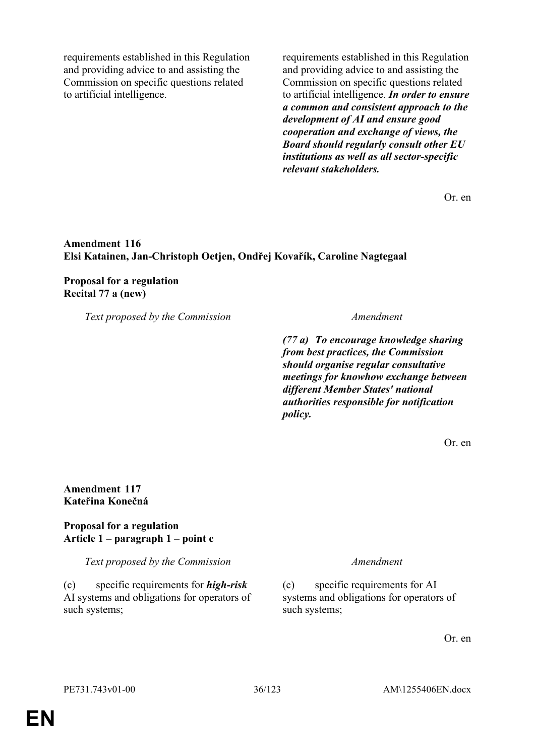requirements established in this Regulation and providing advice to and assisting the Commission on specific questions related to artificial intelligence.

requirements established in this Regulation and providing advice to and assisting the Commission on specific questions related to artificial intelligence. *In order to ensure a common and consistent approach to the development of AI and ensure good cooperation and exchange of views, the Board should regularly consult other EU institutions as well as all sector-specific relevant stakeholders.*

Or. en

### **Amendment 116 Elsi Katainen, Jan-Christoph Oetjen, Ondřej Kovařík, Caroline Nagtegaal**

#### **Proposal for a regulation Recital 77 a (new)**

*Text proposed by the Commission Amendment*

*(77 a) To encourage knowledge sharing from best practices, the Commission should organise regular consultative meetings for knowhow exchange between different Member States' national authorities responsible for notification policy.*

Or. en

### **Amendment 117 Kateřina Konečná**

### **Proposal for a regulation Article 1 – paragraph 1 – point c**

*Text proposed by the Commission Amendment*

(c) specific requirements for *high-risk* AI systems and obligations for operators of such systems;

(c) specific requirements for AI systems and obligations for operators of such systems;

Or. en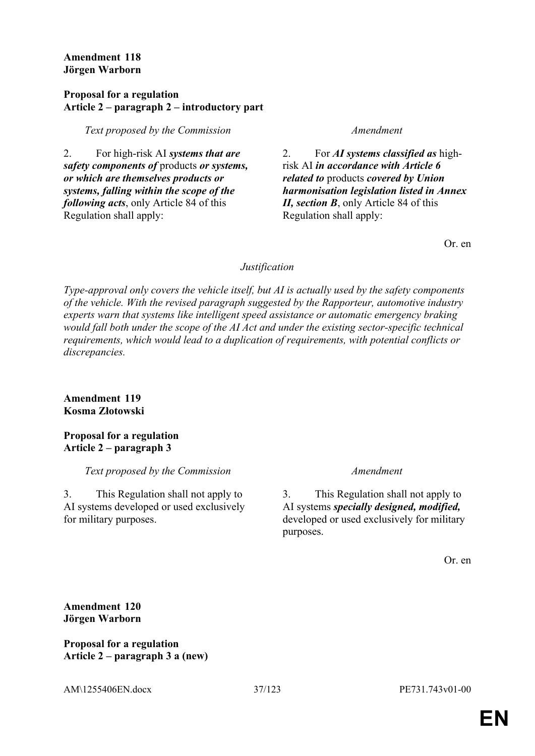### **Amendment 118 Jörgen Warborn**

### **Proposal for a regulation Article 2 – paragraph 2 – introductory part**

*Text proposed by the Commission Amendment*

2. For high-risk AI *systems that are safety components of* products *or systems, or which are themselves products or systems, falling within the scope of the following acts*, only Article 84 of this Regulation shall apply:

2. For *AI systems classified as* highrisk AI *in accordance with Article 6 related to* products *covered by Union harmonisation legislation listed in Annex II, section B*, only Article 84 of this Regulation shall apply:

Or. en

# *Justification*

*Type-approval only covers the vehicle itself, but AI is actually used by the safety components of the vehicle. With the revised paragraph suggested by the Rapporteur, automotive industry experts warn that systems like intelligent speed assistance or automatic emergency braking would fall both under the scope of the AI Act and under the existing sector-specific technical requirements, which would lead to a duplication of requirements, with potential conflicts or discrepancies.*

# **Amendment 119 Kosma Złotowski**

# **Proposal for a regulation Article 2 – paragraph 3**

*Text proposed by the Commission Amendment*

3. This Regulation shall not apply to AI systems developed or used exclusively for military purposes.

3. This Regulation shall not apply to AI systems *specially designed, modified,* developed or used exclusively for military purposes.

Or. en

**Amendment 120 Jörgen Warborn**

**Proposal for a regulation Article 2 – paragraph 3 a (new)**

AM\1255406EN.docx 37/123 PE731.743v01-00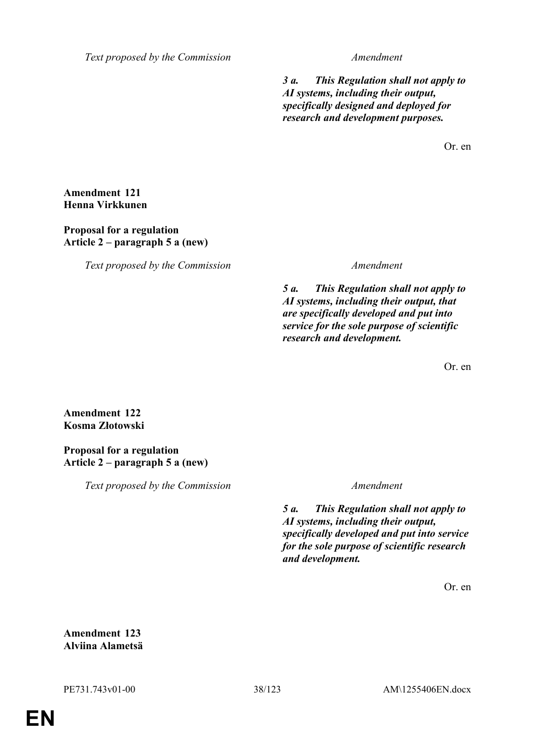*Text proposed by the Commission Amendment*

*3 a. This Regulation shall not apply to AI systems, including their output, specifically designed and deployed for research and development purposes.*

Or. en

**Amendment 121 Henna Virkkunen**

### **Proposal for a regulation Article 2 – paragraph 5 a (new)**

*Text proposed by the Commission Amendment*

*5 a. This Regulation shall not apply to AI systems, including their output, that are specifically developed and put into service for the sole purpose of scientific research and development.*

Or. en

**Amendment 122 Kosma Złotowski**

**Proposal for a regulation Article 2 – paragraph 5 a (new)**

*Text proposed by the Commission Amendment*

*5 a. This Regulation shall not apply to AI systems, including their output, specifically developed and put into service for the sole purpose of scientific research and development.*

Or. en

**Amendment 123 Alviina Alametsä**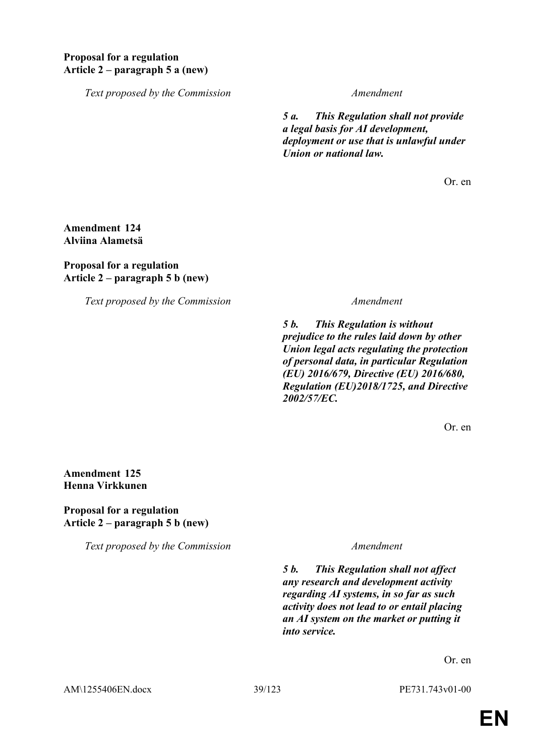# **Proposal for a regulation Article 2 – paragraph 5 a (new)**

*Text proposed by the Commission Amendment*

*5 a. This Regulation shall not provide a legal basis for AI development, deployment or use that is unlawful under Union or national law.*

Or. en

# **Amendment 124 Alviina Alametsä**

### **Proposal for a regulation Article 2 – paragraph 5 b (new)**

*Text proposed by the Commission Amendment*

*5 b. This Regulation is without prejudice to the rules laid down by other Union legal acts regulating the protection of personal data, in particular Regulation (EU) 2016/679, Directive (EU) 2016/680, Regulation (EU)2018/1725, and Directive 2002/57/EC.*

Or. en

# **Amendment 125 Henna Virkkunen**

### **Proposal for a regulation Article 2 – paragraph 5 b (new)**

*Text proposed by the Commission Amendment*

*5 b. This Regulation shall not affect any research and development activity regarding AI systems, in so far as such activity does not lead to or entail placing an AI system on the market or putting it into service.*

Or. en

AM\1255406EN.docx 39/123 PE731.743v01-00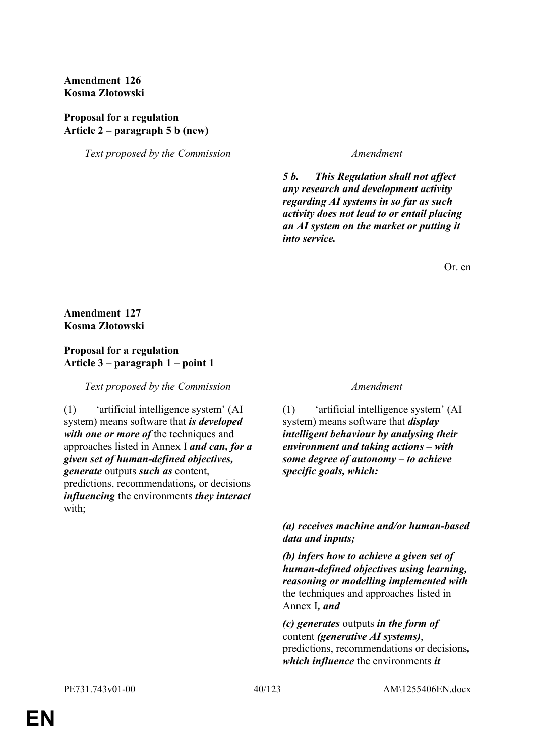# **Amendment 126 Kosma Złotowski**

# **Proposal for a regulation Article 2 – paragraph 5 b (new)**

*Text proposed by the Commission Amendment*

*5 b. This Regulation shall not affect any research and development activity regarding AI systems in so far as such activity does not lead to or entail placing an AI system on the market or putting it into service.*

Or. en

# **Amendment 127 Kosma Złotowski**

### **Proposal for a regulation Article 3 – paragraph 1 – point 1**

*Text proposed by the Commission Amendment*

(1) 'artificial intelligence system' (AI system) means software that *is developed with one or more of* the techniques and approaches listed in Annex I *and can, for a given set of human-defined objectives, generate* outputs *such as* content, predictions, recommendations*,* or decisions *influencing* the environments *they interact* with;

(1) 'artificial intelligence system' (AI system) means software that *display intelligent behaviour by analysing their environment and taking actions – with some degree of autonomy – to achieve specific goals, which:*

# *(a) receives machine and/or human-based data and inputs;*

*(b) infers how to achieve a given set of human-defined objectives using learning, reasoning or modelling implemented with* the techniques and approaches listed in Annex I*, and*

*(c) generates* outputs *in the form of* content *(generative AI systems)*, predictions, recommendations or decisions*, which influence* the environments *it*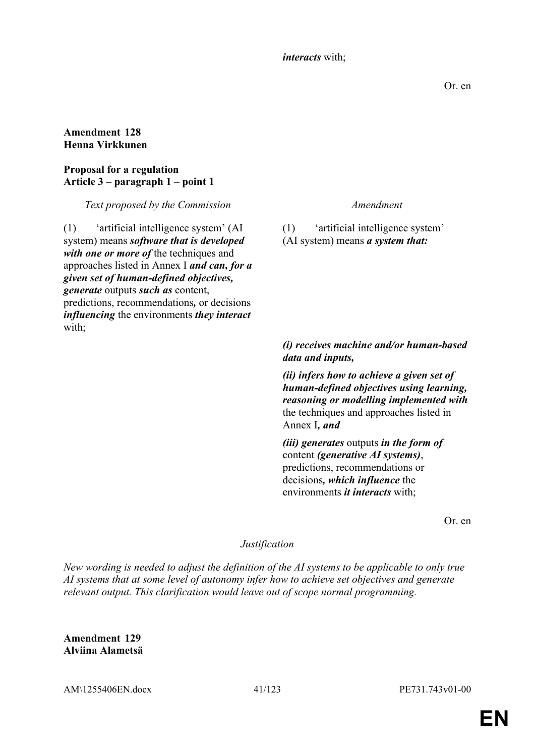### *interacts* with;

Or. en

### **Amendment 128 Henna Virkkunen**

## **Proposal for a regulation Article 3 – paragraph 1 – point 1**

*Text proposed by the Commission Amendment*

(1) 'artificial intelligence system' (AI system) means *software that is developed with one or more of* the techniques and approaches listed in Annex I *and can, for a given set of human-defined objectives, generate* outputs *such as* content, predictions, recommendations*,* or decisions *influencing* the environments *they interact* with;

(1) 'artificial intelligence system' (AI system) means *a system that:* 

# *(i) receives machine and/or human-based data and inputs,*

*(ii) infers how to achieve a given set of human-defined objectives using learning, reasoning or modelling implemented with* the techniques and approaches listed in Annex I*, and*

*(iii) generates* outputs *in the form of* content *(generative AI systems)*, predictions, recommendations or decisions*, which influence* the environments *it interacts* with;

Or. en

# *Justification*

*New wording is needed to adjust the definition of the AI systems to be applicable to only true AI systems that at some level of autonomy infer how to achieve set objectives and generate relevant output. This clarification would leave out of scope normal programming.*

**Amendment 129 Alviina Alametsä**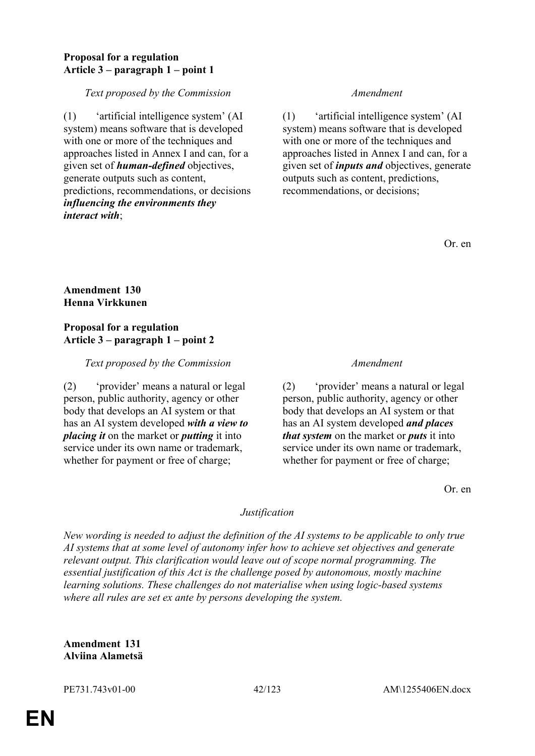## **Proposal for a regulation Article 3 – paragraph 1 – point 1**

*Text proposed by the Commission Amendment*

(1) 'artificial intelligence system' (AI system) means software that is developed with one or more of the techniques and approaches listed in Annex I and can, for a given set of *human-defined* objectives, generate outputs such as content, predictions, recommendations, or decisions *influencing the environments they interact with*;

(1) 'artificial intelligence system' (AI system) means software that is developed with one or more of the techniques and approaches listed in Annex I and can, for a given set of *inputs and* objectives, generate outputs such as content, predictions, recommendations, or decisions;

Or. en

# **Amendment 130 Henna Virkkunen**

### **Proposal for a regulation Article 3 – paragraph 1 – point 2**

# *Text proposed by the Commission Amendment*

(2) 'provider' means a natural or legal person, public authority, agency or other body that develops an AI system or that has an AI system developed *with a view to placing it* on the market or *putting* it into service under its own name or trademark, whether for payment or free of charge;

(2) 'provider' means a natural or legal person, public authority, agency or other body that develops an AI system or that has an AI system developed *and places that system* on the market or *puts* it into service under its own name or trademark, whether for payment or free of charge;

Or. en

# *Justification*

*New wording is needed to adjust the definition of the AI systems to be applicable to only true AI systems that at some level of autonomy infer how to achieve set objectives and generate relevant output. This clarification would leave out of scope normal programming. The essential justification of this Act is the challenge posed by autonomous, mostly machine learning solutions. These challenges do not materialise when using logic-based systems where all rules are set ex ante by persons developing the system.*

**Amendment 131 Alviina Alametsä**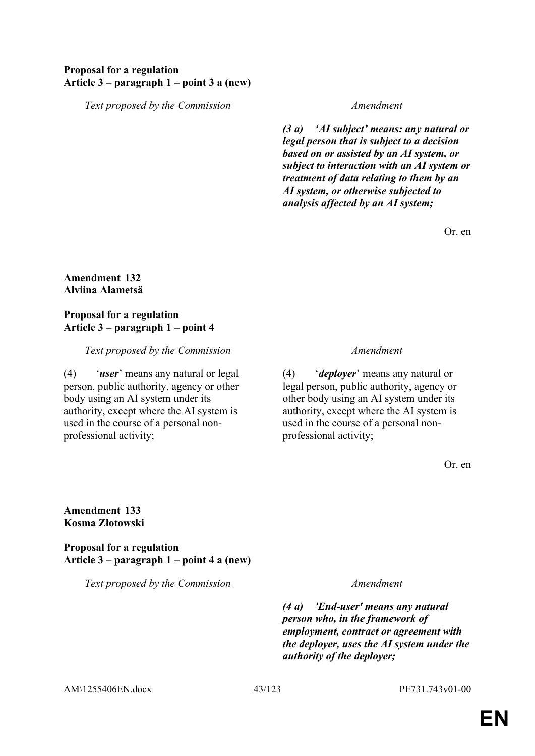# **Proposal for a regulation Article 3 – paragraph 1 – point 3 a (new)**

*Text proposed by the Commission Amendment*

*(3 a) 'AI subject' means: any natural or legal person that is subject to a decision based on or assisted by an AI system, or subject to interaction with an AI system or treatment of data relating to them by an AI system, or otherwise subjected to analysis affected by an AI system;*

Or. en

### **Amendment 132 Alviina Alametsä**

# **Proposal for a regulation Article 3 – paragraph 1 – point 4**

*Text proposed by the Commission Amendment*

(4) '*user*' means any natural or legal person, public authority, agency or other body using an AI system under its authority, except where the AI system is used in the course of a personal nonprofessional activity;

(4) '*deployer*' means any natural or legal person, public authority, agency or other body using an AI system under its authority, except where the AI system is used in the course of a personal nonprofessional activity;

Or. en

### **Amendment 133 Kosma Złotowski**

**Proposal for a regulation Article 3 – paragraph 1 – point 4 a (new)**

*Text proposed by the Commission Amendment*

*(4 a) 'End-user' means any natural person who, in the framework of employment, contract or agreement with the deployer, uses the AI system under the authority of the deployer;*

AM\1255406EN.docx 43/123 PE731.743v01-00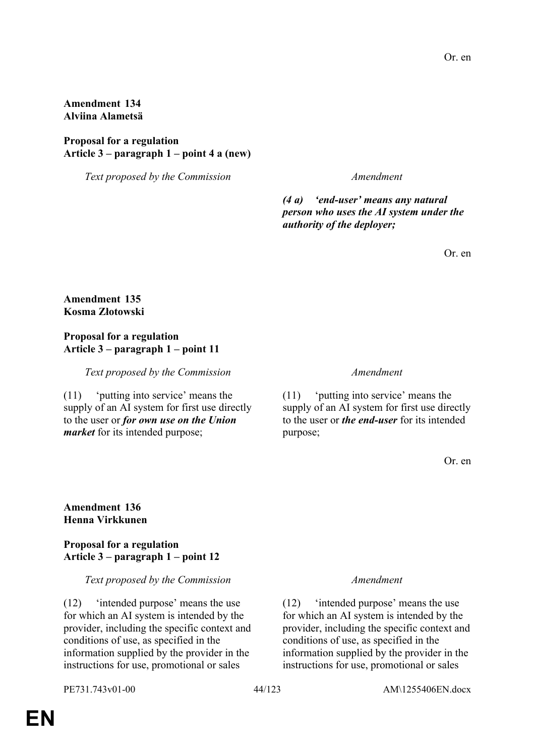### **Amendment 134 Alviina Alametsä**

### **Proposal for a regulation Article 3 – paragraph 1 – point 4 a (new)**

*Text proposed by the Commission Amendment*

*(4 a) 'end-user' means any natural person who uses the AI system under the authority of the deployer;*

Or. en

### **Amendment 135 Kosma Złotowski**

# **Proposal for a regulation Article 3 – paragraph 1 – point 11**

*Text proposed by the Commission Amendment*

(11) 'putting into service' means the supply of an AI system for first use directly to the user or *for own use on the Union market* for its intended purpose;

(11) 'putting into service' means the supply of an AI system for first use directly to the user or *the end-user* for its intended purpose;

Or. en

### **Amendment 136 Henna Virkkunen**

### **Proposal for a regulation Article 3 – paragraph 1 – point 12**

*Text proposed by the Commission Amendment*

(12) 'intended purpose' means the use for which an AI system is intended by the provider, including the specific context and conditions of use, as specified in the information supplied by the provider in the instructions for use, promotional or sales

(12) 'intended purpose' means the use for which an AI system is intended by the provider, including the specific context and conditions of use, as specified in the information supplied by the provider in the instructions for use, promotional or sales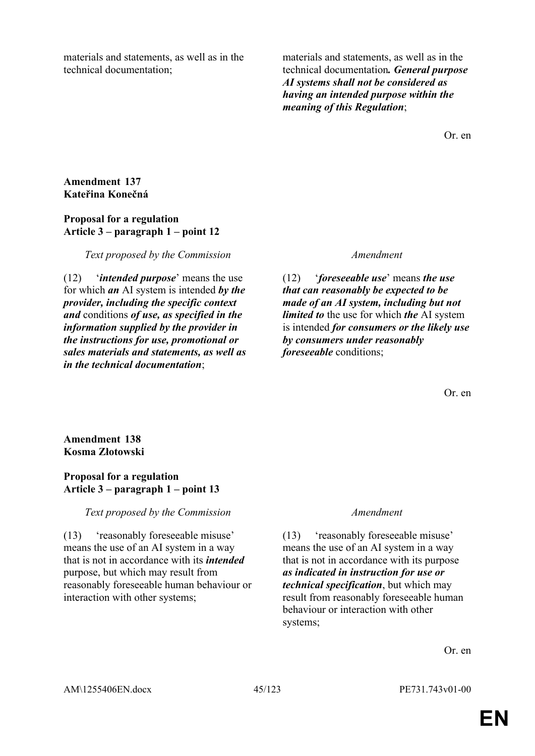materials and statements, as well as in the technical documentation;

materials and statements, as well as in the technical documentation*. General purpose AI systems shall not be considered as having an intended purpose within the meaning of this Regulation*;

Or. en

# **Amendment 137 Kateřina Konečná**

### **Proposal for a regulation Article 3 – paragraph 1 – point 12**

*Text proposed by the Commission Amendment*

(12) '*intended purpose*' means the use for which *an* AI system is intended *by the provider, including the specific context and* conditions *of use, as specified in the information supplied by the provider in the instructions for use, promotional or sales materials and statements, as well as in the technical documentation*;

(12) '*foreseeable use*' means *the use that can reasonably be expected to be made of an AI system, including but not limited to* the use for which *the* AI system is intended *for consumers or the likely use by consumers under reasonably foreseeable* conditions;

Or. en

# **Amendment 138 Kosma Złotowski**

# **Proposal for a regulation Article 3 – paragraph 1 – point 13**

# *Text proposed by the Commission Amendment*

(13) 'reasonably foreseeable misuse' means the use of an AI system in a way that is not in accordance with its *intended* purpose, but which may result from reasonably foreseeable human behaviour or interaction with other systems;

(13) 'reasonably foreseeable misuse' means the use of an AI system in a way that is not in accordance with its purpose *as indicated in instruction for use or technical specification*, but which may result from reasonably foreseeable human behaviour or interaction with other systems;

Or. en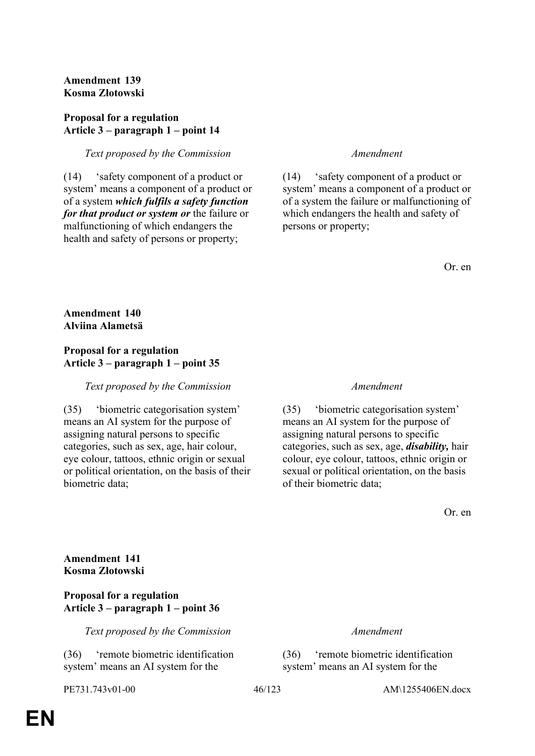# **Amendment 139 Kosma Złotowski**

# **Proposal for a regulation Article 3 – paragraph 1 – point 14**

# *Text proposed by the Commission Amendment*

(14) 'safety component of a product or system' means a component of a product or of a system *which fulfils a safety function for that product or system or* the failure or malfunctioning of which endangers the health and safety of persons or property;

(14) 'safety component of a product or system' means a component of a product or of a system the failure or malfunctioning of which endangers the health and safety of persons or property;

Or. en

# **Amendment 140 Alviina Alametsä**

# **Proposal for a regulation Article 3 – paragraph 1 – point 35**

# *Text proposed by the Commission Amendment*

(35) 'biometric categorisation system' means an AI system for the purpose of assigning natural persons to specific categories, such as sex, age, hair colour, eye colour, tattoos, ethnic origin or sexual or political orientation, on the basis of their biometric data;

(35) 'biometric categorisation system' means an AI system for the purpose of assigning natural persons to specific categories, such as sex, age, *disability,* hair colour, eye colour, tattoos, ethnic origin or sexual or political orientation, on the basis of their biometric data;

Or. en

**Amendment 141 Kosma Złotowski**

### **Proposal for a regulation Article 3 – paragraph 1 – point 36**

*Text proposed by the Commission Amendment*

(36) 'remote biometric identification system' means an AI system for the

(36) 'remote biometric identification system' means an AI system for the

PE731.743v01-00 46/123 AM\1255406EN.docx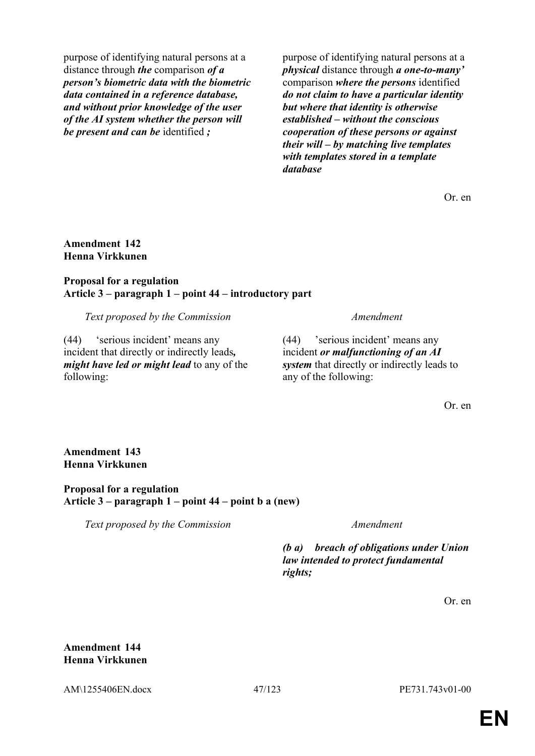purpose of identifying natural persons at a distance through *the* comparison *of a person's biometric data with the biometric data contained in a reference database, and without prior knowledge of the user of the AI system whether the person will be present and can be* identified *;*

purpose of identifying natural persons at a *physical* distance through *a one-to-many'* comparison *where the persons* identified *do not claim to have a particular identity but where that identity is otherwise established – without the conscious cooperation of these persons or against their will – by matching live templates with templates stored in a template database*

Or. en

# **Amendment 142 Henna Virkkunen**

### **Proposal for a regulation Article 3 – paragraph 1 – point 44 – introductory part**

*Text proposed by the Commission Amendment*

(44) 'serious incident' means any incident that directly or indirectly leads*, might have led or might lead* to any of the following:

(44) 'serious incident' means any incident *or malfunctioning of an AI system* that directly or indirectly leads to any of the following:

Or. en

**Amendment 143 Henna Virkkunen**

### **Proposal for a regulation Article 3 – paragraph 1 – point 44 – point b a (new)**

*Text proposed by the Commission Amendment*

*(b a) breach of obligations under Union law intended to protect fundamental rights;*

Or. en

**Amendment 144 Henna Virkkunen**

AM\1255406EN.docx 47/123 PE731.743v01-00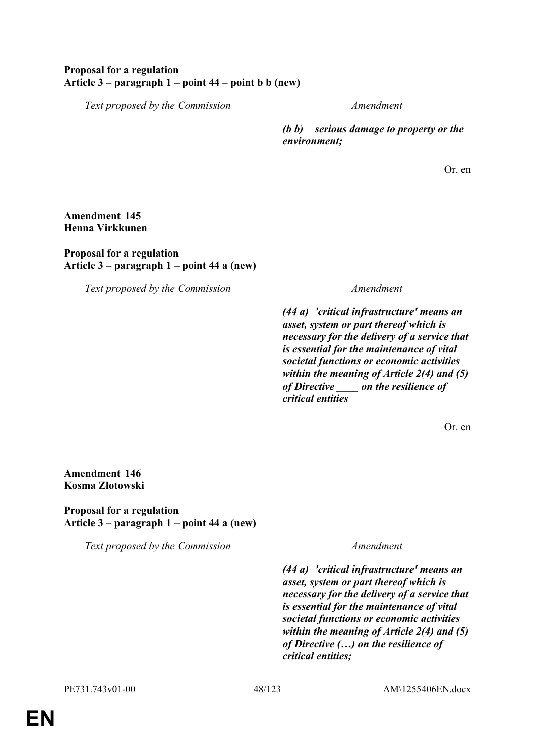# **Proposal for a regulation Article 3 – paragraph 1 – point 44 – point b b (new)**

*Text proposed by the Commission Amendment*

*(b b) serious damage to property or the environment;*

Or. en

### **Amendment 145 Henna Virkkunen**

### **Proposal for a regulation Article 3 – paragraph 1 – point 44 a (new)**

*Text proposed by the Commission Amendment*

*(44 a) 'critical infrastructure' means an asset, system or part thereof which is necessary for the delivery of a service that is essential for the maintenance of vital societal functions or economic activities within the meaning of Article 2(4) and (5) of Directive \_\_\_\_ on the resilience of critical entities*

Or. en

**Amendment 146 Kosma Złotowski**

**Proposal for a regulation Article 3 – paragraph 1 – point 44 a (new)**

*Text proposed by the Commission Amendment*

*(44 a) 'critical infrastructure' means an asset, system or part thereof which is necessary for the delivery of a service that is essential for the maintenance of vital societal functions or economic activities within the meaning of Article 2(4) and (5) of Directive (…) on the resilience of critical entities;*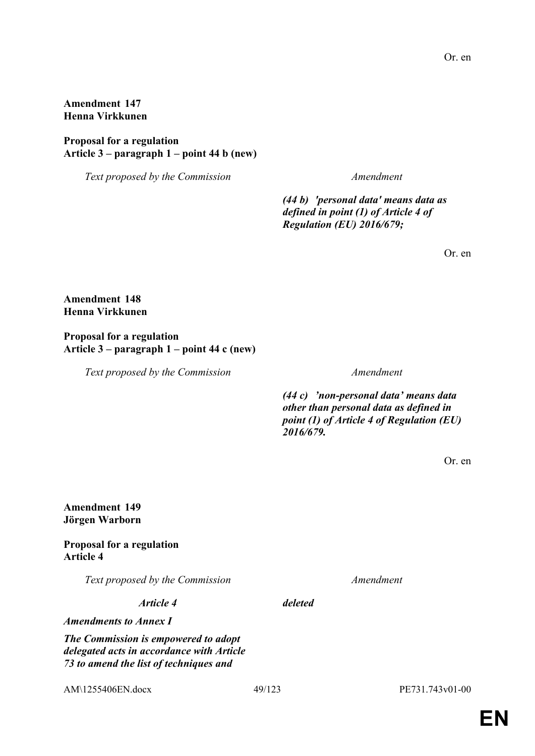# **Amendment 147 Henna Virkkunen**

### **Proposal for a regulation Article 3 – paragraph 1 – point 44 b (new)**

*Text proposed by the Commission Amendment*

*(44 b) 'personal data' means data as defined in point (1) of Article 4 of Regulation (EU) 2016/679;*

Or. en

### **Amendment 148 Henna Virkkunen**

### **Proposal for a regulation Article 3 – paragraph 1 – point 44 c (new)**

*Text proposed by the Commission Amendment*

*(44 c) 'non-personal data' means data other than personal data as defined in point (1) of Article 4 of Regulation (EU) 2016/679.*

Or. en

## **Amendment 149 Jörgen Warborn**

### **Proposal for a regulation Article 4**

*Text proposed by the Commission Amendment*

*Article 4 deleted*

*Amendments to Annex I*

*The Commission is empowered to adopt delegated acts in accordance with Article 73 to amend the list of techniques and* 

AM\1255406EN.docx 49/123 PE731.743v01-00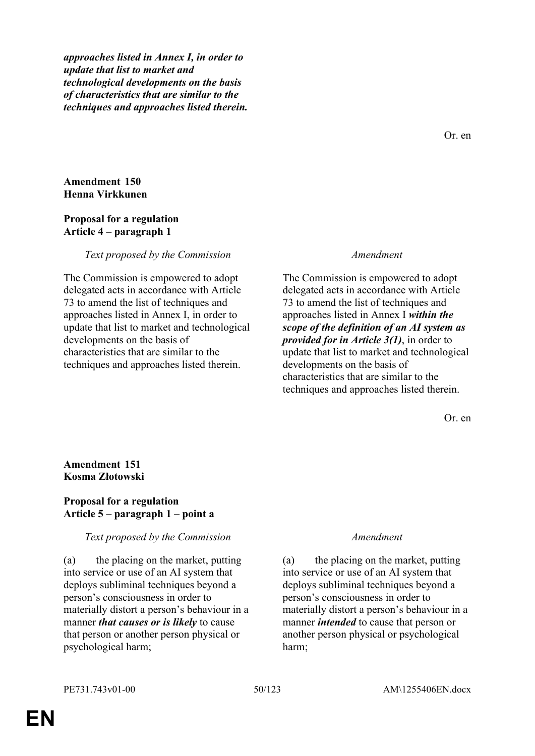*approaches listed in Annex I, in order to update that list to market and technological developments on the basis of characteristics that are similar to the techniques and approaches listed therein.*

Or. en

# **Amendment 150 Henna Virkkunen**

### **Proposal for a regulation Article 4 – paragraph 1**

### *Text proposed by the Commission Amendment*

The Commission is empowered to adopt delegated acts in accordance with Article 73 to amend the list of techniques and approaches listed in Annex I, in order to update that list to market and technological developments on the basis of characteristics that are similar to the techniques and approaches listed therein.

The Commission is empowered to adopt delegated acts in accordance with Article 73 to amend the list of techniques and approaches listed in Annex I *within the scope of the definition of an AI system as provided for in Article 3(1)*, in order to update that list to market and technological developments on the basis of characteristics that are similar to the techniques and approaches listed therein.

Or. en

### **Amendment 151 Kosma Złotowski**

### **Proposal for a regulation Article 5 – paragraph 1 – point a**

### *Text proposed by the Commission Amendment*

(a) the placing on the market, putting into service or use of an AI system that deploys subliminal techniques beyond a person's consciousness in order to materially distort a person's behaviour in a manner *that causes or is likely* to cause that person or another person physical or psychological harm;

(a) the placing on the market, putting into service or use of an AI system that deploys subliminal techniques beyond a person's consciousness in order to materially distort a person's behaviour in a manner *intended* to cause that person or another person physical or psychological harm;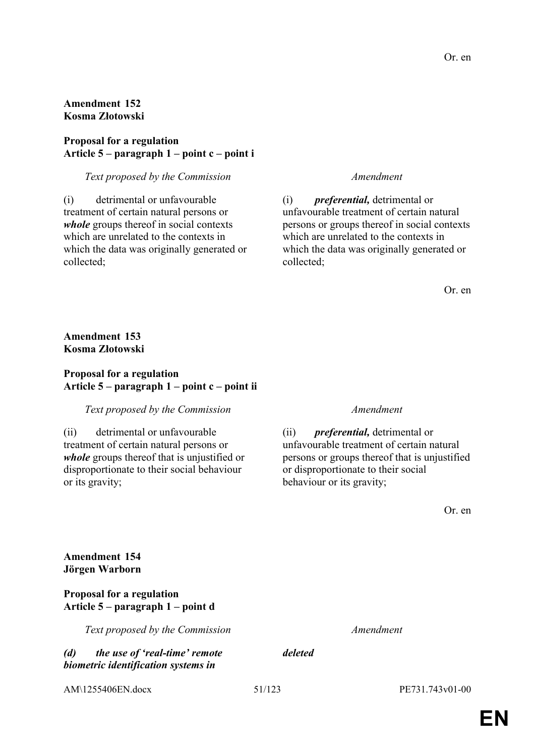## **Amendment 152 Kosma Złotowski**

### **Proposal for a regulation Article 5 – paragraph 1 – point c – point i**

### *Text proposed by the Commission Amendment*

(i) detrimental or unfavourable treatment of certain natural persons or *whole* groups thereof in social contexts which are unrelated to the contexts in which the data was originally generated or collected;

(i) *preferential,* detrimental or unfavourable treatment of certain natural persons or groups thereof in social contexts which are unrelated to the contexts in which the data was originally generated or collected;

Or. en

# **Amendment 153 Kosma Złotowski**

### **Proposal for a regulation Article 5 – paragraph 1 – point c – point ii**

### *Text proposed by the Commission Amendment*

(ii) detrimental or unfavourable treatment of certain natural persons or *whole* groups thereof that is unjustified or disproportionate to their social behaviour or its gravity;

(ii) *preferential,* detrimental or unfavourable treatment of certain natural persons or groups thereof that is unjustified or disproportionate to their social behaviour or its gravity;

Or. en

# **Amendment 154 Jörgen Warborn**

### **Proposal for a regulation Article 5 – paragraph 1 – point d**

*Text proposed by the Commission Amendment*

### *(d) the use of 'real-time' remote biometric identification systems in*

*deleted*

AM\1255406EN.docx 51/123 PE731.743v01-00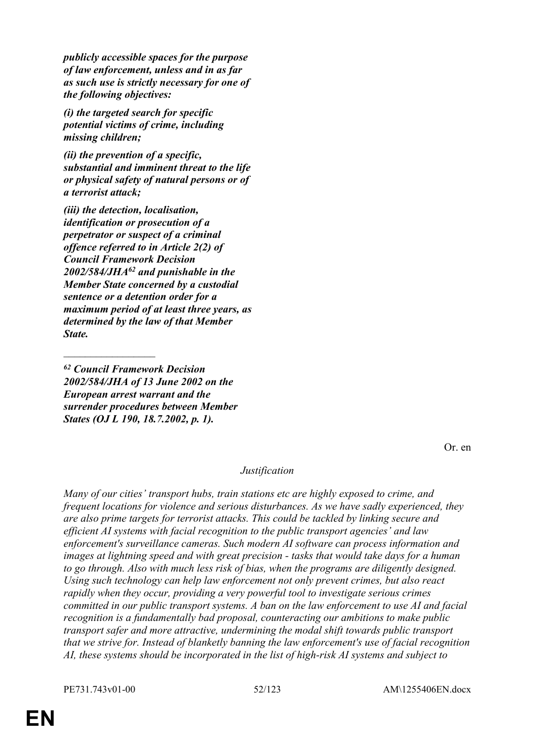*publicly accessible spaces for the purpose of law enforcement, unless and in as far as such use is strictly necessary for one of the following objectives:*

*(i) the targeted search for specific potential victims of crime, including missing children;*

*(ii) the prevention of a specific, substantial and imminent threat to the life or physical safety of natural persons or of a terrorist attack;*

*(iii) the detection, localisation, identification or prosecution of a perpetrator or suspect of a criminal offence referred to in Article 2(2) of Council Framework Decision 2002/584/JHA<sup>62</sup> and punishable in the Member State concerned by a custodial sentence or a detention order for a maximum period of at least three years, as determined by the law of that Member State.*

*<sup>62</sup> Council Framework Decision 2002/584/JHA of 13 June 2002 on the European arrest warrant and the surrender procedures between Member States (OJ L 190, 18.7.2002, p. 1).*

 $\frac{1}{2}$ 

Or. en

### *Justification*

*Many of our cities' transport hubs, train stations etc are highly exposed to crime, and frequent locations for violence and serious disturbances. As we have sadly experienced, they are also prime targets for terrorist attacks. This could be tackled by linking secure and efficient AI systems with facial recognition to the public transport agencies' and law enforcement's surveillance cameras. Such modern AI software can process information and images at lightning speed and with great precision - tasks that would take days for a human to go through. Also with much less risk of bias, when the programs are diligently designed. Using such technology can help law enforcement not only prevent crimes, but also react rapidly when they occur, providing a very powerful tool to investigate serious crimes committed in our public transport systems. A ban on the law enforcement to use AI and facial recognition is a fundamentally bad proposal, counteracting our ambitions to make public transport safer and more attractive, undermining the modal shift towards public transport that we strive for. Instead of blanketly banning the law enforcement's use of facial recognition AI, these systems should be incorporated in the list of high-risk AI systems and subject to*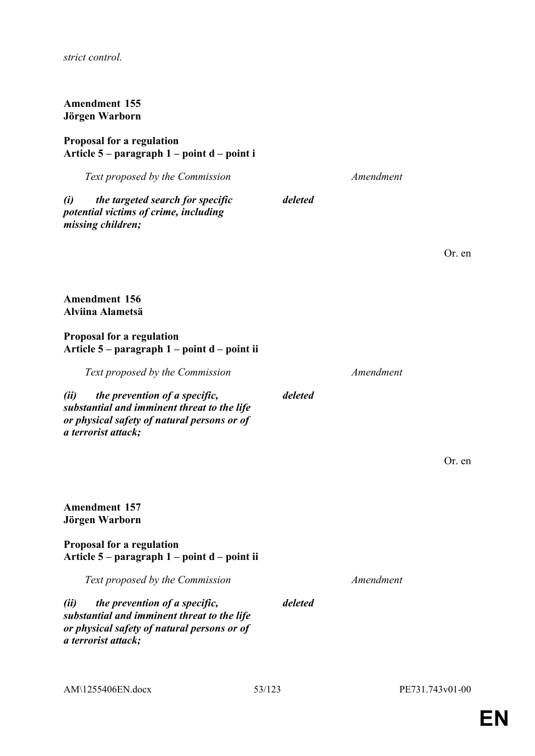*strict control.*

### **Amendment 155 Jörgen Warborn**

### **Proposal for a regulation Article 5 – paragraph 1 – point d – point i**

|      | Text proposed by the Commission                                                                |         | Amendment |     |
|------|------------------------------------------------------------------------------------------------|---------|-----------|-----|
| (i)  | the targeted search for specific<br>potential victims of crime, including<br>missing children; | deleted |           |     |
|      |                                                                                                |         |           | Or. |
|      | <b>Amendment 156</b><br>Alviina Alametsä                                                       |         |           |     |
|      | <b>Proposal for a regulation</b><br>Article $5$ – paragraph $1$ – point $d$ – point ii         |         |           |     |
|      | Text proposed by the Commission                                                                |         | Amendment |     |
| (ii) | the prevention of a specific,                                                                  | deleted |           |     |

*substantial and imminent threat to the life or physical safety of natural persons or of a terrorist attack;*

**Amendment 157 Jörgen Warborn**

**Proposal for a regulation Article 5 – paragraph 1 – point d – point ii**

*Text proposed by the Commission Amendment*

*(ii) the prevention of a specific, substantial and imminent threat to the life or physical safety of natural persons or of a terrorist attack;*

*deleted*

en

Or. en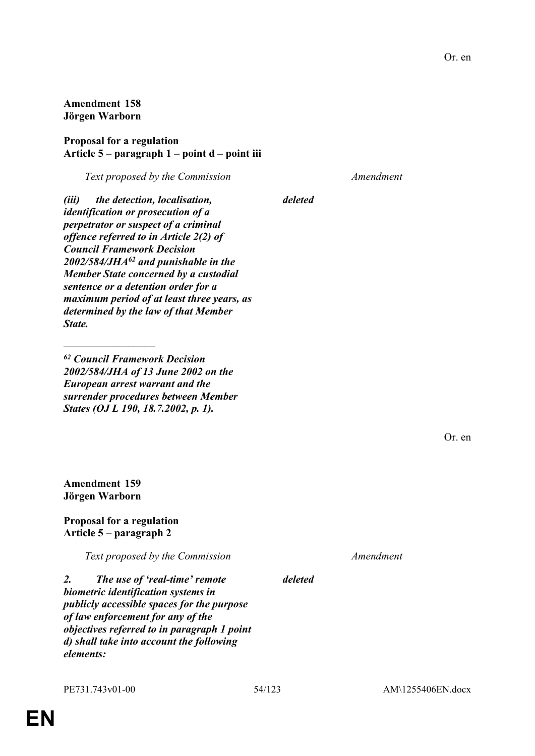**Article 5 – paragraph 1 – point d – point iii**

**Amendment 158 Jörgen Warborn**

**Proposal for a regulation**

*(iii) the detection, localisation, identification or prosecution of a perpetrator or suspect of a criminal offence referred to in Article 2(2) of Council Framework Decision 2002/584/JHA<sup>62</sup> and punishable in the Member State concerned by a custodial sentence or a detention order for a maximum period of at least three years, as determined by the law of that Member State.*

*<sup>62</sup> Council Framework Decision 2002/584/JHA of 13 June 2002 on the European arrest warrant and the surrender procedures between Member States (OJ L 190, 18.7.2002, p. 1).*

**Amendment 159 Jörgen Warborn**

 $\frac{1}{2}$ 

**Proposal for a regulation Article 5 – paragraph 2**

*Text proposed by the Commission Amendment*

*2. The use of 'real-time' remote biometric identification systems in publicly accessible spaces for the purpose of law enforcement for any of the objectives referred to in paragraph 1 point d) shall take into account the following elements:*

*deleted*

*Text proposed by the Commission Amendment*

*deleted*

Or. en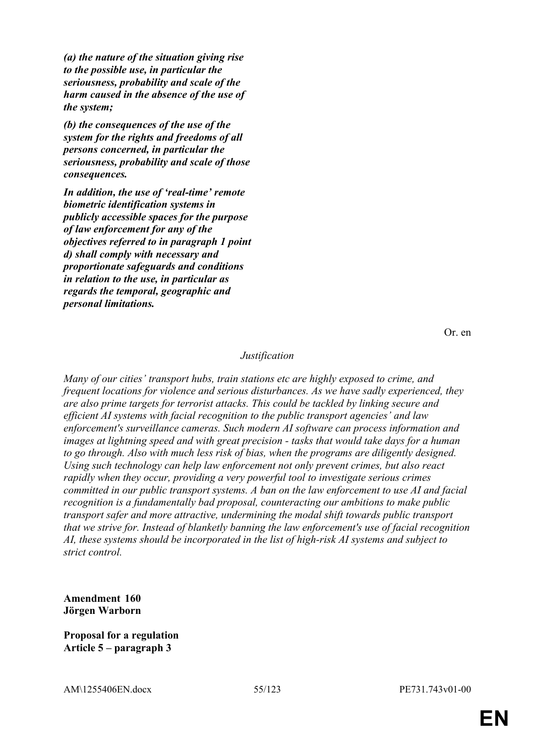*(a) the nature of the situation giving rise to the possible use, in particular the seriousness, probability and scale of the harm caused in the absence of the use of the system;*

*(b) the consequences of the use of the system for the rights and freedoms of all persons concerned, in particular the seriousness, probability and scale of those consequences.*

*In addition, the use of 'real-time' remote biometric identification systems in publicly accessible spaces for the purpose of law enforcement for any of the objectives referred to in paragraph 1 point d) shall comply with necessary and proportionate safeguards and conditions in relation to the use, in particular as regards the temporal, geographic and personal limitations.*

Or. en

### *Justification*

*Many of our cities' transport hubs, train stations etc are highly exposed to crime, and frequent locations for violence and serious disturbances. As we have sadly experienced, they are also prime targets for terrorist attacks. This could be tackled by linking secure and efficient AI systems with facial recognition to the public transport agencies' and law enforcement's surveillance cameras. Such modern AI software can process information and images at lightning speed and with great precision - tasks that would take days for a human to go through. Also with much less risk of bias, when the programs are diligently designed. Using such technology can help law enforcement not only prevent crimes, but also react rapidly when they occur, providing a very powerful tool to investigate serious crimes committed in our public transport systems. A ban on the law enforcement to use AI and facial recognition is a fundamentally bad proposal, counteracting our ambitions to make public transport safer and more attractive, undermining the modal shift towards public transport that we strive for. Instead of blanketly banning the law enforcement's use of facial recognition AI, these systems should be incorporated in the list of high-risk AI systems and subject to strict control.*

**Amendment 160 Jörgen Warborn**

**Proposal for a regulation Article 5 – paragraph 3**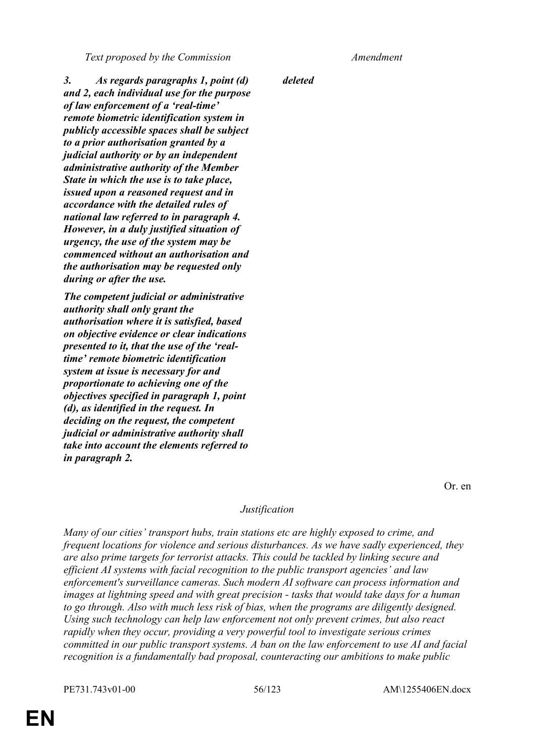*Text proposed by the Commission Amendment*

*3. As regards paragraphs 1, point (d) and 2, each individual use for the purpose of law enforcement of a 'real-time' remote biometric identification system in publicly accessible spaces shall be subject to a prior authorisation granted by a judicial authority or by an independent administrative authority of the Member State in which the use is to take place, issued upon a reasoned request and in accordance with the detailed rules of national law referred to in paragraph 4. However, in a duly justified situation of urgency, the use of the system may be commenced without an authorisation and the authorisation may be requested only during or after the use.*

*The competent judicial or administrative authority shall only grant the authorisation where it is satisfied, based on objective evidence or clear indications presented to it, that the use of the 'realtime' remote biometric identification system at issue is necessary for and proportionate to achieving one of the objectives specified in paragraph 1, point (d), as identified in the request. In deciding on the request, the competent judicial or administrative authority shall take into account the elements referred to in paragraph 2.*

*deleted*

Or. en

### *Justification*

*Many of our cities' transport hubs, train stations etc are highly exposed to crime, and frequent locations for violence and serious disturbances. As we have sadly experienced, they are also prime targets for terrorist attacks. This could be tackled by linking secure and efficient AI systems with facial recognition to the public transport agencies' and law enforcement's surveillance cameras. Such modern AI software can process information and images at lightning speed and with great precision - tasks that would take days for a human to go through. Also with much less risk of bias, when the programs are diligently designed. Using such technology can help law enforcement not only prevent crimes, but also react rapidly when they occur, providing a very powerful tool to investigate serious crimes committed in our public transport systems. A ban on the law enforcement to use AI and facial recognition is a fundamentally bad proposal, counteracting our ambitions to make public* 

PE731.743v01-00 56/123 AM\1255406EN.docx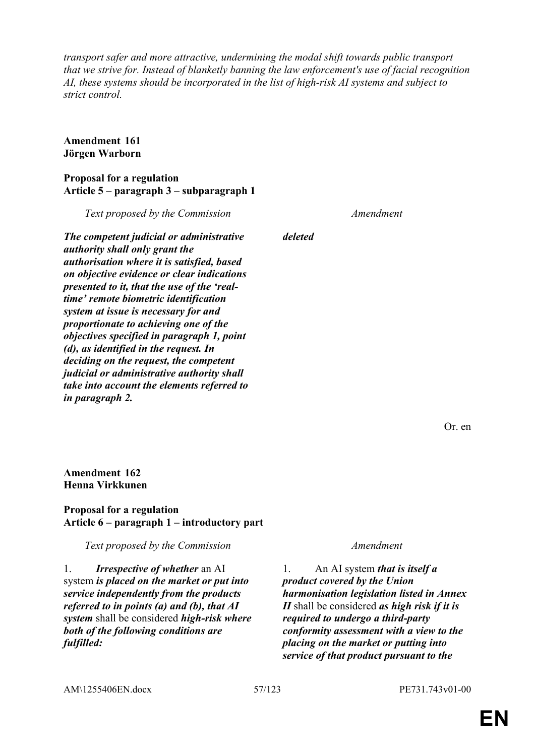*transport safer and more attractive, undermining the modal shift towards public transport that we strive for. Instead of blanketly banning the law enforcement's use of facial recognition AI, these systems should be incorporated in the list of high-risk AI systems and subject to strict control.*

*deleted*

### **Amendment 161 Jörgen Warborn**

### **Proposal for a regulation Article 5 – paragraph 3 – subparagraph 1**

*The competent judicial or administrative authority shall only grant the authorisation where it is satisfied, based on objective evidence or clear indications presented to it, that the use of the 'realtime' remote biometric identification system at issue is necessary for and proportionate to achieving one of the objectives specified in paragraph 1, point (d), as identified in the request. In deciding on the request, the competent judicial or administrative authority shall take into account the elements referred to in paragraph 2.*

*Text proposed by the Commission Amendment*

Or. en

### **Amendment 162 Henna Virkkunen**

### **Proposal for a regulation Article 6 – paragraph 1 – introductory part**

*Text proposed by the Commission Amendment*

1. *Irrespective of whether* an AI system *is placed on the market or put into service independently from the products referred to in points (a) and (b), that AI system* shall be considered *high-risk where both of the following conditions are fulfilled:*

1. An AI system *that is itself a product covered by the Union harmonisation legislation listed in Annex II* shall be considered *as high risk if it is required to undergo a third-party conformity assessment with a view to the placing on the market or putting into service of that product pursuant to the* 

AM\1255406EN.docx 57/123 PE731.743v01-00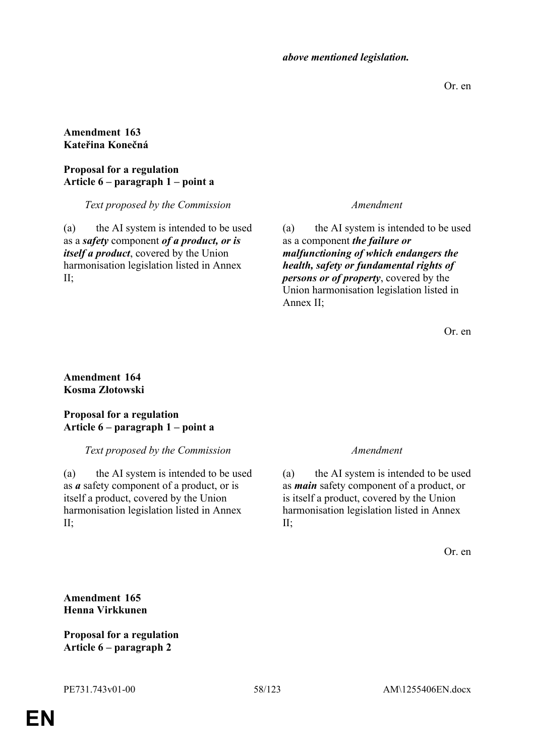*above mentioned legislation.*

Or. en

## **Amendment 163 Kateřina Konečná**

### **Proposal for a regulation Article 6 – paragraph 1 – point a**

*Text proposed by the Commission Amendment*

(a) the AI system is intended to be used as a *safety* component *of a product, or is itself a product*, covered by the Union harmonisation legislation listed in Annex II;

(a) the AI system is intended to be used as a component *the failure or malfunctioning of which endangers the health, safety or fundamental rights of persons or of property*, covered by the Union harmonisation legislation listed in Annex II;

Or. en

### **Amendment 164 Kosma Złotowski**

# **Proposal for a regulation Article 6 – paragraph 1 – point a**

# *Text proposed by the Commission Amendment*

(a) the AI system is intended to be used as *a* safety component of a product, or is itself a product, covered by the Union harmonisation legislation listed in Annex  $II$ :

(a) the AI system is intended to be used as *main* safety component of a product, or is itself a product, covered by the Union harmonisation legislation listed in Annex II;

Or. en

# **Amendment 165 Henna Virkkunen**

**Proposal for a regulation Article 6 – paragraph 2**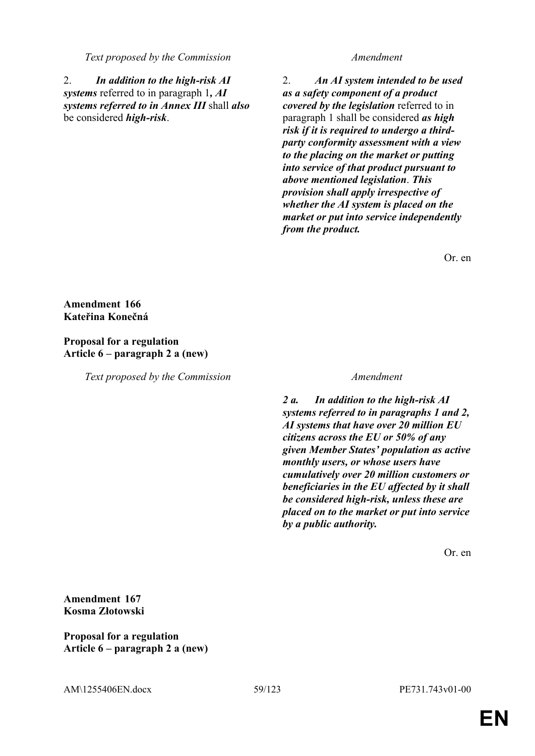### *Text proposed by the Commission Amendment*

2. *In addition to the high-risk AI systems* referred to in paragraph 1*, AI systems referred to in Annex III* shall *also* be considered *high-risk*.

2. *An AI system intended to be used as a safety component of a product covered by the legislation* referred to in paragraph 1 shall be considered *as high risk if it is required to undergo a thirdparty conformity assessment with a view to the placing on the market or putting into service of that product pursuant to above mentioned legislation*. *This provision shall apply irrespective of whether the AI system is placed on the market or put into service independently from the product.*

Or. en

# **Amendment 166 Kateřina Konečná**

# **Proposal for a regulation Article 6 – paragraph 2 a (new)**

*Text proposed by the Commission Amendment*

*2 a. In addition to the high-risk AI systems referred to in paragraphs 1 and 2, AI systems that have over 20 million EU citizens across the EU or 50% of any given Member States' population as active monthly users, or whose users have cumulatively over 20 million customers or beneficiaries in the EU affected by it shall be considered high-risk, unless these are placed on to the market or put into service by a public authority.*

Or. en

**Amendment 167 Kosma Złotowski**

**Proposal for a regulation Article 6 – paragraph 2 a (new)**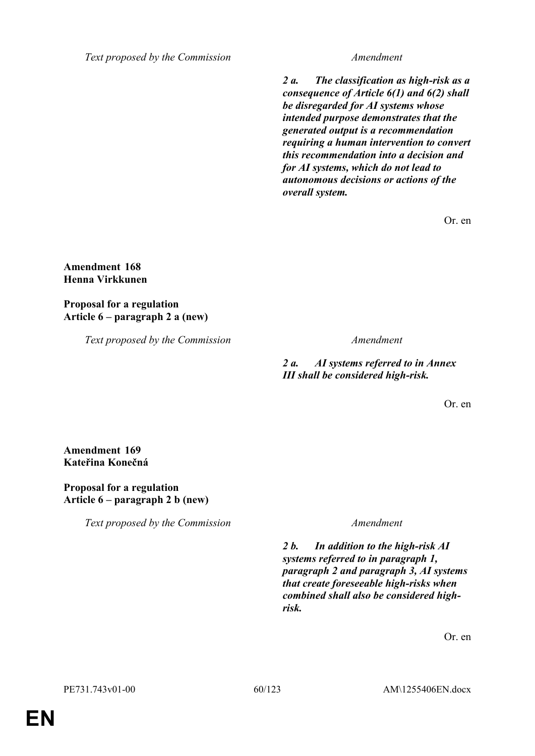*Text proposed by the Commission Amendment*

*2 a. The classification as high-risk as a consequence of Article 6(1) and 6(2) shall be disregarded for AI systems whose intended purpose demonstrates that the generated output is a recommendation requiring a human intervention to convert this recommendation into a decision and for AI systems, which do not lead to autonomous decisions or actions of the overall system.*

Or. en

### **Amendment 168 Henna Virkkunen**

**Proposal for a regulation Article 6 – paragraph 2 a (new)**

*Text proposed by the Commission Amendment*

*2 a. AI systems referred to in Annex III shall be considered high-risk.*

Or. en

### **Amendment 169 Kateřina Konečná**

### **Proposal for a regulation Article 6 – paragraph 2 b (new)**

*Text proposed by the Commission Amendment*

*2 b. In addition to the high-risk AI systems referred to in paragraph 1, paragraph 2 and paragraph 3, AI systems that create foreseeable high-risks when combined shall also be considered highrisk.*

Or. en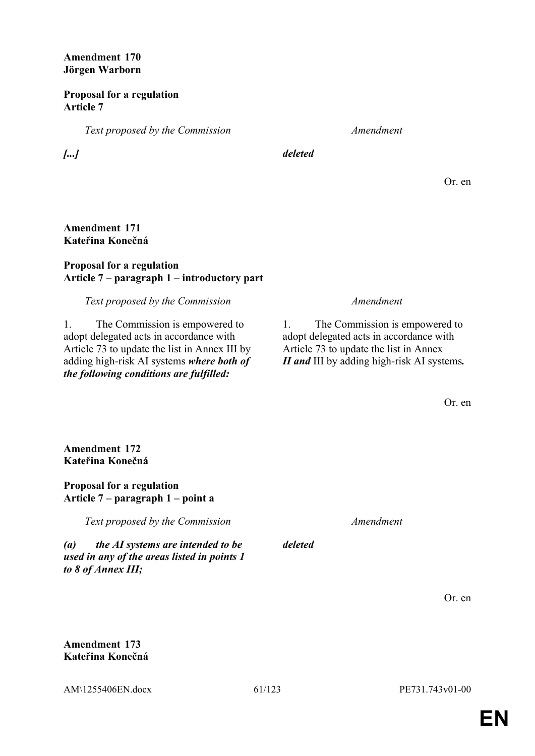**Amendment 170 Jörgen Warborn**

**Proposal for a regulation Article 7**

*Text proposed by the Commission Amendment*

*[...] deleted*

Or. en

### **Amendment 171 Kateřina Konečná**

# **Proposal for a regulation Article 7 – paragraph 1 – introductory part**

# *Text proposed by the Commission Amendment*

1. The Commission is empowered to adopt delegated acts in accordance with Article 73 to update the list in Annex III by adding high-risk AI systems *where both of the following conditions are fulfilled:*

1. The Commission is empowered to adopt delegated acts in accordance with Article 73 to update the list in Annex *II and* III by adding high-risk AI systems*.*

Or. en

**Amendment 172 Kateřina Konečná**

**Proposal for a regulation Article 7 – paragraph 1 – point a**

*Text proposed by the Commission Amendment*

*(a) the AI systems are intended to be used in any of the areas listed in points 1 to 8 of Annex III;*

*deleted*

Or. en

**Amendment 173 Kateřina Konečná**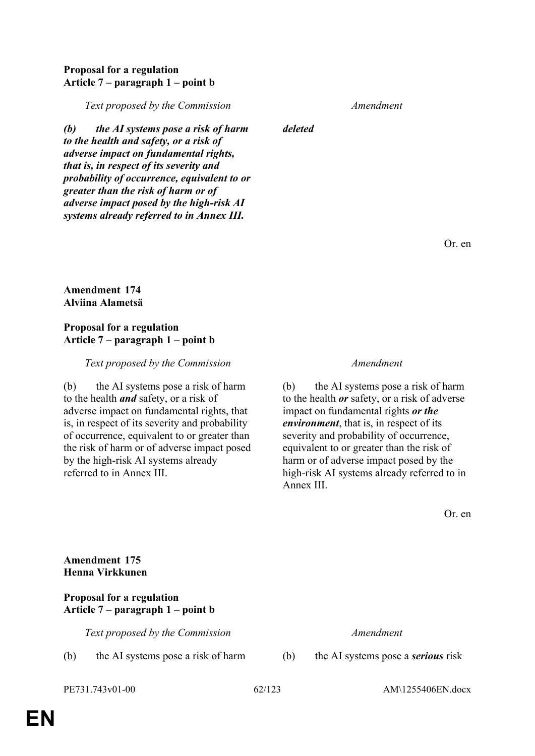## **Proposal for a regulation Article 7 – paragraph 1 – point b**

*Text proposed by the Commission Amendment*

*(b) the AI systems pose a risk of harm to the health and safety, or a risk of adverse impact on fundamental rights, that is, in respect of its severity and probability of occurrence, equivalent to or greater than the risk of harm or of adverse impact posed by the high-risk AI systems already referred to in Annex III.*

*deleted*

Or. en

### **Amendment 174 Alviina Alametsä**

### **Proposal for a regulation Article 7 – paragraph 1 – point b**

### *Text proposed by the Commission Amendment*

(b) the AI systems pose a risk of harm to the health *and* safety, or a risk of adverse impact on fundamental rights, that is, in respect of its severity and probability of occurrence, equivalent to or greater than the risk of harm or of adverse impact posed by the high-risk AI systems already referred to in Annex III.

(b) the AI systems pose a risk of harm to the health *or* safety, or a risk of adverse impact on fundamental rights *or the environment*, that is, in respect of its severity and probability of occurrence, equivalent to or greater than the risk of harm or of adverse impact posed by the high-risk AI systems already referred to in Annex III.

Or. en

# **Amendment 175 Henna Virkkunen**

### **Proposal for a regulation Article 7 – paragraph 1 – point b**

*Text proposed by the Commission Amendment*

(b) the AI systems pose a risk of harm (b) the AI systems pose a *serious* risk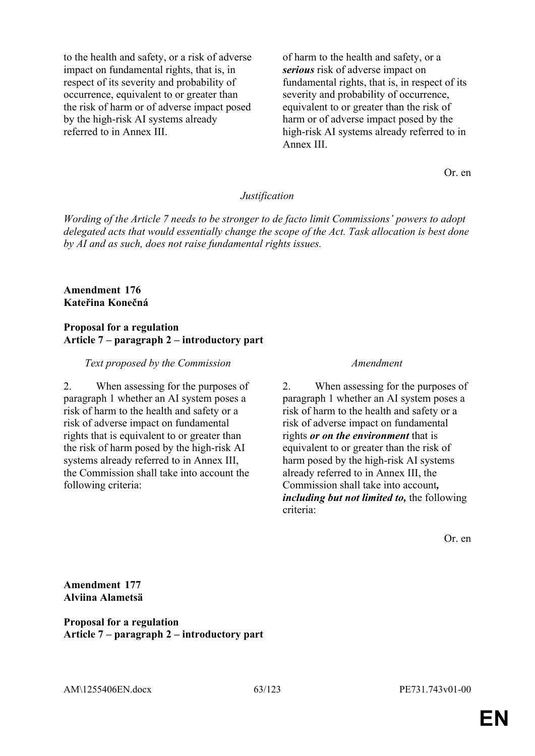to the health and safety, or a risk of adverse impact on fundamental rights, that is, in respect of its severity and probability of occurrence, equivalent to or greater than the risk of harm or of adverse impact posed by the high-risk AI systems already referred to in Annex III.

of harm to the health and safety, or a *serious* risk of adverse impact on fundamental rights, that is, in respect of its severity and probability of occurrence, equivalent to or greater than the risk of harm or of adverse impact posed by the high-risk AI systems already referred to in Annex III.

Or. en

### *Justification*

*Wording of the Article 7 needs to be stronger to de facto limit Commissions' powers to adopt delegated acts that would essentially change the scope of the Act. Task allocation is best done by AI and as such, does not raise fundamental rights issues.*

### **Amendment 176 Kateřina Konečná**

### **Proposal for a regulation Article 7 – paragraph 2 – introductory part**

### *Text proposed by the Commission Amendment*

2. When assessing for the purposes of paragraph 1 whether an AI system poses a risk of harm to the health and safety or a risk of adverse impact on fundamental rights that is equivalent to or greater than the risk of harm posed by the high-risk AI systems already referred to in Annex III, the Commission shall take into account the following criteria:

2. When assessing for the purposes of paragraph 1 whether an AI system poses a risk of harm to the health and safety or a risk of adverse impact on fundamental rights *or on the environment* that is equivalent to or greater than the risk of harm posed by the high-risk AI systems already referred to in Annex III, the Commission shall take into account*, including but not limited to,* the following criteria:

Or. en

**Amendment 177 Alviina Alametsä**

**Proposal for a regulation Article 7 – paragraph 2 – introductory part**

AM\1255406EN.docx 63/123 PE731.743v01-00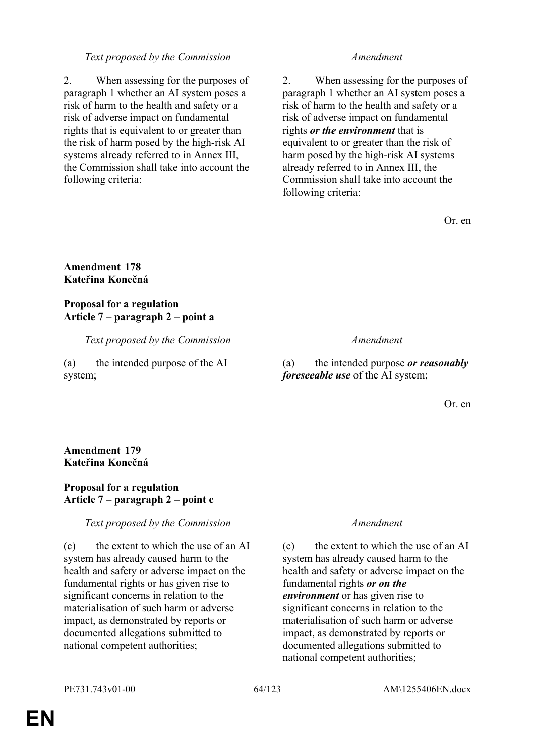# *Text proposed by the Commission Amendment*

2. When assessing for the purposes of paragraph 1 whether an AI system poses a risk of harm to the health and safety or a risk of adverse impact on fundamental rights that is equivalent to or greater than the risk of harm posed by the high-risk AI systems already referred to in Annex III, the Commission shall take into account the following criteria:

2. When assessing for the purposes of paragraph 1 whether an AI system poses a risk of harm to the health and safety or a risk of adverse impact on fundamental rights *or the environment* that is equivalent to or greater than the risk of harm posed by the high-risk AI systems already referred to in Annex III, the Commission shall take into account the following criteria:

Or. en

# **Amendment 178 Kateřina Konečná**

# **Proposal for a regulation Article 7 – paragraph 2 – point a**

*Text proposed by the Commission Amendment*

(a) the intended purpose of the AI system;

(a) the intended purpose *or reasonably foreseeable use* of the AI system;

Or. en

### **Amendment 179 Kateřina Konečná**

# **Proposal for a regulation Article 7 – paragraph 2 – point c**

# *Text proposed by the Commission Amendment*

(c) the extent to which the use of an AI system has already caused harm to the health and safety or adverse impact on the fundamental rights or has given rise to significant concerns in relation to the materialisation of such harm or adverse impact, as demonstrated by reports or documented allegations submitted to national competent authorities;

(c) the extent to which the use of an AI system has already caused harm to the health and safety or adverse impact on the fundamental rights *or on the environment* or has given rise to significant concerns in relation to the materialisation of such harm or adverse impact, as demonstrated by reports or documented allegations submitted to national competent authorities;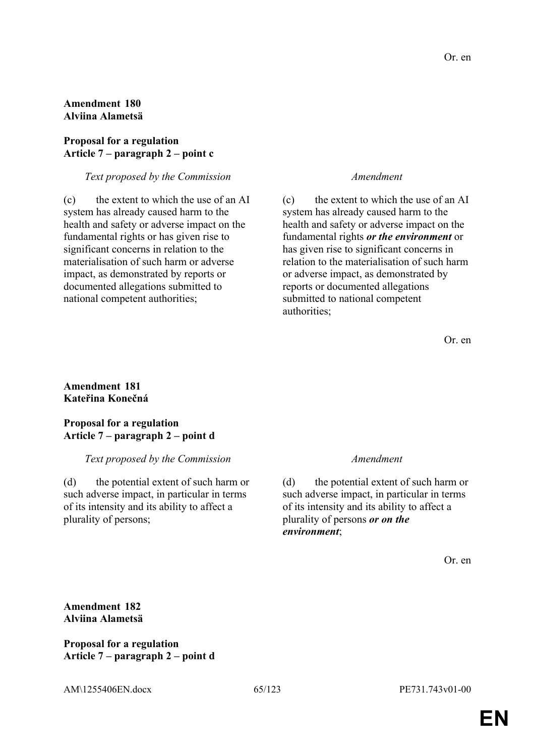# **Amendment 180 Alviina Alametsä**

### **Proposal for a regulation Article 7 – paragraph 2 – point c**

### *Text proposed by the Commission Amendment*

(c) the extent to which the use of an AI system has already caused harm to the health and safety or adverse impact on the fundamental rights or has given rise to significant concerns in relation to the materialisation of such harm or adverse impact, as demonstrated by reports or documented allegations submitted to national competent authorities;

(c) the extent to which the use of an AI system has already caused harm to the health and safety or adverse impact on the fundamental rights *or the environment* or has given rise to significant concerns in relation to the materialisation of such harm or adverse impact, as demonstrated by reports or documented allegations submitted to national competent authorities;

Or. en

### **Amendment 181 Kateřina Konečná**

### **Proposal for a regulation Article 7 – paragraph 2 – point d**

### *Text proposed by the Commission Amendment*

(d) the potential extent of such harm or such adverse impact, in particular in terms of its intensity and its ability to affect a plurality of persons;

(d) the potential extent of such harm or such adverse impact, in particular in terms of its intensity and its ability to affect a plurality of persons *or on the environment*;

Or. en

**Amendment 182 Alviina Alametsä**

**Proposal for a regulation Article 7 – paragraph 2 – point d**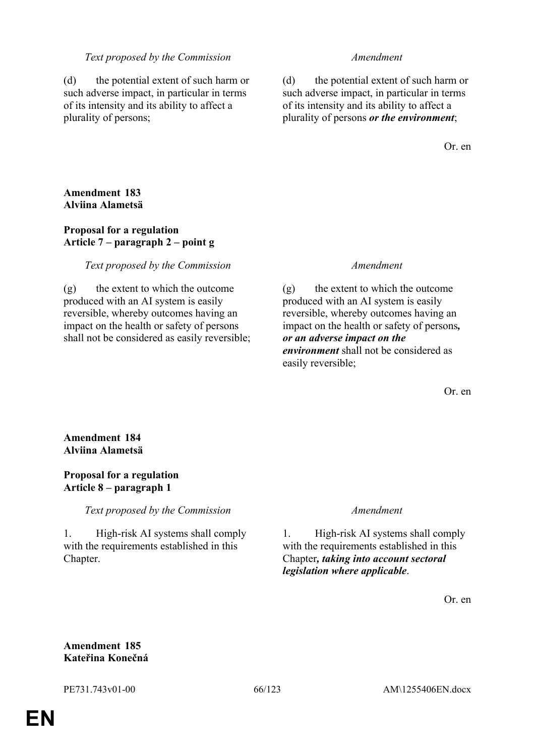### *Text proposed by the Commission Amendment*

(d) the potential extent of such harm or such adverse impact, in particular in terms of its intensity and its ability to affect a plurality of persons;

(d) the potential extent of such harm or such adverse impact, in particular in terms of its intensity and its ability to affect a plurality of persons *or the environment*;

Or. en

# **Amendment 183 Alviina Alametsä**

# **Proposal for a regulation Article 7 – paragraph 2 – point g**

# *Text proposed by the Commission Amendment*

(g) the extent to which the outcome produced with an AI system is easily reversible, whereby outcomes having an impact on the health or safety of persons shall not be considered as easily reversible;

(g) the extent to which the outcome produced with an AI system is easily reversible, whereby outcomes having an impact on the health or safety of persons*, or an adverse impact on the environment* shall not be considered as easily reversible;

Or. en

# **Amendment 184 Alviina Alametsä**

# **Proposal for a regulation Article 8 – paragraph 1**

*Text proposed by the Commission Amendment*

1. High-risk AI systems shall comply with the requirements established in this Chapter.

1. High-risk AI systems shall comply with the requirements established in this Chapter*, taking into account sectoral legislation where applicable*.

Or. en

# **Amendment 185 Kateřina Konečná**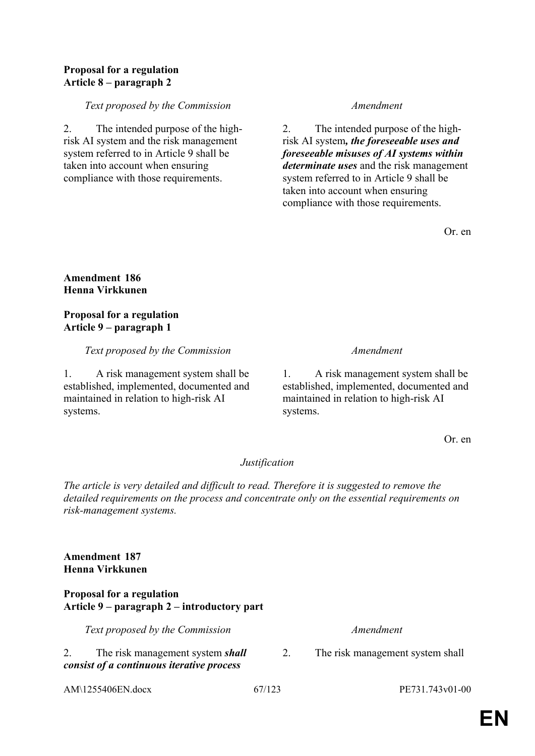# **Proposal for a regulation Article 8 – paragraph 2**

### *Text proposed by the Commission Amendment*

2. The intended purpose of the highrisk AI system and the risk management system referred to in Article 9 shall be taken into account when ensuring compliance with those requirements.

2. The intended purpose of the highrisk AI system*, the foreseeable uses and foreseeable misuses of AI systems within determinate uses* and the risk management system referred to in Article 9 shall be taken into account when ensuring compliance with those requirements.

Or. en

# **Amendment 186 Henna Virkkunen**

# **Proposal for a regulation Article 9 – paragraph 1**

*Text proposed by the Commission Amendment*

1. A risk management system shall be established, implemented, documented and maintained in relation to high-risk AI systems.

1. A risk management system shall be established, implemented, documented and maintained in relation to high-risk AI systems.

Or. en

# *Justification*

*The article is very detailed and difficult to read. Therefore it is suggested to remove the detailed requirements on the process and concentrate only on the essential requirements on risk-management systems.*

# **Amendment 187 Henna Virkkunen**

### **Proposal for a regulation Article 9 – paragraph 2 – introductory part**

*Text proposed by the Commission Amendment*

2. The risk management system *shall consist of a continuous iterative process* 

AM\1255406EN.docx 67/123 PE731.743v01-00

2. The risk management system shall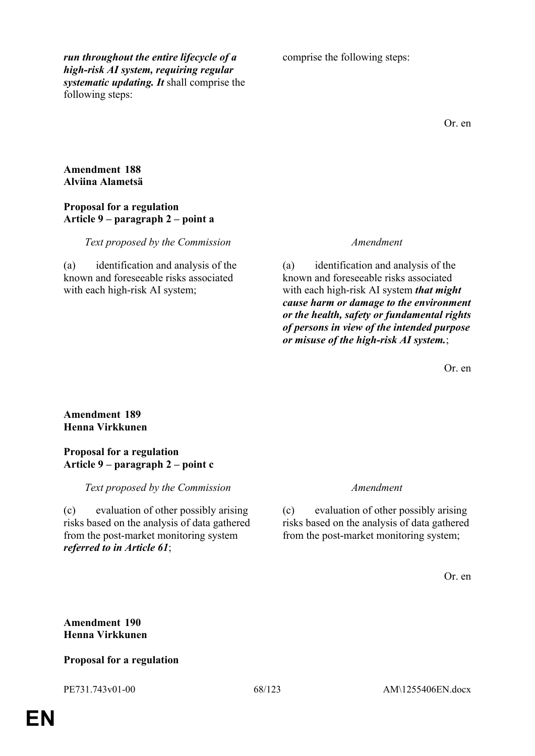*run throughout the entire lifecycle of a high-risk AI system, requiring regular systematic updating. It* shall comprise the following steps:

comprise the following steps:

Or. en

### **Amendment 188 Alviina Alametsä**

### **Proposal for a regulation Article 9 – paragraph 2 – point a**

### *Text proposed by the Commission Amendment*

(a) identification and analysis of the known and foreseeable risks associated with each high-risk AI system;

(a) identification and analysis of the known and foreseeable risks associated with each high-risk AI system *that might cause harm or damage to the environment or the health, safety or fundamental rights of persons in view of the intended purpose or misuse of the high-risk AI system.*;

Or. en

# **Amendment 189 Henna Virkkunen**

### **Proposal for a regulation Article 9 – paragraph 2 – point c**

*Text proposed by the Commission Amendment*

(c) evaluation of other possibly arising risks based on the analysis of data gathered from the post-market monitoring system *referred to in Article 61*;

(c) evaluation of other possibly arising risks based on the analysis of data gathered from the post-market monitoring system;

Or. en

# **Amendment 190 Henna Virkkunen**

### **Proposal for a regulation**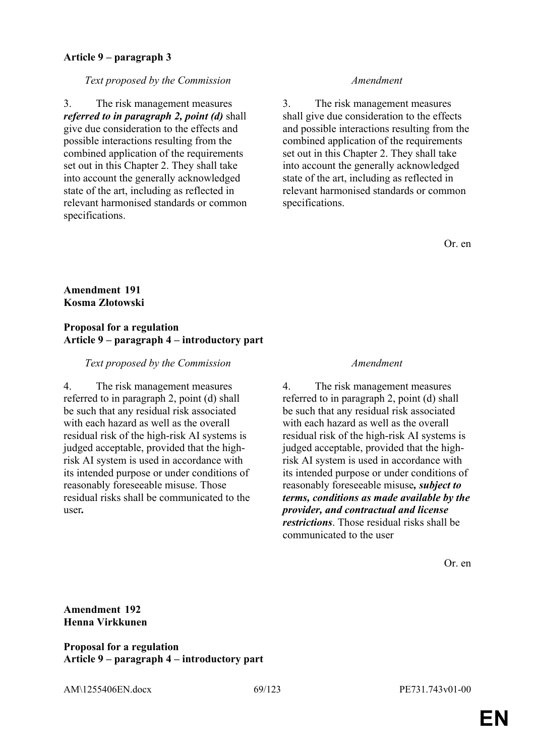## **Article 9 – paragraph 3**

### *Text proposed by the Commission Amendment*

3. The risk management measures *referred to in paragraph 2, point (d)* shall give due consideration to the effects and possible interactions resulting from the combined application of the requirements set out in this Chapter 2. They shall take into account the generally acknowledged state of the art, including as reflected in relevant harmonised standards or common specifications.

3. The risk management measures shall give due consideration to the effects and possible interactions resulting from the combined application of the requirements set out in this Chapter 2. They shall take into account the generally acknowledged state of the art, including as reflected in relevant harmonised standards or common specifications.

Or. en

# **Amendment 191 Kosma Złotowski**

# **Proposal for a regulation Article 9 – paragraph 4 – introductory part**

# *Text proposed by the Commission Amendment*

4. The risk management measures referred to in paragraph 2, point (d) shall be such that any residual risk associated with each hazard as well as the overall residual risk of the high-risk AI systems is judged acceptable, provided that the highrisk AI system is used in accordance with its intended purpose or under conditions of reasonably foreseeable misuse. Those residual risks shall be communicated to the user*.*

4. The risk management measures referred to in paragraph 2, point (d) shall be such that any residual risk associated with each hazard as well as the overall residual risk of the high-risk AI systems is judged acceptable, provided that the highrisk AI system is used in accordance with its intended purpose or under conditions of reasonably foreseeable misuse*, subject to terms, conditions as made available by the provider, and contractual and license restrictions*. Those residual risks shall be communicated to the user

Or. en

# **Amendment 192 Henna Virkkunen**

**Proposal for a regulation Article 9 – paragraph 4 – introductory part**

AM\1255406EN.docx 69/123 PE731.743v01-00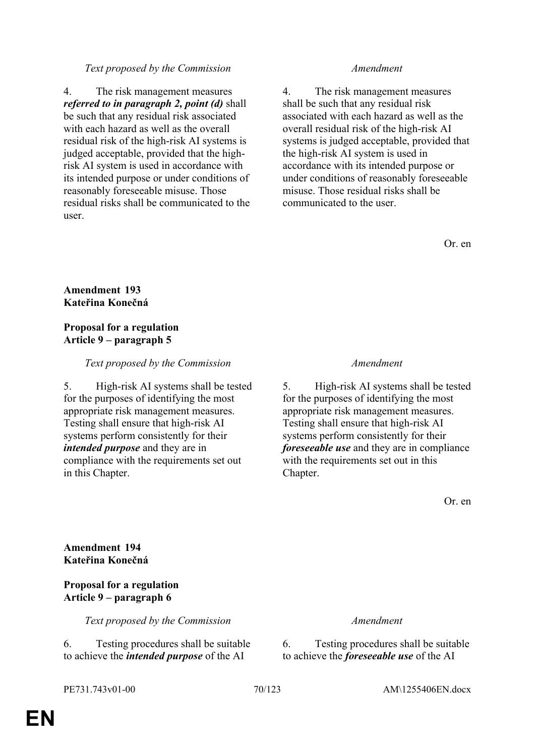### *Text proposed by the Commission Amendment*

4. The risk management measures *referred to in paragraph 2, point (d)* shall be such that any residual risk associated with each hazard as well as the overall residual risk of the high-risk AI systems is judged acceptable, provided that the highrisk AI system is used in accordance with its intended purpose or under conditions of reasonably foreseeable misuse. Those residual risks shall be communicated to the user.

4. The risk management measures shall be such that any residual risk associated with each hazard as well as the overall residual risk of the high-risk AI systems is judged acceptable, provided that the high-risk AI system is used in accordance with its intended purpose or under conditions of reasonably foreseeable misuse. Those residual risks shall be communicated to the user.

Or. en

# **Amendment 193 Kateřina Konečná**

### **Proposal for a regulation Article 9 – paragraph 5**

# *Text proposed by the Commission Amendment*

5. High-risk AI systems shall be tested for the purposes of identifying the most appropriate risk management measures. Testing shall ensure that high-risk AI systems perform consistently for their *intended purpose* and they are in compliance with the requirements set out in this Chapter.

5. High-risk AI systems shall be tested for the purposes of identifying the most appropriate risk management measures. Testing shall ensure that high-risk AI systems perform consistently for their *foreseeable use* and they are in compliance with the requirements set out in this Chapter.

Or. en

**Amendment 194 Kateřina Konečná**

# **Proposal for a regulation Article 9 – paragraph 6**

*Text proposed by the Commission Amendment*

6. Testing procedures shall be suitable to achieve the *intended purpose* of the AI

6. Testing procedures shall be suitable to achieve the *foreseeable use* of the AI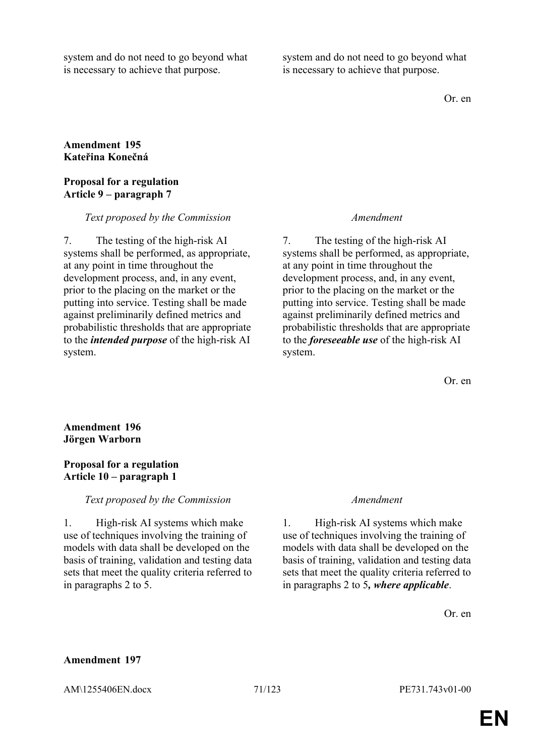system and do not need to go beyond what is necessary to achieve that purpose.

system and do not need to go beyond what is necessary to achieve that purpose.

Or. en

# **Amendment 195 Kateřina Konečná**

### **Proposal for a regulation Article 9 – paragraph 7**

### *Text proposed by the Commission Amendment*

7. The testing of the high-risk AI systems shall be performed, as appropriate, at any point in time throughout the development process, and, in any event, prior to the placing on the market or the putting into service. Testing shall be made against preliminarily defined metrics and probabilistic thresholds that are appropriate to the *intended purpose* of the high-risk AI system.

7. The testing of the high-risk AI systems shall be performed, as appropriate, at any point in time throughout the development process, and, in any event, prior to the placing on the market or the putting into service. Testing shall be made against preliminarily defined metrics and probabilistic thresholds that are appropriate to the *foreseeable use* of the high-risk AI system.

Or. en

# **Amendment 196 Jörgen Warborn**

# **Proposal for a regulation Article 10 – paragraph 1**

### *Text proposed by the Commission Amendment*

1. High-risk AI systems which make use of techniques involving the training of models with data shall be developed on the basis of training, validation and testing data sets that meet the quality criteria referred to in paragraphs 2 to 5.

1. High-risk AI systems which make use of techniques involving the training of models with data shall be developed on the basis of training, validation and testing data sets that meet the quality criteria referred to in paragraphs 2 to 5*, where applicable*.

Or. en

### **Amendment 197**

AM\1255406EN.docx 71/123 PE731.743v01-00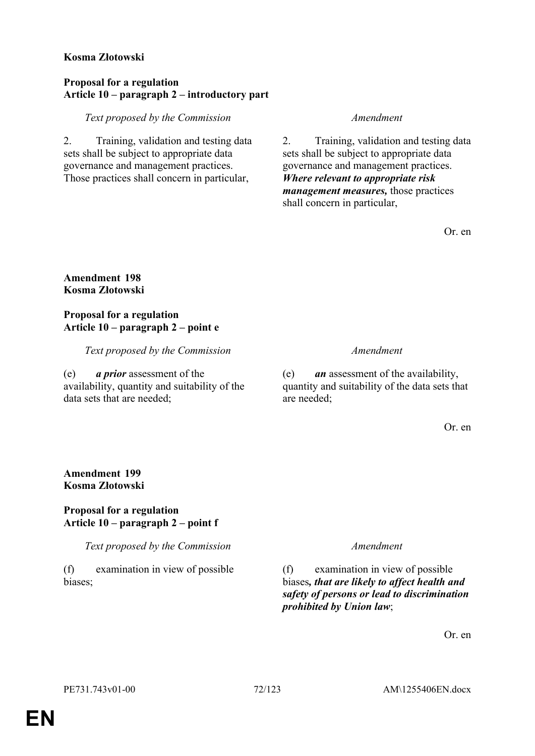## **Kosma Złotowski**

### **Proposal for a regulation Article 10 – paragraph 2 – introductory part**

*Text proposed by the Commission Amendment*

2. Training, validation and testing data sets shall be subject to appropriate data governance and management practices. Those practices shall concern in particular,

2. Training, validation and testing data sets shall be subject to appropriate data governance and management practices. *Where relevant to appropriate risk management measures,* those practices shall concern in particular,

Or. en

# **Amendment 198 Kosma Złotowski**

# **Proposal for a regulation Article 10 – paragraph 2 – point e**

*Text proposed by the Commission Amendment*

(e) *a prior* assessment of the availability, quantity and suitability of the data sets that are needed;

(e) *an* assessment of the availability, quantity and suitability of the data sets that are needed;

Or. en

# **Amendment 199 Kosma Złotowski**

# **Proposal for a regulation Article 10 – paragraph 2 – point f**

*Text proposed by the Commission Amendment*

(f) examination in view of possible biases;

(f) examination in view of possible biases*, that are likely to affect health and safety of persons or lead to discrimination prohibited by Union law*;

Or. en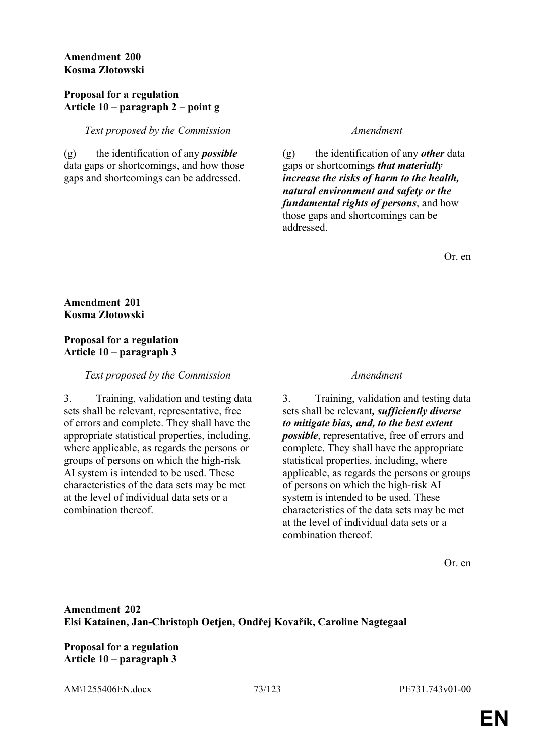## **Amendment 200 Kosma Złotowski**

### **Proposal for a regulation Article 10 – paragraph 2 – point g**

*Text proposed by the Commission Amendment*

(g) the identification of any *possible* data gaps or shortcomings, and how those gaps and shortcomings can be addressed.

(g) the identification of any *other* data gaps or shortcomings *that materially increase the risks of harm to the health, natural environment and safety or the fundamental rights of persons*, and how those gaps and shortcomings can be addressed.

Or. en

# **Amendment 201 Kosma Złotowski**

# **Proposal for a regulation Article 10 – paragraph 3**

*Text proposed by the Commission Amendment*

3. Training, validation and testing data sets shall be relevant, representative, free of errors and complete. They shall have the appropriate statistical properties, including, where applicable, as regards the persons or groups of persons on which the high-risk AI system is intended to be used. These characteristics of the data sets may be met at the level of individual data sets or a combination thereof.

3. Training, validation and testing data sets shall be relevant*, sufficiently diverse to mitigate bias, and, to the best extent possible*, representative, free of errors and complete. They shall have the appropriate statistical properties, including, where applicable, as regards the persons or groups of persons on which the high-risk AI system is intended to be used. These characteristics of the data sets may be met at the level of individual data sets or a combination thereof.

Or. en

**Amendment 202 Elsi Katainen, Jan-Christoph Oetjen, Ondřej Kovařík, Caroline Nagtegaal**

**Proposal for a regulation Article 10 – paragraph 3**

AM\1255406EN.docx 73/123 PE731.743v01-00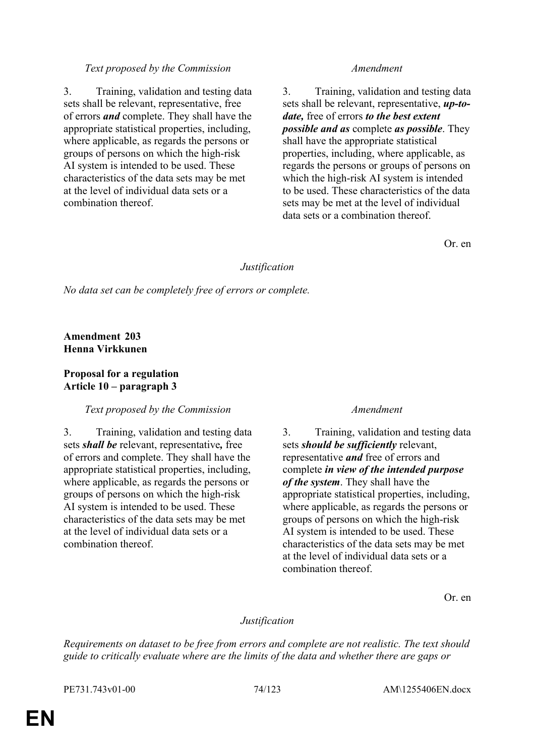3. Training, validation and testing data sets shall be relevant, representative, free of errors *and* complete. They shall have the appropriate statistical properties, including, where applicable, as regards the persons or groups of persons on which the high-risk AI system is intended to be used. These characteristics of the data sets may be met at the level of individual data sets or a combination thereof.

3. Training, validation and testing data sets shall be relevant, representative, *up-todate,* free of errors *to the best extent possible and as* complete *as possible*. They shall have the appropriate statistical properties, including, where applicable, as regards the persons or groups of persons on which the high-risk AI system is intended to be used. These characteristics of the data sets may be met at the level of individual data sets or a combination thereof.

Or. en

# *Justification*

*No data set can be completely free of errors or complete.*

**Amendment 203 Henna Virkkunen**

# **Proposal for a regulation Article 10 – paragraph 3**

# *Text proposed by the Commission Amendment*

3. Training, validation and testing data sets *shall be* relevant, representative*,* free of errors and complete. They shall have the appropriate statistical properties, including, where applicable, as regards the persons or groups of persons on which the high-risk AI system is intended to be used. These characteristics of the data sets may be met at the level of individual data sets or a combination thereof.

3. Training, validation and testing data sets *should be sufficiently* relevant, representative *and* free of errors and complete *in view of the intended purpose of the system*. They shall have the appropriate statistical properties, including, where applicable, as regards the persons or groups of persons on which the high-risk AI system is intended to be used. These characteristics of the data sets may be met at the level of individual data sets or a combination thereof.

Or. en

# *Justification*

*Requirements on dataset to be free from errors and complete are not realistic. The text should guide to critically evaluate where are the limits of the data and whether there are gaps or* 

PE731.743v01-00 74/123 AM\1255406EN.docx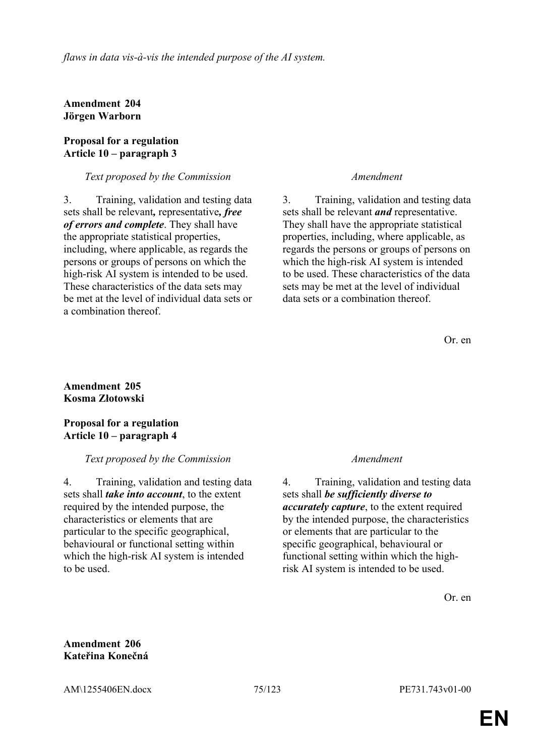**Amendment 204 Jörgen Warborn**

## **Proposal for a regulation Article 10 – paragraph 3**

# *Text proposed by the Commission Amendment*

3. Training, validation and testing data sets shall be relevant*,* representative*, free of errors and complete*. They shall have the appropriate statistical properties, including, where applicable, as regards the persons or groups of persons on which the high-risk AI system is intended to be used. These characteristics of the data sets may be met at the level of individual data sets or a combination thereof.

3. Training, validation and testing data sets shall be relevant *and* representative. They shall have the appropriate statistical properties, including, where applicable, as regards the persons or groups of persons on which the high-risk AI system is intended to be used. These characteristics of the data sets may be met at the level of individual data sets or a combination thereof.

Or. en

### **Amendment 205 Kosma Złotowski**

# **Proposal for a regulation Article 10 – paragraph 4**

# *Text proposed by the Commission Amendment*

4. Training, validation and testing data sets shall *take into account*, to the extent required by the intended purpose, the characteristics or elements that are particular to the specific geographical, behavioural or functional setting within which the high-risk AI system is intended to be used.

4. Training, validation and testing data sets shall *be sufficiently diverse to accurately capture*, to the extent required by the intended purpose, the characteristics or elements that are particular to the specific geographical, behavioural or functional setting within which the highrisk AI system is intended to be used.

Or. en

# **Amendment 206 Kateřina Konečná**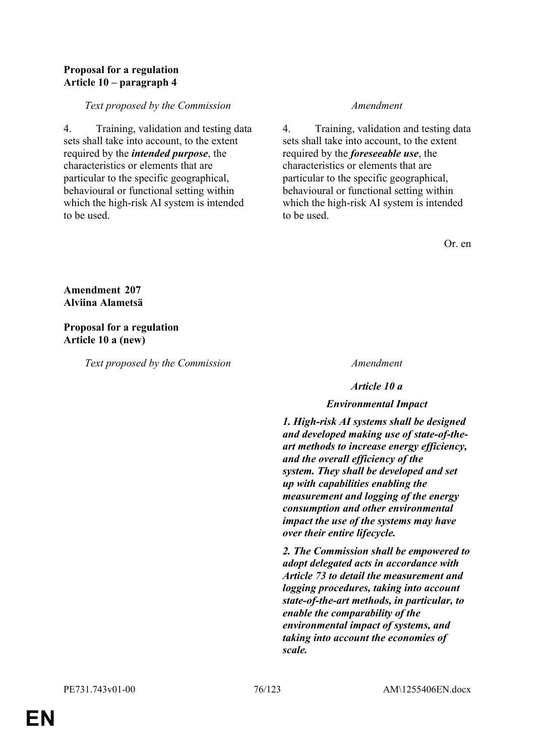# **Proposal for a regulation Article 10 – paragraph 4**

# *Text proposed by the Commission Amendment*

4. Training, validation and testing data sets shall take into account, to the extent required by the *intended purpose*, the characteristics or elements that are particular to the specific geographical, behavioural or functional setting within which the high-risk AI system is intended to be used.

4. Training, validation and testing data sets shall take into account, to the extent required by the *foreseeable use*, the characteristics or elements that are particular to the specific geographical, behavioural or functional setting within which the high-risk AI system is intended to be used.

Or. en

# **Amendment 207 Alviina Alametsä**

# **Proposal for a regulation Article 10 a (new)**

*Text proposed by the Commission Amendment*

*Article 10 a*

# *Environmental Impact*

*1. High-risk AI systems shall be designed and developed making use of state-of-theart methods to increase energy efficiency, and the overall efficiency of the system. They shall be developed and set up with capabilities enabling the measurement and logging of the energy consumption and other environmental impact the use of the systems may have over their entire lifecycle.*

*2. The Commission shall be empowered to adopt delegated acts in accordance with Article 73 to detail the measurement and logging procedures, taking into account state-of-the-art methods, in particular, to enable the comparability of the environmental impact of systems, and taking into account the economies of scale.*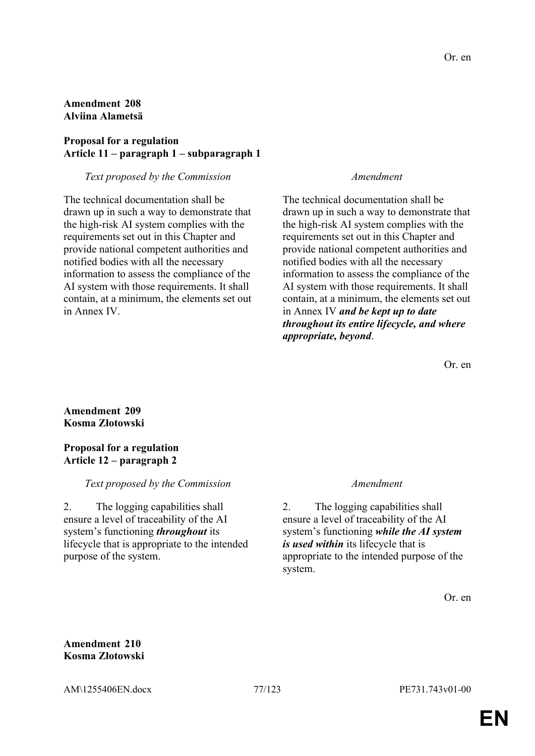# **Amendment 208 Alviina Alametsä**

# **Proposal for a regulation Article 11 – paragraph 1 – subparagraph 1**

### *Text proposed by the Commission Amendment*

The technical documentation shall be drawn up in such a way to demonstrate that the high-risk AI system complies with the requirements set out in this Chapter and provide national competent authorities and notified bodies with all the necessary information to assess the compliance of the AI system with those requirements. It shall contain, at a minimum, the elements set out in Annex IV.

The technical documentation shall be drawn up in such a way to demonstrate that the high-risk AI system complies with the requirements set out in this Chapter and provide national competent authorities and notified bodies with all the necessary information to assess the compliance of the AI system with those requirements. It shall contain, at a minimum, the elements set out in Annex IV *and be kept up to date throughout its entire lifecycle, and where appropriate, beyond*.

Or. en

# **Amendment 209 Kosma Złotowski**

# **Proposal for a regulation Article 12 – paragraph 2**

# *Text proposed by the Commission Amendment*

2. The logging capabilities shall ensure a level of traceability of the AI system's functioning *throughout* its lifecycle that is appropriate to the intended purpose of the system.

2. The logging capabilities shall ensure a level of traceability of the AI system's functioning *while the AI system is used within* its lifecycle that is appropriate to the intended purpose of the system.

Or. en

**Amendment 210 Kosma Złotowski**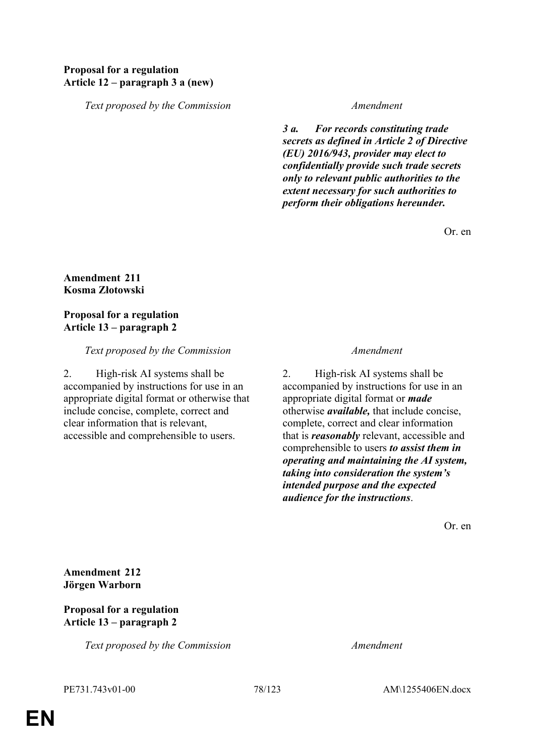# **Proposal for a regulation Article 12 – paragraph 3 a (new)**

*Text proposed by the Commission Amendment*

*3 a. For records constituting trade secrets as defined in Article 2 of Directive (EU) 2016/943, provider may elect to confidentially provide such trade secrets only to relevant public authorities to the extent necessary for such authorities to perform their obligations hereunder.*

Or. en

### **Amendment 211 Kosma Złotowski**

# **Proposal for a regulation Article 13 – paragraph 2**

### *Text proposed by the Commission Amendment*

2. High-risk AI systems shall be accompanied by instructions for use in an appropriate digital format or otherwise that include concise, complete, correct and clear information that is relevant, accessible and comprehensible to users.

2. High-risk AI systems shall be accompanied by instructions for use in an appropriate digital format or *made* otherwise *available,* that include concise, complete, correct and clear information that is *reasonably* relevant, accessible and comprehensible to users *to assist them in operating and maintaining the AI system, taking into consideration the system's intended purpose and the expected audience for the instructions*.

Or. en

**Amendment 212 Jörgen Warborn**

## **Proposal for a regulation Article 13 – paragraph 2**

*Text proposed by the Commission Amendment*

PE731.743v01-00 78/123 AM\1255406EN.docx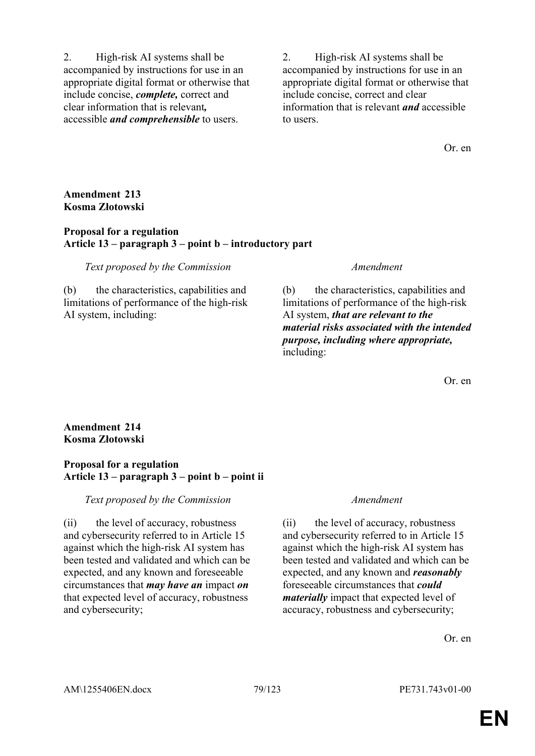2. High-risk AI systems shall be accompanied by instructions for use in an appropriate digital format or otherwise that include concise, *complete,* correct and clear information that is relevant*,* accessible *and comprehensible* to users.

2. High-risk AI systems shall be accompanied by instructions for use in an appropriate digital format or otherwise that include concise, correct and clear information that is relevant *and* accessible to users.

Or. en

# **Amendment 213 Kosma Złotowski**

## **Proposal for a regulation Article 13 – paragraph 3 – point b – introductory part**

### *Text proposed by the Commission Amendment*

(b) the characteristics, capabilities and limitations of performance of the high-risk AI system, including:

(b) the characteristics, capabilities and limitations of performance of the high-risk AI system, *that are relevant to the material risks associated with the intended purpose, including where appropriate,* including:

Or. en

# **Amendment 214 Kosma Złotowski**

# **Proposal for a regulation Article 13 – paragraph 3 – point b – point ii**

*Text proposed by the Commission Amendment*

(ii) the level of accuracy, robustness and cybersecurity referred to in Article 15 against which the high-risk AI system has been tested and validated and which can be expected, and any known and foreseeable circumstances that *may have an* impact *on* that expected level of accuracy, robustness and cybersecurity;

(ii) the level of accuracy, robustness and cybersecurity referred to in Article 15 against which the high-risk AI system has been tested and validated and which can be expected, and any known and *reasonably* foreseeable circumstances that *could materially* impact that expected level of accuracy, robustness and cybersecurity;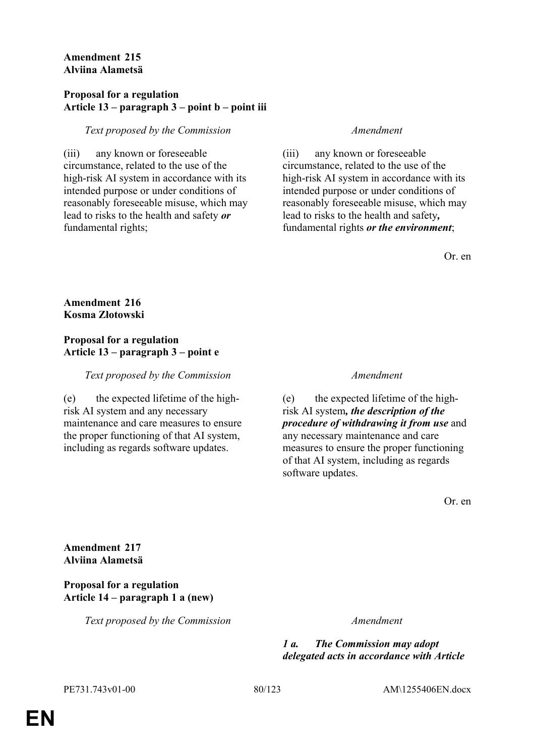## **Amendment 215 Alviina Alametsä**

## **Proposal for a regulation Article 13 – paragraph 3 – point b – point iii**

# *Text proposed by the Commission Amendment*

(iii) any known or foreseeable circumstance, related to the use of the high-risk AI system in accordance with its intended purpose or under conditions of reasonably foreseeable misuse, which may lead to risks to the health and safety *or* fundamental rights;

(iii) any known or foreseeable circumstance, related to the use of the high-risk AI system in accordance with its intended purpose or under conditions of reasonably foreseeable misuse, which may lead to risks to the health and safety*,* fundamental rights *or the environment*;

Or. en

**Amendment 216 Kosma Złotowski**

# **Proposal for a regulation Article 13 – paragraph 3 – point e**

*Text proposed by the Commission Amendment*

(e) the expected lifetime of the highrisk AI system and any necessary maintenance and care measures to ensure the proper functioning of that AI system, including as regards software updates.

(e) the expected lifetime of the highrisk AI system*, the description of the procedure of withdrawing it from use* and any necessary maintenance and care measures to ensure the proper functioning of that AI system, including as regards software updates.

Or. en

**Amendment 217 Alviina Alametsä**

# **Proposal for a regulation Article 14 – paragraph 1 a (new)**

*Text proposed by the Commission Amendment*

*1 a. The Commission may adopt delegated acts in accordance with Article*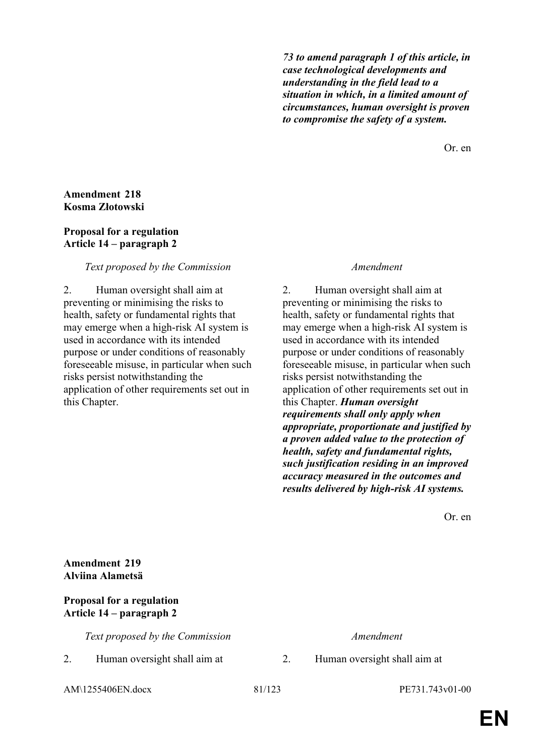*73 to amend paragraph 1 of this article, in case technological developments and understanding in the field lead to a situation in which, in a limited amount of circumstances, human oversight is proven to compromise the safety of a system.*

Or. en

### **Amendment 218 Kosma Złotowski**

### **Proposal for a regulation Article 14 – paragraph 2**

# *Text proposed by the Commission Amendment*

2. Human oversight shall aim at preventing or minimising the risks to health, safety or fundamental rights that may emerge when a high-risk AI system is used in accordance with its intended purpose or under conditions of reasonably foreseeable misuse, in particular when such risks persist notwithstanding the application of other requirements set out in this Chapter.

2. Human oversight shall aim at preventing or minimising the risks to health, safety or fundamental rights that may emerge when a high-risk AI system is used in accordance with its intended purpose or under conditions of reasonably foreseeable misuse, in particular when such risks persist notwithstanding the application of other requirements set out in this Chapter. *Human oversight requirements shall only apply when appropriate, proportionate and justified by a proven added value to the protection of health, safety and fundamental rights, such justification residing in an improved accuracy measured in the outcomes and results delivered by high-risk AI systems.*

Or. en

# **Amendment 219 Alviina Alametsä**

# **Proposal for a regulation Article 14 – paragraph 2**

*Text proposed by the Commission Amendment*

2. Human oversight shall aim at 2. Human oversight shall aim at

AM\1255406EN.docx 81/123 PE731.743v01-00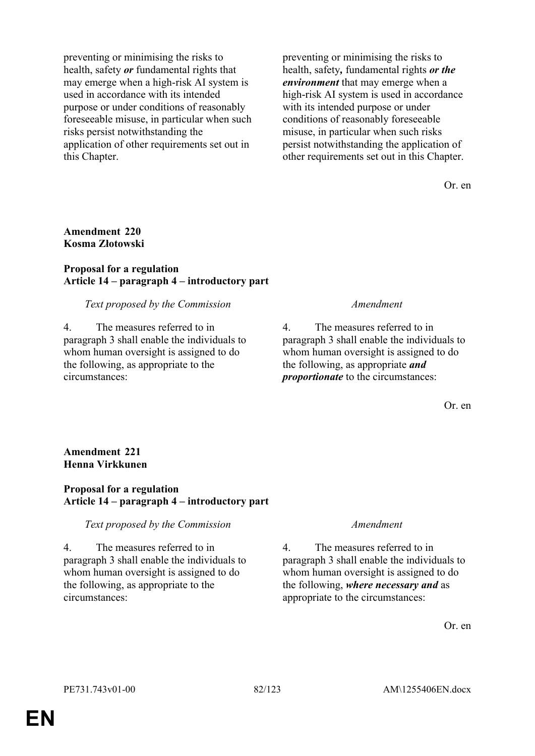preventing or minimising the risks to health, safety *or* fundamental rights that may emerge when a high-risk AI system is used in accordance with its intended purpose or under conditions of reasonably foreseeable misuse, in particular when such risks persist notwithstanding the application of other requirements set out in this Chapter.

preventing or minimising the risks to health, safety*,* fundamental rights *or the environment* that may emerge when a high-risk AI system is used in accordance with its intended purpose or under conditions of reasonably foreseeable misuse, in particular when such risks persist notwithstanding the application of other requirements set out in this Chapter.

Or. en

## **Amendment 220 Kosma Złotowski**

### **Proposal for a regulation Article 14 – paragraph 4 – introductory part**

### *Text proposed by the Commission Amendment*

4. The measures referred to in paragraph 3 shall enable the individuals to whom human oversight is assigned to do the following, as appropriate to the circumstances:

4. The measures referred to in paragraph 3 shall enable the individuals to whom human oversight is assigned to do the following, as appropriate *and proportionate* to the circumstances:

Or. en

# **Amendment 221 Henna Virkkunen**

# **Proposal for a regulation Article 14 – paragraph 4 – introductory part**

# *Text proposed by the Commission Amendment*

4. The measures referred to in paragraph 3 shall enable the individuals to whom human oversight is assigned to do the following, as appropriate to the circumstances:

4. The measures referred to in paragraph 3 shall enable the individuals to whom human oversight is assigned to do the following, *where necessary and* as appropriate to the circumstances: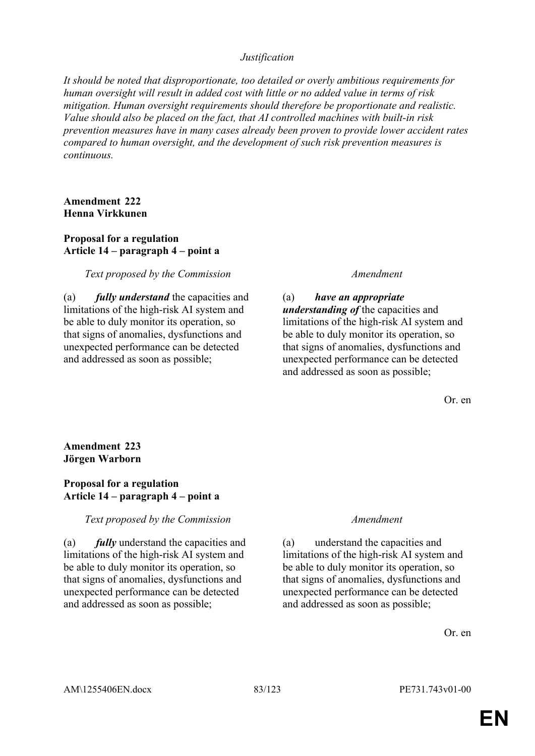### *Justification*

*It should be noted that disproportionate, too detailed or overly ambitious requirements for human oversight will result in added cost with little or no added value in terms of risk mitigation. Human oversight requirements should therefore be proportionate and realistic. Value should also be placed on the fact, that AI controlled machines with built-in risk prevention measures have in many cases already been proven to provide lower accident rates compared to human oversight, and the development of such risk prevention measures is continuous.*

### **Amendment 222 Henna Virkkunen**

# **Proposal for a regulation Article 14 – paragraph 4 – point a**

### *Text proposed by the Commission Amendment*

(a) *fully understand* the capacities and limitations of the high-risk AI system and be able to duly monitor its operation, so that signs of anomalies, dysfunctions and unexpected performance can be detected and addressed as soon as possible;

(a) *have an appropriate understanding of* the capacities and limitations of the high-risk AI system and be able to duly monitor its operation, so that signs of anomalies, dysfunctions and unexpected performance can be detected and addressed as soon as possible;

Or. en

# **Amendment 223 Jörgen Warborn**

### **Proposal for a regulation Article 14 – paragraph 4 – point a**

### *Text proposed by the Commission Amendment*

(a) *fully* understand the capacities and limitations of the high-risk AI system and be able to duly monitor its operation, so that signs of anomalies, dysfunctions and unexpected performance can be detected and addressed as soon as possible;

(a) understand the capacities and limitations of the high-risk AI system and be able to duly monitor its operation, so that signs of anomalies, dysfunctions and unexpected performance can be detected and addressed as soon as possible;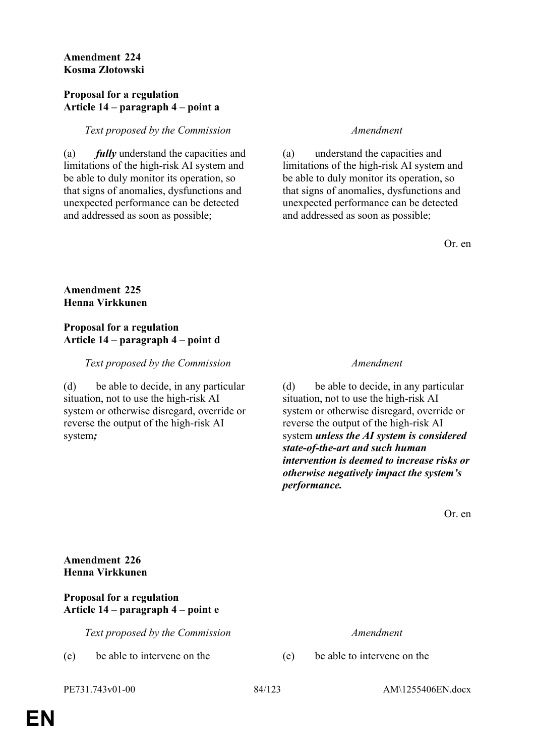## **Amendment 224 Kosma Złotowski**

### **Proposal for a regulation Article 14 – paragraph 4 – point a**

# *Text proposed by the Commission Amendment*

(a) *fully* understand the capacities and limitations of the high-risk AI system and be able to duly monitor its operation, so that signs of anomalies, dysfunctions and unexpected performance can be detected and addressed as soon as possible;

(a) understand the capacities and limitations of the high-risk AI system and be able to duly monitor its operation, so that signs of anomalies, dysfunctions and unexpected performance can be detected and addressed as soon as possible;

Or. en

# **Amendment 225 Henna Virkkunen**

## **Proposal for a regulation Article 14 – paragraph 4 – point d**

# *Text proposed by the Commission Amendment*

(d) be able to decide, in any particular situation, not to use the high-risk AI system or otherwise disregard, override or reverse the output of the high-risk AI system*;*

(d) be able to decide, in any particular situation, not to use the high-risk AI system or otherwise disregard, override or reverse the output of the high-risk AI system *unless the AI system is considered state-of-the-art and such human intervention is deemed to increase risks or otherwise negatively impact the system's performance.*

Or. en

# **Amendment 226 Henna Virkkunen**

# **Proposal for a regulation Article 14 – paragraph 4 – point e**

*Text proposed by the Commission Amendment*

(e) be able to intervene on the (e) be able to intervene on the

PE731.743v01-00 84/123 AM\1255406EN.docx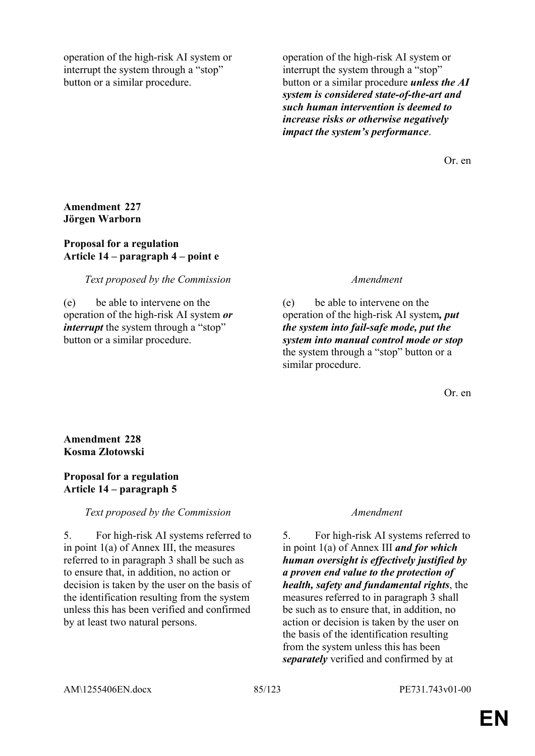operation of the high-risk AI system or interrupt the system through a "stop" button or a similar procedure.

operation of the high-risk AI system or interrupt the system through a "stop" button or a similar procedure *unless the AI system is considered state-of-the-art and such human intervention is deemed to increase risks or otherwise negatively impact the system's performance*.

Or. en

## **Amendment 227 Jörgen Warborn**

## **Proposal for a regulation Article 14 – paragraph 4 – point e**

# *Text proposed by the Commission Amendment*

(e) be able to intervene on the operation of the high-risk AI system *or interrupt* the system through a "stop" button or a similar procedure.

(e) be able to intervene on the operation of the high-risk AI system*, put the system into fail-safe mode, put the system into manual control mode or stop* the system through a "stop" button or a similar procedure.

Or. en

**Amendment 228 Kosma Złotowski**

# **Proposal for a regulation Article 14 – paragraph 5**

# *Text proposed by the Commission Amendment*

5. For high-risk AI systems referred to in point 1(a) of Annex III, the measures referred to in paragraph 3 shall be such as to ensure that, in addition, no action or decision is taken by the user on the basis of the identification resulting from the system unless this has been verified and confirmed by at least two natural persons.

5. For high-risk AI systems referred to in point 1(a) of Annex III *and for which human oversight is effectively justified by a proven end value to the protection of health, safety and fundamental rights*, the measures referred to in paragraph 3 shall be such as to ensure that, in addition, no action or decision is taken by the user on the basis of the identification resulting from the system unless this has been *separately* verified and confirmed by at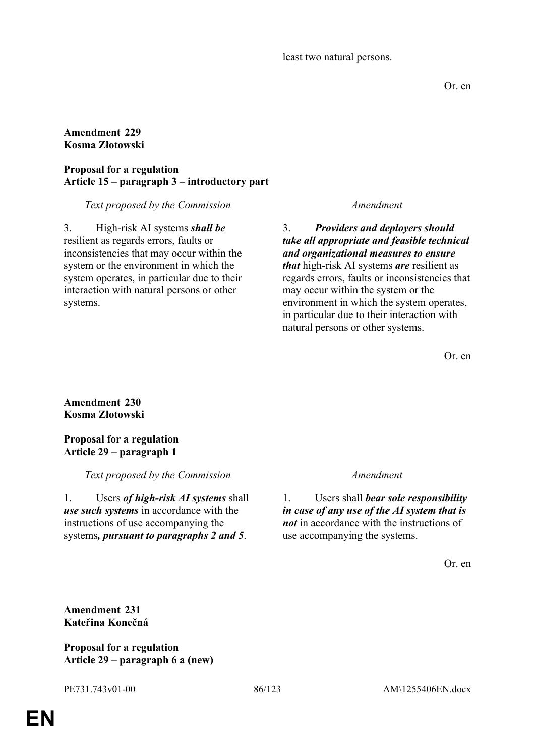least two natural persons.

Or. en

## **Amendment 229 Kosma Złotowski**

# **Proposal for a regulation Article 15 – paragraph 3 – introductory part**

# *Text proposed by the Commission Amendment*

3. High-risk AI systems *shall be* resilient as regards errors, faults or inconsistencies that may occur within the system or the environment in which the system operates, in particular due to their interaction with natural persons or other systems.

3. *Providers and deployers should take all appropriate and feasible technical and organizational measures to ensure that* high-risk AI systems *are* resilient as regards errors, faults or inconsistencies that may occur within the system or the environment in which the system operates, in particular due to their interaction with natural persons or other systems.

Or. en

# **Amendment 230 Kosma Złotowski**

# **Proposal for a regulation Article 29 – paragraph 1**

*Text proposed by the Commission Amendment*

1. Users *of high-risk AI systems* shall *use such systems* in accordance with the instructions of use accompanying the systems*, pursuant to paragraphs 2 and 5*.

1. Users shall *bear sole responsibility in case of any use of the AI system that is not* in accordance with the instructions of use accompanying the systems.

Or. en

**Amendment 231 Kateřina Konečná**

**Proposal for a regulation Article 29 – paragraph 6 a (new)**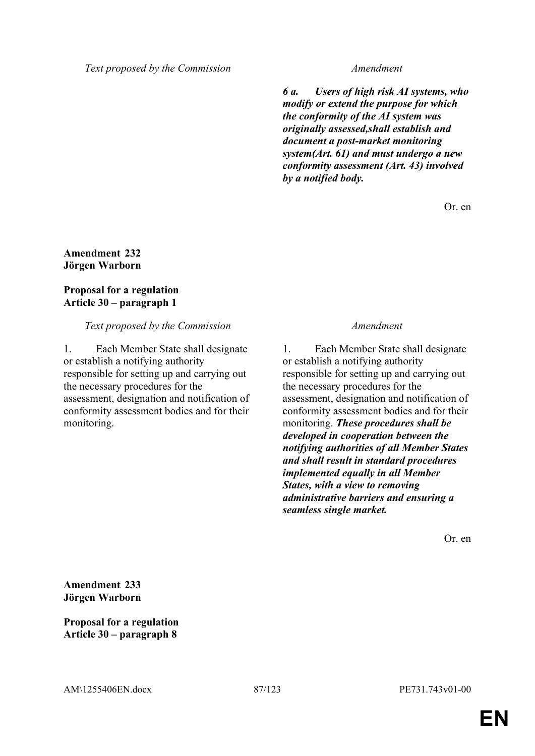*6 a. Users of high risk AI systems, who modify or extend the purpose for which the conformity of the AI system was originally assessed,shall establish and document a post-market monitoring system(Art. 61) and must undergo a new conformity assessment (Art. 43) involved by a notified body.*

Or. en

## **Amendment 232 Jörgen Warborn**

# **Proposal for a regulation Article 30 – paragraph 1**

### *Text proposed by the Commission Amendment*

1. Each Member State shall designate or establish a notifying authority responsible for setting up and carrying out the necessary procedures for the assessment, designation and notification of conformity assessment bodies and for their monitoring.

1. Each Member State shall designate or establish a notifying authority responsible for setting up and carrying out the necessary procedures for the assessment, designation and notification of conformity assessment bodies and for their monitoring. *These procedures shall be developed in cooperation between the notifying authorities of all Member States and shall result in standard procedures implemented equally in all Member States, with a view to removing administrative barriers and ensuring a seamless single market.*

Or. en

**Amendment 233 Jörgen Warborn**

**Proposal for a regulation Article 30 – paragraph 8**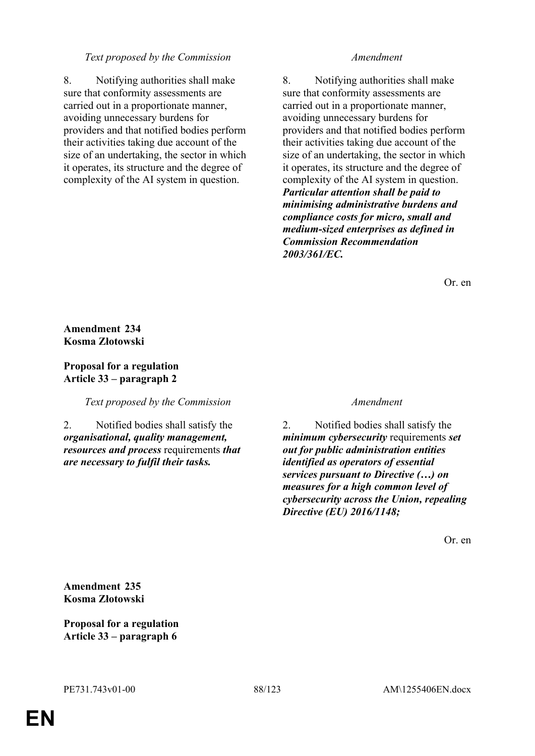8. Notifying authorities shall make sure that conformity assessments are carried out in a proportionate manner, avoiding unnecessary burdens for providers and that notified bodies perform their activities taking due account of the size of an undertaking, the sector in which it operates, its structure and the degree of complexity of the AI system in question.

8. Notifying authorities shall make sure that conformity assessments are carried out in a proportionate manner, avoiding unnecessary burdens for providers and that notified bodies perform their activities taking due account of the size of an undertaking, the sector in which it operates, its structure and the degree of complexity of the AI system in question. *Particular attention shall be paid to minimising administrative burdens and compliance costs for micro, small and medium-sized enterprises as defined in Commission Recommendation 2003/361/EC.*

Or. en

# **Amendment 234 Kosma Złotowski**

# **Proposal for a regulation Article 33 – paragraph 2**

*Text proposed by the Commission Amendment*

2. Notified bodies shall satisfy the *organisational, quality management, resources and process* requirements *that are necessary to fulfil their tasks.*

2. Notified bodies shall satisfy the *minimum cybersecurity* requirements *set out for public administration entities identified as operators of essential services pursuant to Directive (…) on measures for a high common level of cybersecurity across the Union, repealing Directive (EU) 2016/1148;*

Or. en

**Amendment 235 Kosma Złotowski**

**Proposal for a regulation Article 33 – paragraph 6**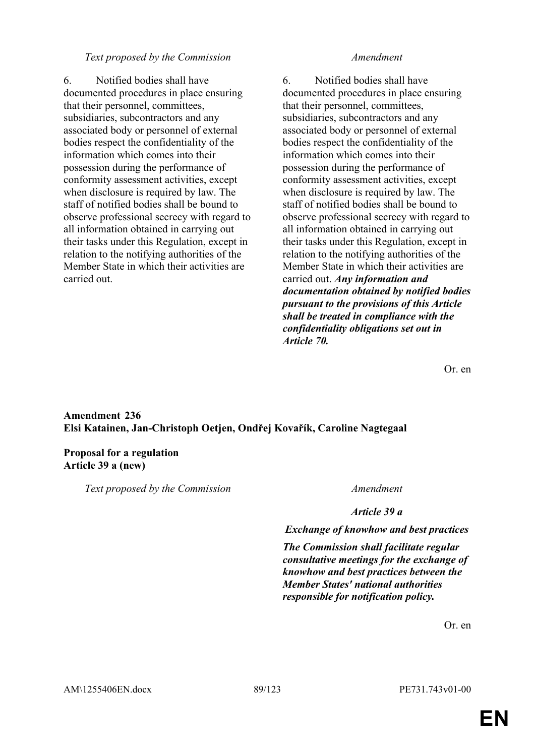6. Notified bodies shall have documented procedures in place ensuring that their personnel, committees, subsidiaries, subcontractors and any associated body or personnel of external bodies respect the confidentiality of the information which comes into their possession during the performance of conformity assessment activities, except when disclosure is required by law. The staff of notified bodies shall be bound to observe professional secrecy with regard to all information obtained in carrying out their tasks under this Regulation, except in relation to the notifying authorities of the Member State in which their activities are carried out.

6. Notified bodies shall have documented procedures in place ensuring that their personnel, committees, subsidiaries, subcontractors and any associated body or personnel of external bodies respect the confidentiality of the information which comes into their possession during the performance of conformity assessment activities, except when disclosure is required by law. The staff of notified bodies shall be bound to observe professional secrecy with regard to all information obtained in carrying out their tasks under this Regulation, except in relation to the notifying authorities of the Member State in which their activities are carried out. *Any information and documentation obtained by notified bodies pursuant to the provisions of this Article shall be treated in compliance with the confidentiality obligations set out in Article 70.*

Or. en

# **Amendment 236 Elsi Katainen, Jan-Christoph Oetjen, Ondřej Kovařík, Caroline Nagtegaal**

# **Proposal for a regulation Article 39 a (new)**

*Text proposed by the Commission Amendment*

*Article 39 a*

*Exchange of knowhow and best practices*

*The Commission shall facilitate regular consultative meetings for the exchange of knowhow and best practices between the Member States' national authorities responsible for notification policy.*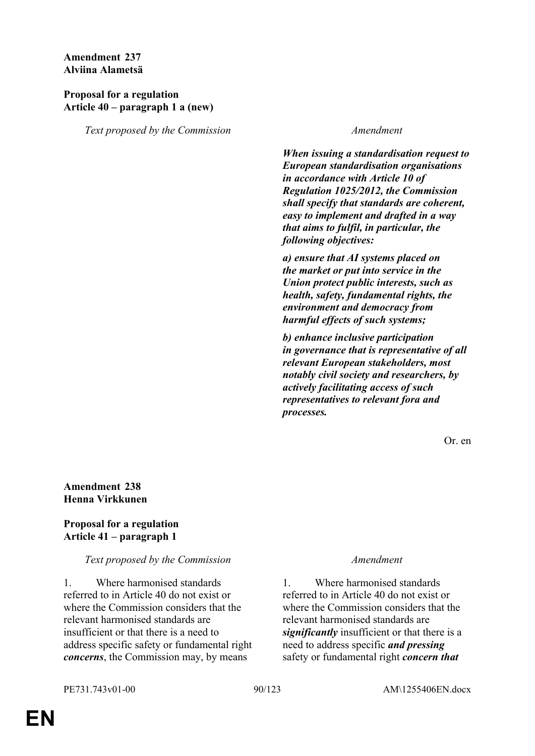**Amendment 237 Alviina Alametsä**

### **Proposal for a regulation Article 40 – paragraph 1 a (new)**

*Text proposed by the Commission Amendment*

*When issuing a standardisation request to European standardisation organisations in accordance with Article 10 of Regulation 1025/2012, the Commission shall specify that standards are coherent, easy to implement and drafted in a way that aims to fulfil, in particular, the following objectives:* 

*a) ensure that AI systems placed on the market or put into service in the Union protect public interests, such as health, safety, fundamental rights, the environment and democracy from harmful effects of such systems;* 

*b) enhance inclusive participation in governance that is representative of all relevant European stakeholders, most notably civil society and researchers, by actively facilitating access of such representatives to relevant fora and processes.* 

Or. en

# **Amendment 238 Henna Virkkunen**

# **Proposal for a regulation Article 41 – paragraph 1**

# *Text proposed by the Commission Amendment*

1. Where harmonised standards referred to in Article 40 do not exist or where the Commission considers that the relevant harmonised standards are insufficient or that there is a need to address specific safety or fundamental right *concerns*, the Commission may, by means

1. Where harmonised standards referred to in Article 40 do not exist or where the Commission considers that the relevant harmonised standards are *significantly* insufficient or that there is a need to address specific *and pressing* safety or fundamental right *concern that*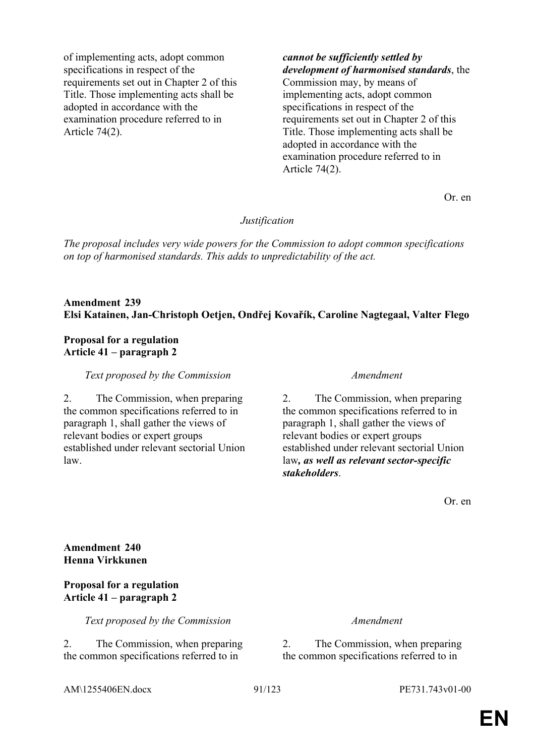of implementing acts, adopt common specifications in respect of the requirements set out in Chapter 2 of this Title. Those implementing acts shall be adopted in accordance with the examination procedure referred to in Article 74(2).

*cannot be sufficiently settled by development of harmonised standards*, the Commission may, by means of implementing acts, adopt common specifications in respect of the requirements set out in Chapter 2 of this Title. Those implementing acts shall be adopted in accordance with the examination procedure referred to in Article 74(2).

Or. en

### *Justification*

*The proposal includes very wide powers for the Commission to adopt common specifications on top of harmonised standards. This adds to unpredictability of the act.*

# **Amendment 239 Elsi Katainen, Jan-Christoph Oetjen, Ondřej Kovařík, Caroline Nagtegaal, Valter Flego**

### **Proposal for a regulation Article 41 – paragraph 2**

*Text proposed by the Commission Amendment*

2. The Commission, when preparing the common specifications referred to in paragraph 1, shall gather the views of relevant bodies or expert groups established under relevant sectorial Union law.

2. The Commission, when preparing the common specifications referred to in paragraph 1, shall gather the views of relevant bodies or expert groups established under relevant sectorial Union law*, as well as relevant sector-specific stakeholders*.

Or. en

**Amendment 240 Henna Virkkunen**

### **Proposal for a regulation Article 41 – paragraph 2**

*Text proposed by the Commission Amendment*

2. The Commission, when preparing the common specifications referred to in

2. The Commission, when preparing the common specifications referred to in

AM\1255406EN.docx 91/123 PE731.743v01-00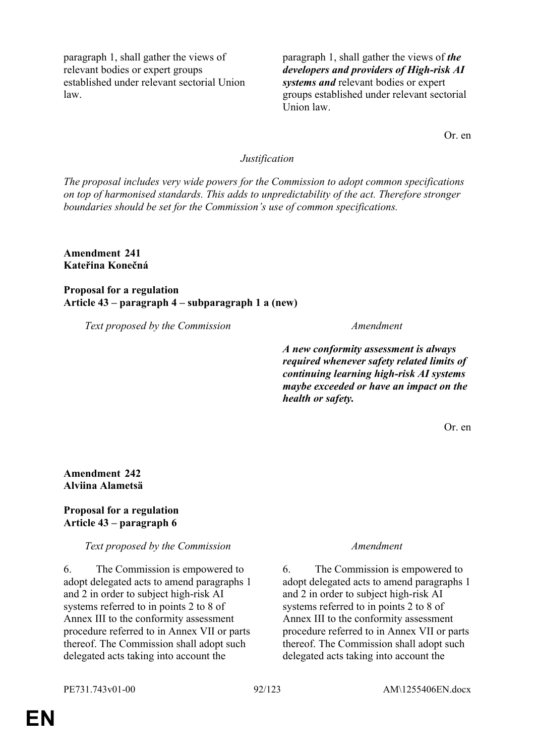paragraph 1, shall gather the views of relevant bodies or expert groups established under relevant sectorial Union law.

paragraph 1, shall gather the views of *the developers and providers of High-risk AI systems and* relevant bodies or expert groups established under relevant sectorial Union law.

Or. en

# *Justification*

*The proposal includes very wide powers for the Commission to adopt common specifications on top of harmonised standards. This adds to unpredictability of the act. Therefore stronger boundaries should be set for the Commission's use of common specifications.*

**Amendment 241 Kateřina Konečná**

**Proposal for a regulation Article 43 – paragraph 4 – subparagraph 1 a (new)**

*Text proposed by the Commission Amendment*

*A new conformity assessment is always required whenever safety related limits of continuing learning high-risk AI systems maybe exceeded or have an impact on the health or safety.*

Or. en

**Amendment 242 Alviina Alametsä**

### **Proposal for a regulation Article 43 – paragraph 6**

*Text proposed by the Commission Amendment*

6. The Commission is empowered to adopt delegated acts to amend paragraphs 1 and 2 in order to subject high-risk AI systems referred to in points 2 to 8 of Annex III to the conformity assessment procedure referred to in Annex VII or parts thereof. The Commission shall adopt such delegated acts taking into account the

6. The Commission is empowered to adopt delegated acts to amend paragraphs 1 and 2 in order to subject high-risk AI systems referred to in points 2 to 8 of Annex III to the conformity assessment procedure referred to in Annex VII or parts thereof. The Commission shall adopt such delegated acts taking into account the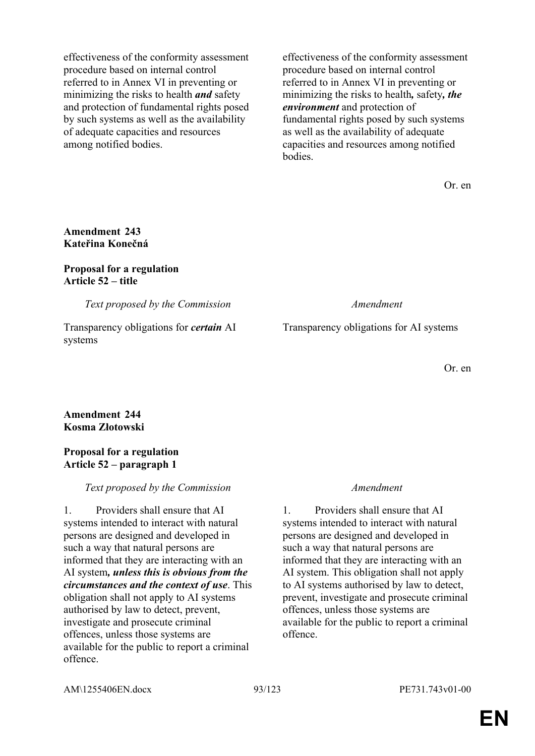effectiveness of the conformity assessment procedure based on internal control referred to in Annex VI in preventing or minimizing the risks to health *and* safety and protection of fundamental rights posed by such systems as well as the availability of adequate capacities and resources among notified bodies.

effectiveness of the conformity assessment procedure based on internal control referred to in Annex VI in preventing or minimizing the risks to health*,* safety*, the environment* and protection of fundamental rights posed by such systems as well as the availability of adequate capacities and resources among notified bodies.

Or. en

# **Amendment 243 Kateřina Konečná**

### **Proposal for a regulation Article 52 – title**

*Text proposed by the Commission Amendment*

Transparency obligations for *certain* AI systems

Transparency obligations for AI systems

Or. en

# **Amendment 244 Kosma Złotowski**

# **Proposal for a regulation Article 52 – paragraph 1**

# *Text proposed by the Commission Amendment*

1. Providers shall ensure that AI systems intended to interact with natural persons are designed and developed in such a way that natural persons are informed that they are interacting with an AI system*, unless this is obvious from the circumstances and the context of use*. This obligation shall not apply to AI systems authorised by law to detect, prevent, investigate and prosecute criminal offences, unless those systems are available for the public to report a criminal offence.

1. Providers shall ensure that AI systems intended to interact with natural persons are designed and developed in such a way that natural persons are informed that they are interacting with an AI system. This obligation shall not apply to AI systems authorised by law to detect, prevent, investigate and prosecute criminal offences, unless those systems are available for the public to report a criminal offence.

AM\1255406EN.docx 93/123 PE731.743v01-00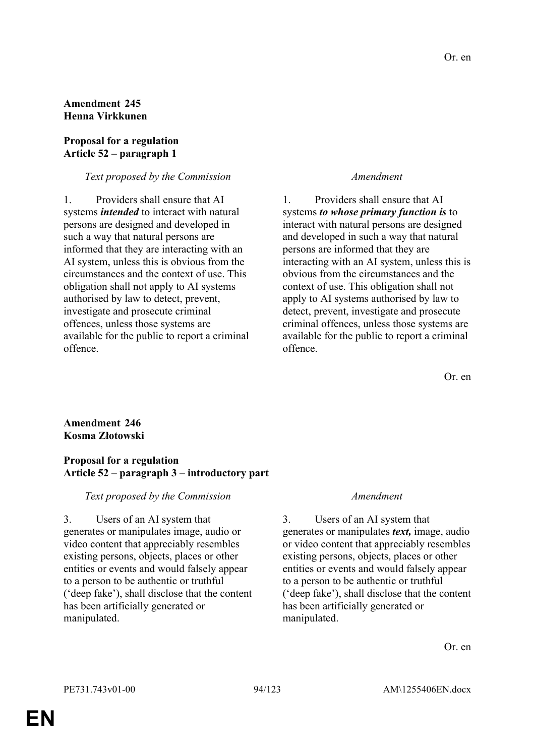# **Amendment 245 Henna Virkkunen**

# **Proposal for a regulation Article 52 – paragraph 1**

# *Text proposed by the Commission Amendment*

1. Providers shall ensure that AI systems *intended* to interact with natural persons are designed and developed in such a way that natural persons are informed that they are interacting with an AI system, unless this is obvious from the circumstances and the context of use. This obligation shall not apply to AI systems authorised by law to detect, prevent, investigate and prosecute criminal offences, unless those systems are available for the public to report a criminal offence.

1. Providers shall ensure that AI systems *to whose primary function is* to interact with natural persons are designed and developed in such a way that natural persons are informed that they are interacting with an AI system, unless this is obvious from the circumstances and the context of use. This obligation shall not apply to AI systems authorised by law to detect, prevent, investigate and prosecute criminal offences, unless those systems are available for the public to report a criminal offence.

Or. en

# **Amendment 246 Kosma Złotowski**

# **Proposal for a regulation Article 52 – paragraph 3 – introductory part**

### *Text proposed by the Commission Amendment*

3. Users of an AI system that generates or manipulates image, audio or video content that appreciably resembles existing persons, objects, places or other entities or events and would falsely appear to a person to be authentic or truthful ('deep fake'), shall disclose that the content has been artificially generated or manipulated.

3. Users of an AI system that generates or manipulates *text,* image, audio or video content that appreciably resembles existing persons, objects, places or other entities or events and would falsely appear to a person to be authentic or truthful ('deep fake'), shall disclose that the content has been artificially generated or manipulated.

Or. en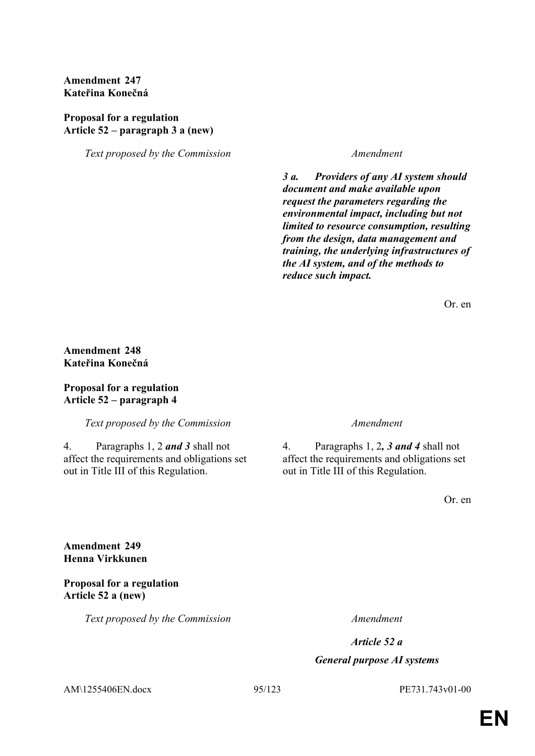# **Amendment 247 Kateřina Konečná**

# **Proposal for a regulation Article 52 – paragraph 3 a (new)**

*Text proposed by the Commission Amendment*

*3 a. Providers of any AI system should document and make available upon request the parameters regarding the environmental impact, including but not limited to resource consumption, resulting from the design, data management and training, the underlying infrastructures of the AI system, and of the methods to reduce such impact.*

Or. en

# **Amendment 248 Kateřina Konečná**

### **Proposal for a regulation Article 52 – paragraph 4**

*Text proposed by the Commission Amendment*

4. Paragraphs 1, 2 *and 3* shall not affect the requirements and obligations set out in Title III of this Regulation.

4. Paragraphs 1, 2*, 3 and 4* shall not affect the requirements and obligations set out in Title III of this Regulation.

Or. en

**Amendment 249 Henna Virkkunen**

**Proposal for a regulation Article 52 a (new)**

*Text proposed by the Commission Amendment*

*Article 52 a*

## *General purpose AI systems*

AM\1255406EN.docx 95/123 PE731.743v01-00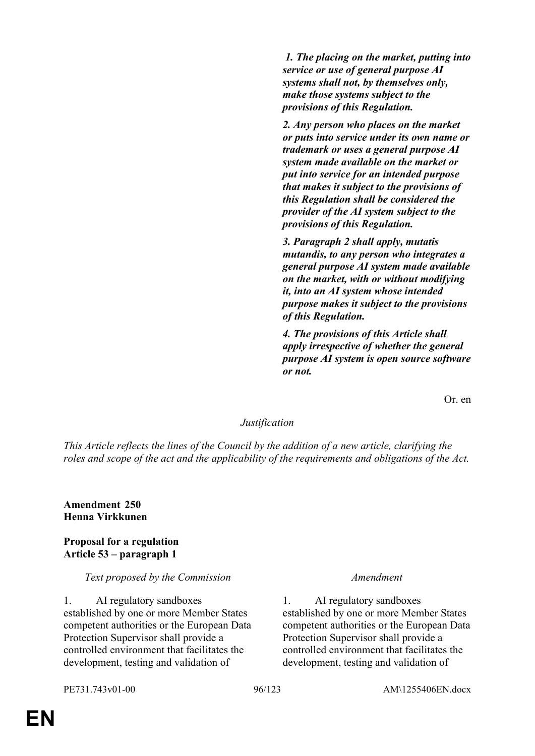*1. The placing on the market, putting into service or use of general purpose AI systems shall not, by themselves only, make those systems subject to the provisions of this Regulation.* 

*2. Any person who places on the market or puts into service under its own name or trademark or uses a general purpose AI system made available on the market or put into service for an intended purpose that makes it subject to the provisions of this Regulation shall be considered the provider of the AI system subject to the provisions of this Regulation.* 

*3. Paragraph 2 shall apply, mutatis mutandis, to any person who integrates a general purpose AI system made available on the market, with or without modifying it, into an AI system whose intended purpose makes it subject to the provisions of this Regulation.* 

*4. The provisions of this Article shall apply irrespective of whether the general purpose AI system is open source software or not.* 

Or. en

### *Justification*

*This Article reflects the lines of the Council by the addition of a new article, clarifying the roles and scope of the act and the applicability of the requirements and obligations of the Act.*

**Amendment 250 Henna Virkkunen**

### **Proposal for a regulation Article 53 – paragraph 1**

### *Text proposed by the Commission Amendment*

1. AI regulatory sandboxes established by one or more Member States competent authorities or the European Data Protection Supervisor shall provide a controlled environment that facilitates the development, testing and validation of

1. AI regulatory sandboxes established by one or more Member States competent authorities or the European Data Protection Supervisor shall provide a controlled environment that facilitates the development, testing and validation of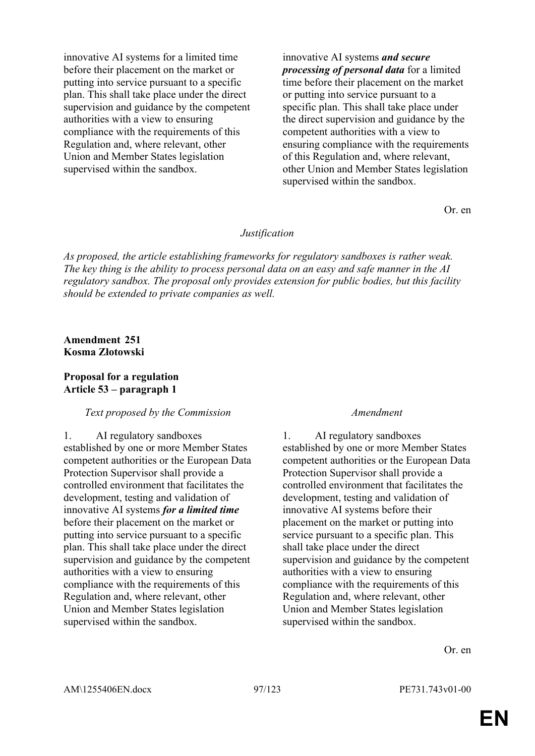innovative AI systems for a limited time before their placement on the market or putting into service pursuant to a specific plan. This shall take place under the direct supervision and guidance by the competent authorities with a view to ensuring compliance with the requirements of this Regulation and, where relevant, other Union and Member States legislation supervised within the sandbox.

innovative AI systems *and secure processing of personal data* for a limited time before their placement on the market or putting into service pursuant to a specific plan. This shall take place under the direct supervision and guidance by the competent authorities with a view to ensuring compliance with the requirements of this Regulation and, where relevant, other Union and Member States legislation supervised within the sandbox.

Or. en

### *Justification*

*As proposed, the article establishing frameworks for regulatory sandboxes is rather weak. The key thing is the ability to process personal data on an easy and safe manner in the AI regulatory sandbox. The proposal only provides extension for public bodies, but this facility should be extended to private companies as well.*

### **Amendment 251 Kosma Złotowski**

### **Proposal for a regulation Article 53 – paragraph 1**

### *Text proposed by the Commission Amendment*

1. AI regulatory sandboxes

established by one or more Member States competent authorities or the European Data Protection Supervisor shall provide a controlled environment that facilitates the development, testing and validation of innovative AI systems *for a limited time* before their placement on the market or putting into service pursuant to a specific plan. This shall take place under the direct supervision and guidance by the competent authorities with a view to ensuring compliance with the requirements of this Regulation and, where relevant, other Union and Member States legislation supervised within the sandbox.

1. AI regulatory sandboxes established by one or more Member States competent authorities or the European Data Protection Supervisor shall provide a controlled environment that facilitates the development, testing and validation of innovative AI systems before their placement on the market or putting into service pursuant to a specific plan. This shall take place under the direct supervision and guidance by the competent authorities with a view to ensuring compliance with the requirements of this Regulation and, where relevant, other Union and Member States legislation supervised within the sandbox.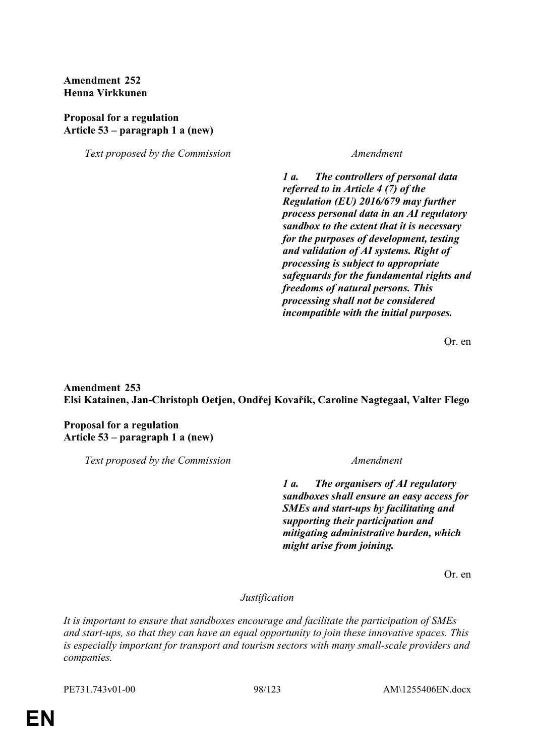# **Amendment 252 Henna Virkkunen**

# **Proposal for a regulation Article 53 – paragraph 1 a (new)**

*Text proposed by the Commission Amendment*

*1 a. The controllers of personal data referred to in Article 4 (7) of the Regulation (EU) 2016/679 may further process personal data in an AI regulatory sandbox to the extent that it is necessary for the purposes of development, testing and validation of AI systems. Right of processing is subject to appropriate safeguards for the fundamental rights and freedoms of natural persons. This processing shall not be considered incompatible with the initial purposes.*

Or. en

# **Amendment 253 Elsi Katainen, Jan-Christoph Oetjen, Ondřej Kovařík, Caroline Nagtegaal, Valter Flego**

**Proposal for a regulation Article 53 – paragraph 1 a (new)**

*Text proposed by the Commission Amendment*

*1 a. The organisers of AI regulatory sandboxes shall ensure an easy access for SMEs and start-ups by facilitating and supporting their participation and mitigating administrative burden, which might arise from joining.*

Or. en

*Justification*

*It is important to ensure that sandboxes encourage and facilitate the participation of SMEs and start-ups, so that they can have an equal opportunity to join these innovative spaces. This is especially important for transport and tourism sectors with many small-scale providers and companies.*

PE731.743v01-00 98/123 AM\1255406EN.docx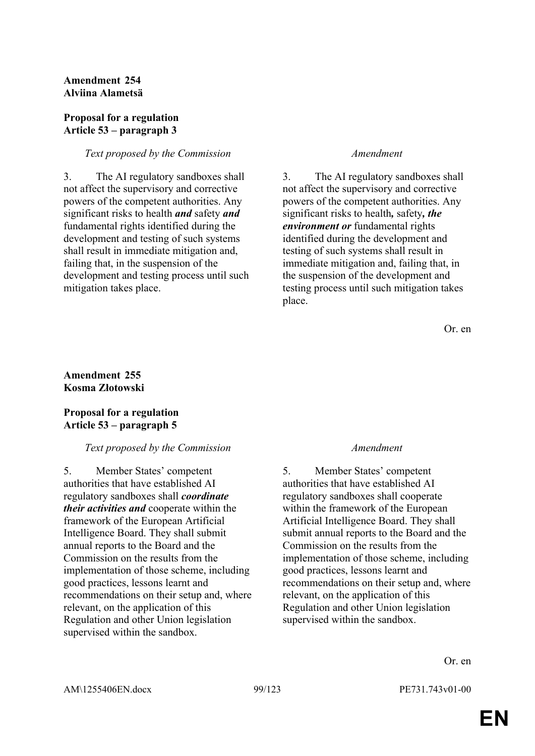# **Amendment 254 Alviina Alametsä**

# **Proposal for a regulation Article 53 – paragraph 3**

### *Text proposed by the Commission Amendment*

3. The AI regulatory sandboxes shall not affect the supervisory and corrective powers of the competent authorities. Any significant risks to health *and* safety *and* fundamental rights identified during the development and testing of such systems shall result in immediate mitigation and, failing that, in the suspension of the development and testing process until such mitigation takes place.

3. The AI regulatory sandboxes shall not affect the supervisory and corrective powers of the competent authorities. Any significant risks to health*,* safety*, the environment or* fundamental rights identified during the development and testing of such systems shall result in immediate mitigation and, failing that, in the suspension of the development and testing process until such mitigation takes place.

Or. en

### **Amendment 255 Kosma Złotowski**

# **Proposal for a regulation Article 53 – paragraph 5**

### *Text proposed by the Commission Amendment*

5. Member States' competent authorities that have established AI regulatory sandboxes shall *coordinate their activities and* cooperate within the framework of the European Artificial Intelligence Board. They shall submit annual reports to the Board and the Commission on the results from the implementation of those scheme, including good practices, lessons learnt and recommendations on their setup and, where relevant, on the application of this Regulation and other Union legislation supervised within the sandbox.

5. Member States' competent authorities that have established AI regulatory sandboxes shall cooperate within the framework of the European Artificial Intelligence Board. They shall submit annual reports to the Board and the Commission on the results from the implementation of those scheme, including good practices, lessons learnt and recommendations on their setup and, where relevant, on the application of this Regulation and other Union legislation supervised within the sandbox.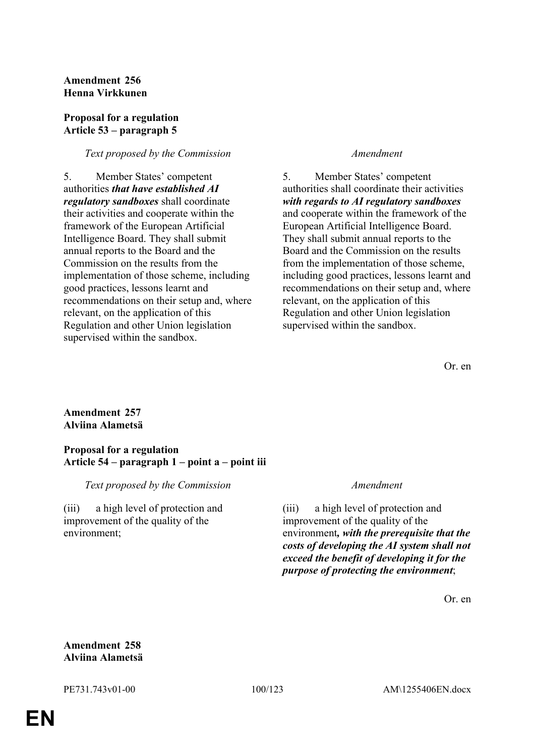# **Amendment 256 Henna Virkkunen**

# **Proposal for a regulation Article 53 – paragraph 5**

## *Text proposed by the Commission Amendment*

5. Member States' competent authorities *that have established AI regulatory sandboxes* shall coordinate their activities and cooperate within the framework of the European Artificial Intelligence Board. They shall submit annual reports to the Board and the Commission on the results from the implementation of those scheme, including good practices, lessons learnt and recommendations on their setup and, where relevant, on the application of this Regulation and other Union legislation supervised within the sandbox.

5. Member States' competent authorities shall coordinate their activities *with regards to AI regulatory sandboxes* and cooperate within the framework of the European Artificial Intelligence Board. They shall submit annual reports to the Board and the Commission on the results from the implementation of those scheme, including good practices, lessons learnt and recommendations on their setup and, where relevant, on the application of this Regulation and other Union legislation supervised within the sandbox.

Or. en

# **Amendment 257 Alviina Alametsä**

# **Proposal for a regulation Article 54 – paragraph 1 – point a – point iii**

# *Text proposed by the Commission Amendment*

(iii) a high level of protection and improvement of the quality of the environment;

(iii) a high level of protection and improvement of the quality of the environment*, with the prerequisite that the costs of developing the AI system shall not exceed the benefit of developing it for the purpose of protecting the environment*;

Or. en

# **Amendment 258 Alviina Alametsä**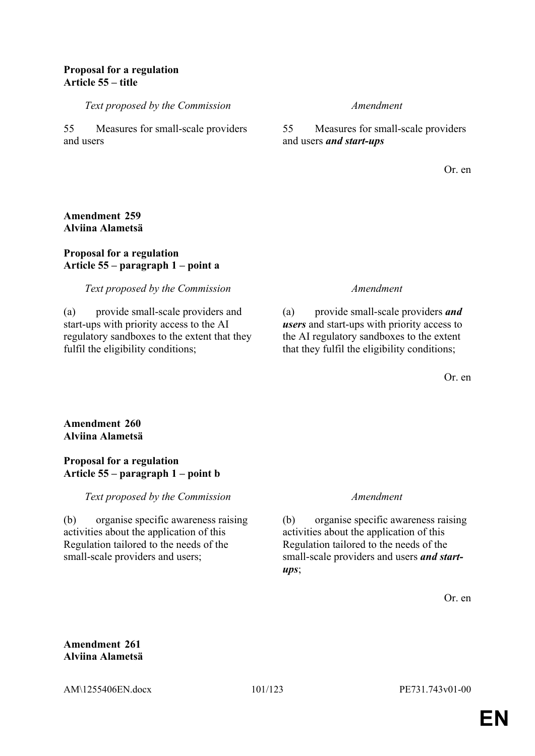## **Proposal for a regulation Article 55 – title**

*Text proposed by the Commission Amendment*

55 Measures for small-scale providers and users

55 Measures for small-scale providers and users *and start-ups*

Or. en

## **Amendment 259 Alviina Alametsä**

# **Proposal for a regulation Article 55 – paragraph 1 – point a**

# *Text proposed by the Commission Amendment*

(a) provide small-scale providers and start-ups with priority access to the AI regulatory sandboxes to the extent that they fulfil the eligibility conditions;

(a) provide small-scale providers *and users* and start-ups with priority access to the AI regulatory sandboxes to the extent that they fulfil the eligibility conditions;

Or. en

# **Amendment 260 Alviina Alametsä**

### **Proposal for a regulation Article 55 – paragraph 1 – point b**

*Text proposed by the Commission Amendment*

(b) organise specific awareness raising activities about the application of this Regulation tailored to the needs of the small-scale providers and users;

(b) organise specific awareness raising activities about the application of this Regulation tailored to the needs of the small-scale providers and users *and startups*;

Or. en

**Amendment 261 Alviina Alametsä**

AM\1255406EN.docx 101/123 PE731.743v01-00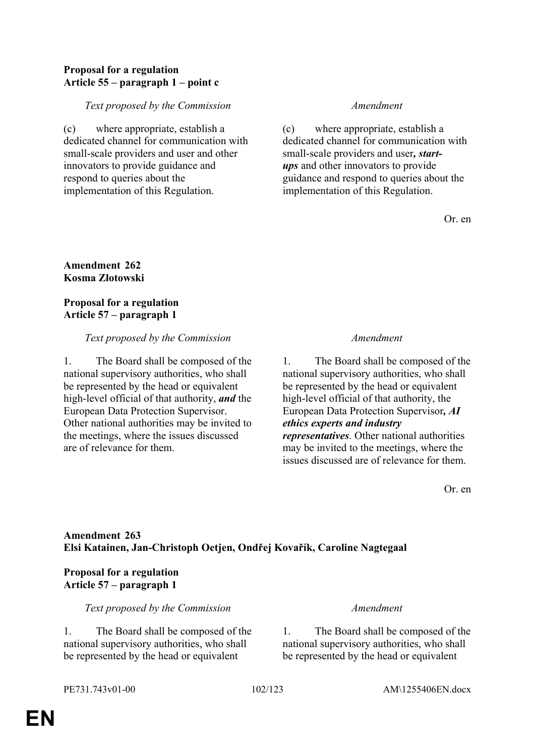# **Proposal for a regulation Article 55 – paragraph 1 – point c**

# *Text proposed by the Commission Amendment*

(c) where appropriate, establish a dedicated channel for communication with small-scale providers and user and other innovators to provide guidance and respond to queries about the implementation of this Regulation.

(c) where appropriate, establish a dedicated channel for communication with small-scale providers and user*, startups* and other innovators to provide guidance and respond to queries about the implementation of this Regulation.

Or. en

# **Amendment 262 Kosma Złotowski**

# **Proposal for a regulation Article 57 – paragraph 1**

## *Text proposed by the Commission Amendment*

1. The Board shall be composed of the national supervisory authorities, who shall be represented by the head or equivalent high-level official of that authority, *and* the European Data Protection Supervisor. Other national authorities may be invited to the meetings, where the issues discussed are of relevance for them.

1. The Board shall be composed of the national supervisory authorities, who shall be represented by the head or equivalent high-level official of that authority, the European Data Protection Supervisor*, AI ethics experts and industry representatives*. Other national authorities may be invited to the meetings, where the issues discussed are of relevance for them.

Or. en

# **Amendment 263 Elsi Katainen, Jan-Christoph Oetjen, Ondřej Kovařík, Caroline Nagtegaal**

# **Proposal for a regulation Article 57 – paragraph 1**

# *Text proposed by the Commission Amendment*

1. The Board shall be composed of the national supervisory authorities, who shall be represented by the head or equivalent

1. The Board shall be composed of the national supervisory authorities, who shall be represented by the head or equivalent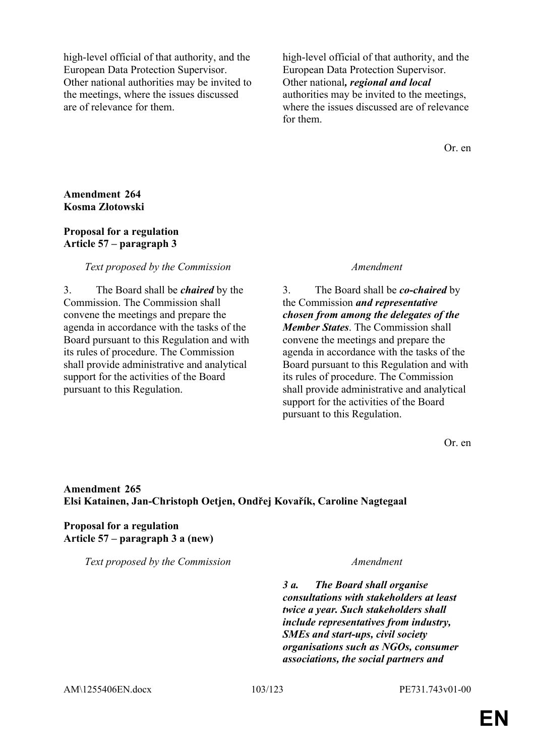high-level official of that authority, and the European Data Protection Supervisor. Other national authorities may be invited to the meetings, where the issues discussed are of relevance for them.

high-level official of that authority, and the European Data Protection Supervisor. Other national*, regional and local* authorities may be invited to the meetings, where the issues discussed are of relevance for them.

Or. en

### **Amendment 264 Kosma Złotowski**

### **Proposal for a regulation Article 57 – paragraph 3**

## *Text proposed by the Commission Amendment*

3. The Board shall be *chaired* by the Commission. The Commission shall convene the meetings and prepare the agenda in accordance with the tasks of the Board pursuant to this Regulation and with its rules of procedure. The Commission shall provide administrative and analytical support for the activities of the Board pursuant to this Regulation.

3. The Board shall be *co-chaired* by the Commission *and representative chosen from among the delegates of the Member States*. The Commission shall convene the meetings and prepare the agenda in accordance with the tasks of the Board pursuant to this Regulation and with its rules of procedure. The Commission shall provide administrative and analytical support for the activities of the Board pursuant to this Regulation.

Or. en

### **Amendment 265 Elsi Katainen, Jan-Christoph Oetjen, Ondřej Kovařík, Caroline Nagtegaal**

# **Proposal for a regulation Article 57 – paragraph 3 a (new)**

*Text proposed by the Commission Amendment*

*3 a. The Board shall organise consultations with stakeholders at least twice a year. Such stakeholders shall include representatives from industry, SMEs and start-ups, civil society organisations such as NGOs, consumer associations, the social partners and*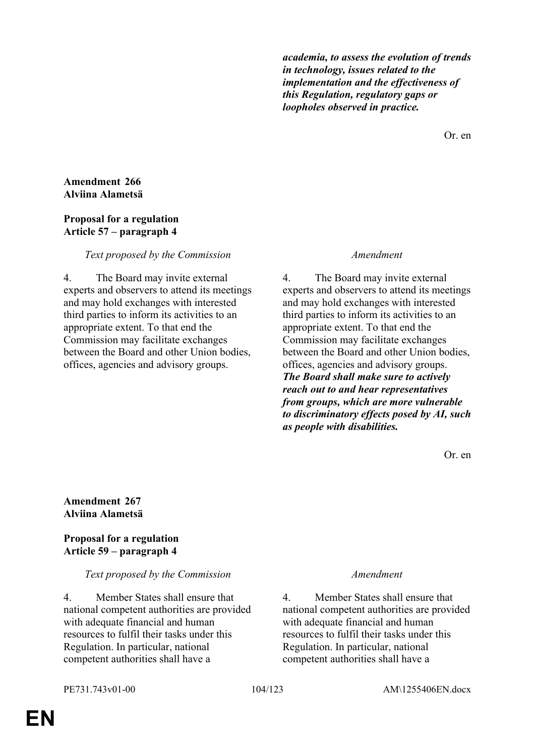*academia, to assess the evolution of trends in technology, issues related to the implementation and the effectiveness of this Regulation, regulatory gaps or loopholes observed in practice.*

Or. en

## **Amendment 266 Alviina Alametsä**

### **Proposal for a regulation Article 57 – paragraph 4**

# *Text proposed by the Commission Amendment*

4. The Board may invite external experts and observers to attend its meetings and may hold exchanges with interested third parties to inform its activities to an appropriate extent. To that end the Commission may facilitate exchanges between the Board and other Union bodies, offices, agencies and advisory groups.

4. The Board may invite external experts and observers to attend its meetings and may hold exchanges with interested third parties to inform its activities to an appropriate extent. To that end the Commission may facilitate exchanges between the Board and other Union bodies, offices, agencies and advisory groups. *The Board shall make sure to actively reach out to and hear representatives from groups, which are more vulnerable to discriminatory effects posed by AI, such as people with disabilities.* 

Or. en

# **Amendment 267 Alviina Alametsä**

# **Proposal for a regulation Article 59 – paragraph 4**

### *Text proposed by the Commission Amendment*

4. Member States shall ensure that national competent authorities are provided with adequate financial and human resources to fulfil their tasks under this Regulation. In particular, national competent authorities shall have a

4. Member States shall ensure that national competent authorities are provided with adequate financial and human resources to fulfil their tasks under this Regulation. In particular, national competent authorities shall have a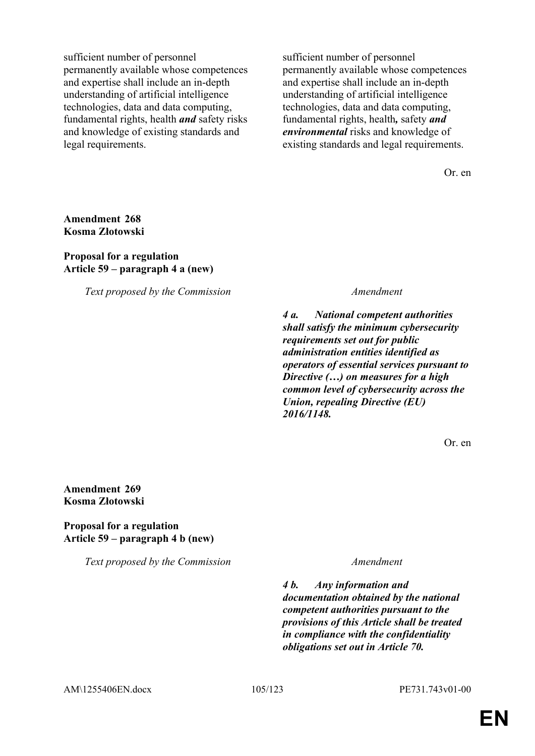sufficient number of personnel permanently available whose competences and expertise shall include an in-depth understanding of artificial intelligence technologies, data and data computing, fundamental rights, health *and* safety risks and knowledge of existing standards and legal requirements.

sufficient number of personnel permanently available whose competences and expertise shall include an in-depth understanding of artificial intelligence technologies, data and data computing, fundamental rights, health*,* safety *and environmental* risks and knowledge of existing standards and legal requirements.

Or. en

## **Amendment 268 Kosma Złotowski**

### **Proposal for a regulation Article 59 – paragraph 4 a (new)**

*Text proposed by the Commission Amendment*

*4 a. National competent authorities shall satisfy the minimum cybersecurity requirements set out for public administration entities identified as operators of essential services pursuant to Directive (…) on measures for a high common level of cybersecurity across the Union, repealing Directive (EU) 2016/1148.*

Or. en

### **Amendment 269 Kosma Złotowski**

# **Proposal for a regulation Article 59 – paragraph 4 b (new)**

*Text proposed by the Commission Amendment*

*4 b. Any information and documentation obtained by the national competent authorities pursuant to the provisions of this Article shall be treated in compliance with the confidentiality obligations set out in Article 70.*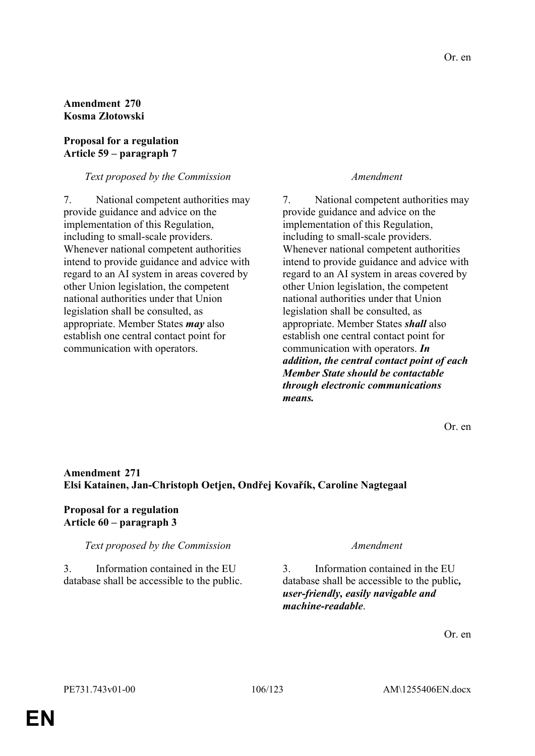# **Amendment 270 Kosma Złotowski**

# **Proposal for a regulation Article 59 – paragraph 7**

# *Text proposed by the Commission Amendment*

7. National competent authorities may provide guidance and advice on the implementation of this Regulation, including to small-scale providers. Whenever national competent authorities intend to provide guidance and advice with regard to an AI system in areas covered by other Union legislation, the competent national authorities under that Union legislation shall be consulted, as appropriate. Member States *may* also establish one central contact point for communication with operators.

7. National competent authorities may provide guidance and advice on the implementation of this Regulation, including to small-scale providers. Whenever national competent authorities intend to provide guidance and advice with regard to an AI system in areas covered by other Union legislation, the competent national authorities under that Union legislation shall be consulted, as appropriate. Member States *shall* also establish one central contact point for communication with operators. *In addition, the central contact point of each Member State should be contactable through electronic communications means.*

Or. en

# **Amendment 271 Elsi Katainen, Jan-Christoph Oetjen, Ondřej Kovařík, Caroline Nagtegaal**

# **Proposal for a regulation Article 60 – paragraph 3**

# *Text proposed by the Commission Amendment*

3. Information contained in the EU database shall be accessible to the public.

3. Information contained in the EU database shall be accessible to the public*, user-friendly, easily navigable and machine-readable*.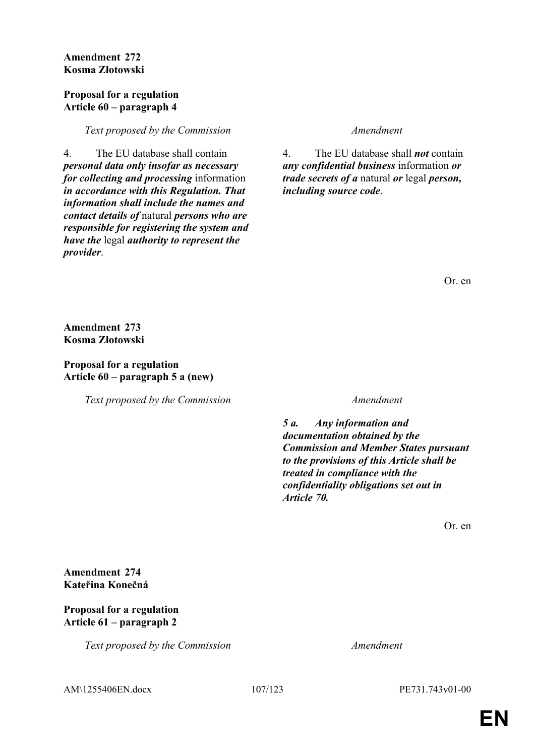**Amendment 272 Kosma Złotowski**

### **Proposal for a regulation Article 60 – paragraph 4**

*Text proposed by the Commission Amendment*

4. The EU database shall contain *personal data only insofar as necessary for collecting and processing* information *in accordance with this Regulation. That information shall include the names and contact details of* natural *persons who are responsible for registering the system and have the* legal *authority to represent the provider*.

4. The EU database shall *not* contain *any confidential business* information *or trade secrets of a* natural *or* legal *person, including source code*.

Or. en

**Amendment 273 Kosma Złotowski**

**Proposal for a regulation Article 60 – paragraph 5 a (new)**

*Text proposed by the Commission Amendment*

*5 a. Any information and documentation obtained by the Commission and Member States pursuant to the provisions of this Article shall be treated in compliance with the confidentiality obligations set out in Article 70.*

Or. en

**Amendment 274 Kateřina Konečná**

## **Proposal for a regulation Article 61 – paragraph 2**

*Text proposed by the Commission Amendment*

AM\1255406EN.docx 107/123 PE731.743v01-00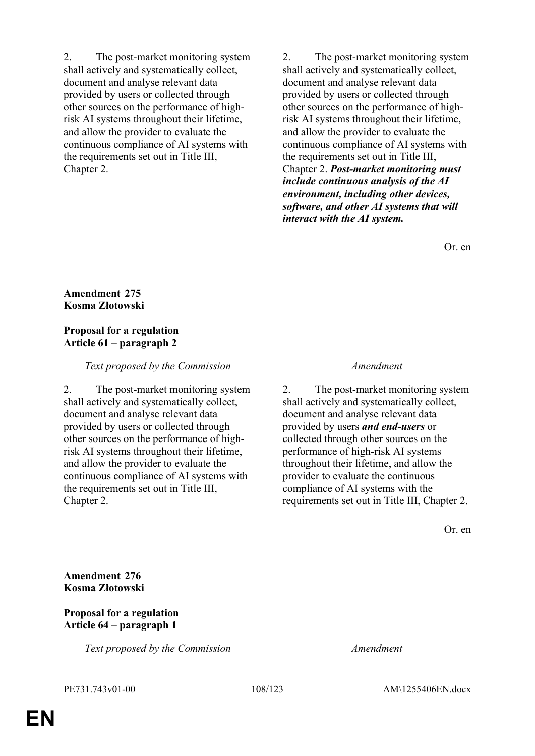2. The post-market monitoring system shall actively and systematically collect, document and analyse relevant data provided by users or collected through other sources on the performance of highrisk AI systems throughout their lifetime, and allow the provider to evaluate the continuous compliance of AI systems with the requirements set out in Title III, Chapter 2.

2. The post-market monitoring system shall actively and systematically collect, document and analyse relevant data provided by users or collected through other sources on the performance of highrisk AI systems throughout their lifetime, and allow the provider to evaluate the continuous compliance of AI systems with the requirements set out in Title III, Chapter 2. *Post-market monitoring must include continuous analysis of the AI environment, including other devices, software, and other AI systems that will interact with the AI system.*

Or. en

## **Amendment 275 Kosma Złotowski**

## **Proposal for a regulation Article 61 – paragraph 2**

### *Text proposed by the Commission Amendment*

2. The post-market monitoring system shall actively and systematically collect, document and analyse relevant data provided by users or collected through other sources on the performance of highrisk AI systems throughout their lifetime, and allow the provider to evaluate the continuous compliance of AI systems with the requirements set out in Title III, Chapter 2.

2. The post-market monitoring system shall actively and systematically collect, document and analyse relevant data provided by users *and end-users* or collected through other sources on the performance of high-risk AI systems throughout their lifetime, and allow the provider to evaluate the continuous compliance of AI systems with the requirements set out in Title III, Chapter 2.

Or. en

**Amendment 276 Kosma Złotowski**

### **Proposal for a regulation Article 64 – paragraph 1**

*Text proposed by the Commission Amendment*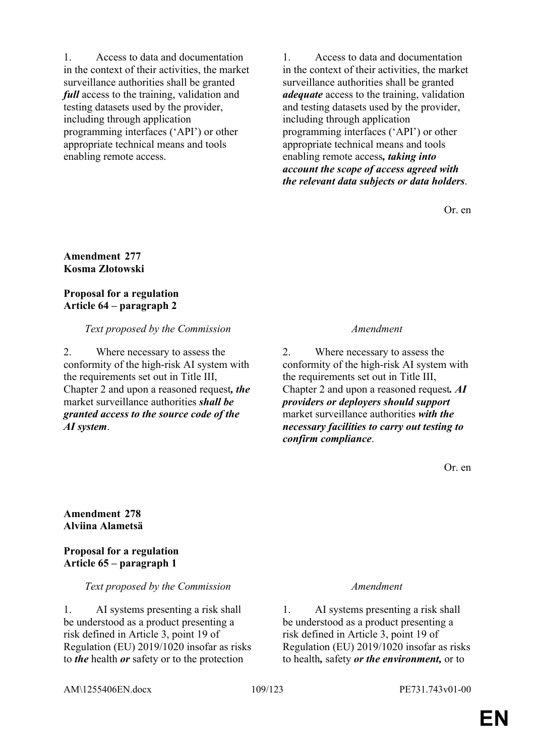1. Access to data and documentation in the context of their activities, the market surveillance authorities shall be granted *full* access to the training, validation and testing datasets used by the provider, including through application programming interfaces ('API') or other appropriate technical means and tools enabling remote access.

1. Access to data and documentation in the context of their activities, the market surveillance authorities shall be granted *adequate* access to the training, validation and testing datasets used by the provider, including through application programming interfaces ('API') or other appropriate technical means and tools enabling remote access*, taking into account the scope of access agreed with the relevant data subjects or data holders*.

Or. en

#### **Amendment 277 Kosma Złotowski**

## **Proposal for a regulation Article 64 – paragraph 2**

# *Text proposed by the Commission Amendment*

2. Where necessary to assess the conformity of the high-risk AI system with the requirements set out in Title III, Chapter 2 and upon a reasoned request*, the* market surveillance authorities *shall be granted access to the source code of the AI system*.

2. Where necessary to assess the conformity of the high-risk AI system with the requirements set out in Title III, Chapter 2 and upon a reasoned request*. AI providers or deployers should support* market surveillance authorities *with the necessary facilities to carry out testing to confirm compliance*.

Or. en

**Amendment 278 Alviina Alametsä**

**Proposal for a regulation Article 65 – paragraph 1**

## *Text proposed by the Commission Amendment*

1. AI systems presenting a risk shall be understood as a product presenting a risk defined in Article 3, point 19 of Regulation (EU) 2019/1020 insofar as risks to *the* health *or* safety or to the protection

1. AI systems presenting a risk shall be understood as a product presenting a risk defined in Article 3, point 19 of Regulation (EU) 2019/1020 insofar as risks to health*,* safety *or the environment,* or to

AM\1255406EN.docx 109/123 PE731.743v01-00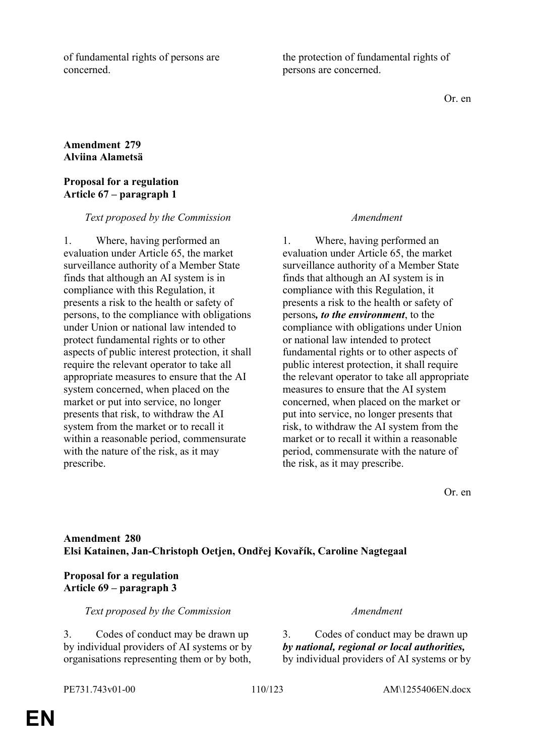of fundamental rights of persons are concerned.

the protection of fundamental rights of persons are concerned.

Or. en

## **Amendment 279 Alviina Alametsä**

### **Proposal for a regulation Article 67 – paragraph 1**

#### *Text proposed by the Commission Amendment*

1. Where, having performed an evaluation under Article 65, the market surveillance authority of a Member State finds that although an AI system is in compliance with this Regulation, it presents a risk to the health or safety of persons, to the compliance with obligations under Union or national law intended to protect fundamental rights or to other aspects of public interest protection, it shall require the relevant operator to take all appropriate measures to ensure that the AI system concerned, when placed on the market or put into service, no longer presents that risk, to withdraw the AI system from the market or to recall it within a reasonable period, commensurate with the nature of the risk, as it may prescribe.

1. Where, having performed an evaluation under Article 65, the market surveillance authority of a Member State finds that although an AI system is in compliance with this Regulation, it presents a risk to the health or safety of persons*, to the environment*, to the compliance with obligations under Union or national law intended to protect fundamental rights or to other aspects of public interest protection, it shall require the relevant operator to take all appropriate measures to ensure that the AI system concerned, when placed on the market or put into service, no longer presents that risk, to withdraw the AI system from the market or to recall it within a reasonable period, commensurate with the nature of the risk, as it may prescribe.

Or. en

# **Amendment 280 Elsi Katainen, Jan-Christoph Oetjen, Ondřej Kovařík, Caroline Nagtegaal**

# **Proposal for a regulation Article 69 – paragraph 3**

### *Text proposed by the Commission Amendment*

3. Codes of conduct may be drawn up by individual providers of AI systems or by organisations representing them or by both,

3. Codes of conduct may be drawn up *by national, regional or local authorities,* by individual providers of AI systems or by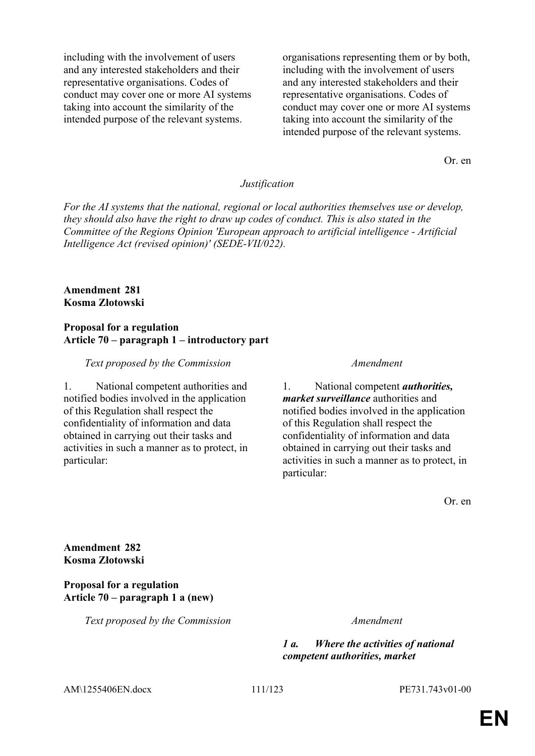including with the involvement of users and any interested stakeholders and their representative organisations. Codes of conduct may cover one or more AI systems taking into account the similarity of the intended purpose of the relevant systems.

organisations representing them or by both, including with the involvement of users and any interested stakeholders and their representative organisations. Codes of conduct may cover one or more AI systems taking into account the similarity of the intended purpose of the relevant systems.

Or. en

#### *Justification*

*For the AI systems that the national, regional or local authorities themselves use or develop, they should also have the right to draw up codes of conduct. This is also stated in the Committee of the Regions Opinion 'European approach to artificial intelligence - Artificial Intelligence Act (revised opinion)' (SEDE-VII/022).*

### **Amendment 281 Kosma Złotowski**

#### **Proposal for a regulation Article 70 – paragraph 1 – introductory part**

#### *Text proposed by the Commission Amendment*

1. National competent authorities and notified bodies involved in the application of this Regulation shall respect the confidentiality of information and data obtained in carrying out their tasks and activities in such a manner as to protect, in particular:

1. National competent *authorities, market surveillance* authorities and notified bodies involved in the application of this Regulation shall respect the confidentiality of information and data obtained in carrying out their tasks and activities in such a manner as to protect, in particular:

Or. en

**Amendment 282 Kosma Złotowski**

#### **Proposal for a regulation Article 70 – paragraph 1 a (new)**

*Text proposed by the Commission Amendment*

*1 a. Where the activities of national competent authorities, market* 

AM\1255406EN.docx 111/123 PE731.743v01-00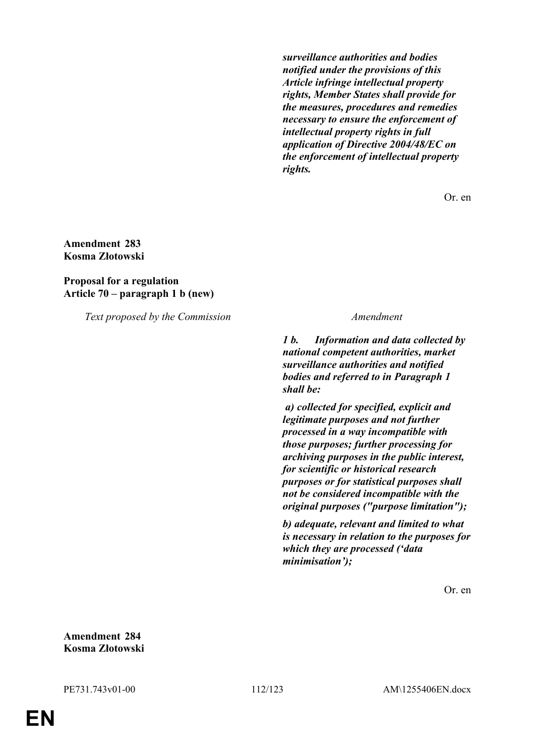*surveillance authorities and bodies notified under the provisions of this Article infringe intellectual property rights, Member States shall provide for the measures, procedures and remedies necessary to ensure the enforcement of intellectual property rights in full application of Directive 2004/48/EC on the enforcement of intellectual property rights.*

Or. en

### **Amendment 283 Kosma Złotowski**

#### **Proposal for a regulation Article 70 – paragraph 1 b (new)**

*Text proposed by the Commission Amendment*

*1 b. Information and data collected by national competent authorities, market surveillance authorities and notified bodies and referred to in Paragraph 1 shall be:*

 *a) collected for specified, explicit and legitimate purposes and not further processed in a way incompatible with those purposes; further processing for archiving purposes in the public interest, for scientific or historical research purposes or for statistical purposes shall not be considered incompatible with the original purposes ("purpose limitation");*

*b) adequate, relevant and limited to what is necessary in relation to the purposes for which they are processed ('data minimisation');*

Or. en

**Amendment 284 Kosma Złotowski**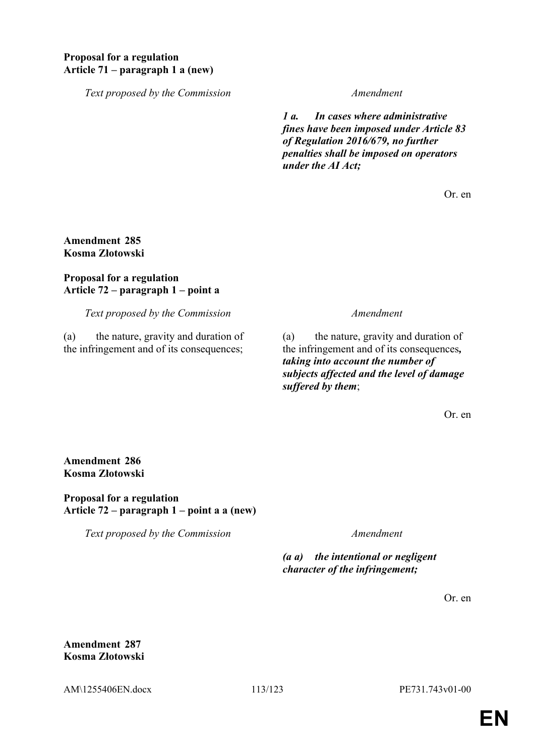## **Proposal for a regulation Article 71 – paragraph 1 a (new)**

*Text proposed by the Commission Amendment*

*1 a. In cases where administrative fines have been imposed under Article 83 of Regulation 2016/679, no further penalties shall be imposed on operators under the AI Act;*

Or. en

### **Amendment 285 Kosma Złotowski**

## **Proposal for a regulation Article 72 – paragraph 1 – point a**

*Text proposed by the Commission Amendment*

(a) the nature, gravity and duration of the infringement and of its consequences;

(a) the nature, gravity and duration of the infringement and of its consequences*, taking into account the number of subjects affected and the level of damage suffered by them*;

Or. en

**Amendment 286 Kosma Złotowski**

**Proposal for a regulation Article 72 – paragraph 1 – point a a (new)**

*Text proposed by the Commission Amendment*

*(a a) the intentional or negligent character of the infringement;*

Or. en

**Amendment 287 Kosma Złotowski**

AM\1255406EN.docx 113/123 PE731.743v01-00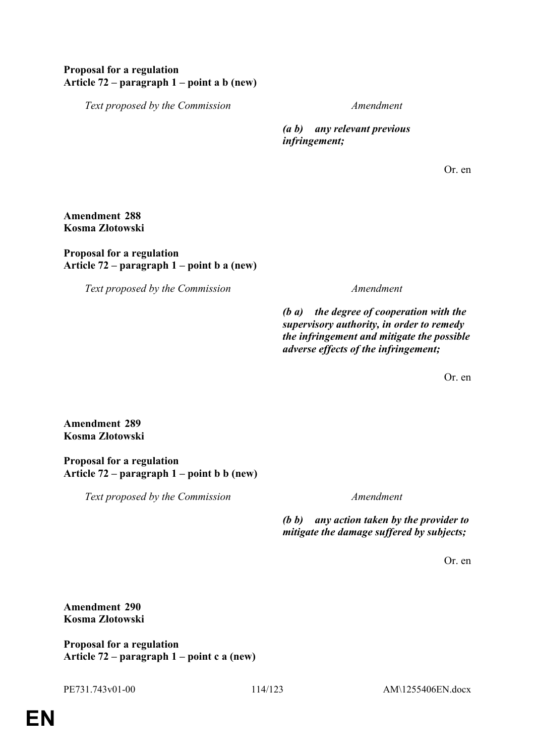## **Proposal for a regulation Article 72 – paragraph 1 – point a b (new)**

*Text proposed by the Commission Amendment*

*(a b) any relevant previous infringement;*

Or. en

## **Amendment 288 Kosma Złotowski**

### **Proposal for a regulation Article 72 – paragraph 1 – point b a (new)**

*Text proposed by the Commission Amendment*

*(b a) the degree of cooperation with the supervisory authority, in order to remedy the infringement and mitigate the possible adverse effects of the infringement;*

Or. en

**Amendment 289 Kosma Złotowski**

**Proposal for a regulation Article 72 – paragraph 1 – point b b (new)**

*Text proposed by the Commission Amendment*

*(b b) any action taken by the provider to mitigate the damage suffered by subjects;*

Or. en

**Amendment 290 Kosma Złotowski**

**Proposal for a regulation Article 72 – paragraph 1 – point c a (new)**

PE731.743v01-00 114/123 AM\1255406EN.docx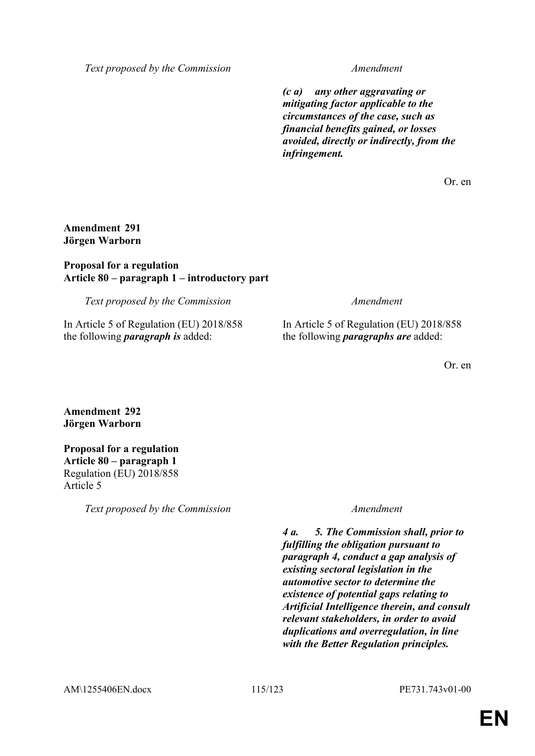*Text proposed by the Commission Amendment*

*(c a) any other aggravating or mitigating factor applicable to the circumstances of the case, such as financial benefits gained, or losses avoided, directly or indirectly, from the infringement.*

Or. en

## **Amendment 291 Jörgen Warborn**

## **Proposal for a regulation Article 80 – paragraph 1 – introductory part**

*Text proposed by the Commission Amendment*

In Article 5 of Regulation (EU) 2018/858 the following *paragraph is* added:

In Article 5 of Regulation (EU) 2018/858 the following *paragraphs are* added:

Or. en

**Amendment 292 Jörgen Warborn**

### **Proposal for a regulation Article 80 – paragraph 1** Regulation (EU) 2018/858 Article 5

*Text proposed by the Commission Amendment*

*4 a. 5. The Commission shall, prior to fulfilling the obligation pursuant to paragraph 4, conduct a gap analysis of existing sectoral legislation in the automotive sector to determine the existence of potential gaps relating to Artificial Intelligence therein, and consult relevant stakeholders, in order to avoid duplications and overregulation, in line with the Better Regulation principles.*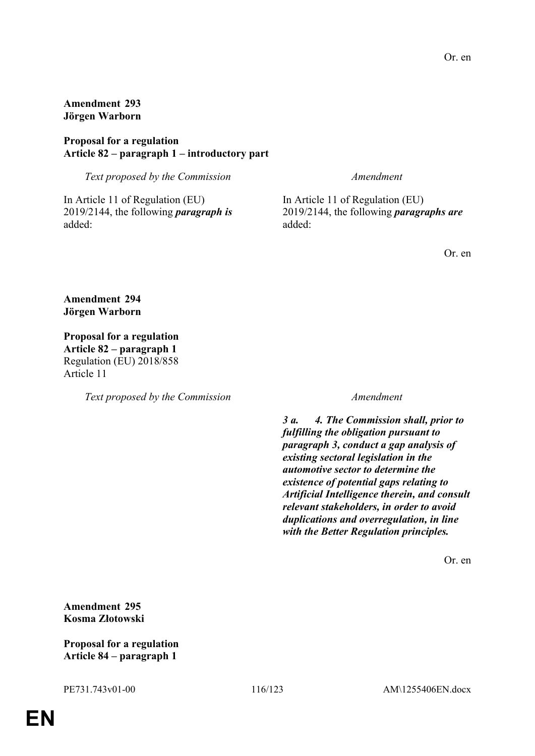**Amendment 293 Jörgen Warborn**

### **Proposal for a regulation Article 82 – paragraph 1 – introductory part**

*Text proposed by the Commission Amendment*

In Article 11 of Regulation (EU) 2019/2144, the following *paragraph is* added:

In Article 11 of Regulation (EU) 2019/2144, the following *paragraphs are* added:

Or. en

**Amendment 294 Jörgen Warborn**

**Proposal for a regulation Article 82 – paragraph 1** Regulation (EU) 2018/858 Article 11

*Text proposed by the Commission Amendment*

*3 a. 4. The Commission shall, prior to fulfilling the obligation pursuant to paragraph 3, conduct a gap analysis of existing sectoral legislation in the automotive sector to determine the existence of potential gaps relating to Artificial Intelligence therein, and consult relevant stakeholders, in order to avoid duplications and overregulation, in line with the Better Regulation principles.*

Or. en

**Amendment 295 Kosma Złotowski**

**Proposal for a regulation Article 84 – paragraph 1**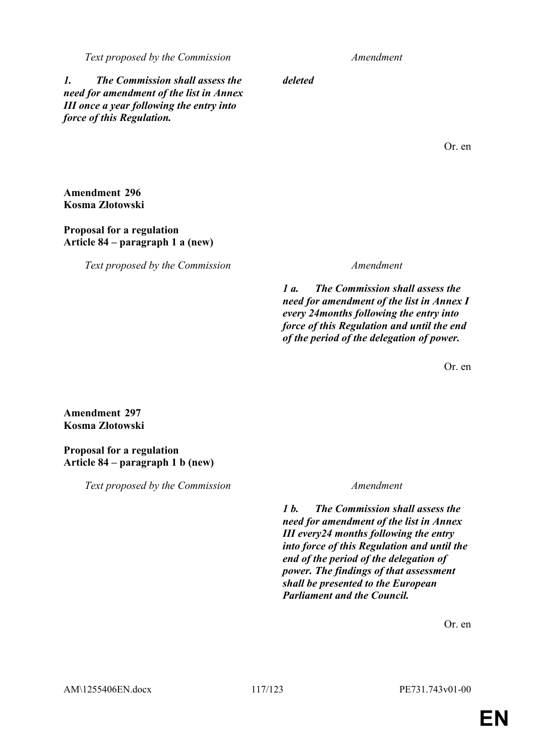#### *Text proposed by the Commission Amendment*

*deleted*

*1. The Commission shall assess the need for amendment of the list in Annex III once a year following the entry into force of this Regulation.*

Or. en

**Amendment 296 Kosma Złotowski**

**Proposal for a regulation Article 84 – paragraph 1 a (new)**

*Text proposed by the Commission Amendment*

*1 a. The Commission shall assess the need for amendment of the list in Annex I every 24months following the entry into force of this Regulation and until the end of the period of the delegation of power.*

Or. en

**Amendment 297 Kosma Złotowski**

**Proposal for a regulation Article 84 – paragraph 1 b (new)**

*Text proposed by the Commission Amendment*

*1 b. The Commission shall assess the need for amendment of the list in Annex III every24 months following the entry into force of this Regulation and until the end of the period of the delegation of power. The findings of that assessment shall be presented to the European Parliament and the Council.*

Or. en

AM\1255406EN.docx 117/123 PE731.743v01-00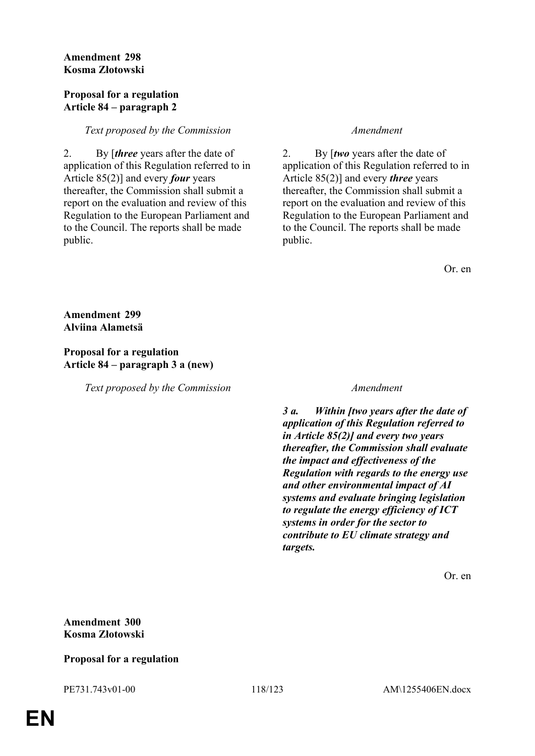### **Amendment 298 Kosma Złotowski**

#### **Proposal for a regulation Article 84 – paragraph 2**

## *Text proposed by the Commission Amendment*

2. By [*three* years after the date of application of this Regulation referred to in Article 85(2)] and every *four* years thereafter, the Commission shall submit a report on the evaluation and review of this Regulation to the European Parliament and to the Council. The reports shall be made public.

2. By [*two* years after the date of application of this Regulation referred to in Article 85(2)] and every *three* years thereafter, the Commission shall submit a report on the evaluation and review of this Regulation to the European Parliament and to the Council. The reports shall be made public.

Or. en

**Amendment 299 Alviina Alametsä**

## **Proposal for a regulation Article 84 – paragraph 3 a (new)**

*Text proposed by the Commission Amendment*

*3 a. Within [two years after the date of application of this Regulation referred to in Article 85(2)] and every two years thereafter, the Commission shall evaluate the impact and effectiveness of the Regulation with regards to the energy use and other environmental impact of AI systems and evaluate bringing legislation to regulate the energy efficiency of ICT systems in order for the sector to contribute to EU climate strategy and targets.*

Or. en

# **Amendment 300 Kosma Złotowski**

# **Proposal for a regulation**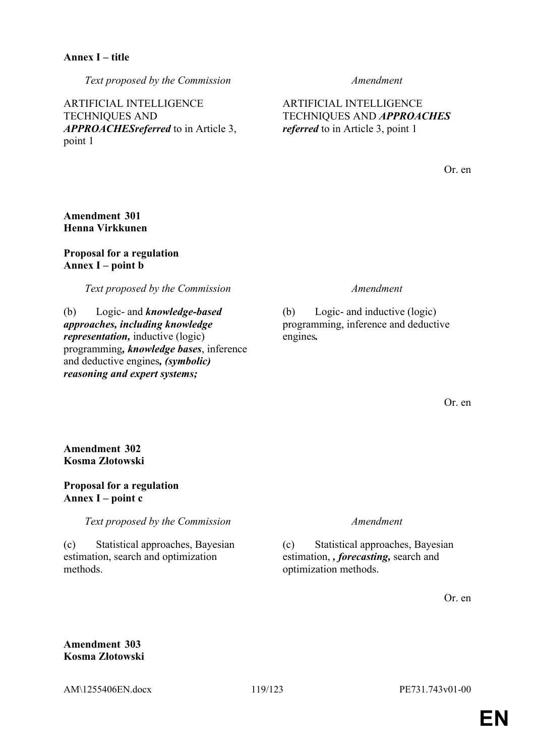*Text proposed by the Commission Amendment*

ARTIFICIAL INTELLIGENCE TECHNIQUES AND *APPROACHESreferred* to in Article 3, point 1

ARTIFICIAL INTELLIGENCE TECHNIQUES AND *APPROACHES referred* to in Article 3, point 1

Or. en

## **Amendment 301 Henna Virkkunen**

## **Proposal for a regulation Annex I – point b**

*Text proposed by the Commission Amendment*

(b) Logic- and *knowledge-based approaches, including knowledge representation,* inductive (logic) programming*, knowledge bases*, inference and deductive engines*, (symbolic) reasoning and expert systems;*

(b) Logic- and inductive (logic) programming, inference and deductive engines*.*

Or. en

**Amendment 302 Kosma Złotowski**

## **Proposal for a regulation Annex I – point c**

*Text proposed by the Commission Amendment*

(c) Statistical approaches, Bayesian estimation, search and optimization methods.

(c) Statistical approaches, Bayesian estimation, *, forecasting,* search and optimization methods.

Or. en

## **Amendment 303 Kosma Złotowski**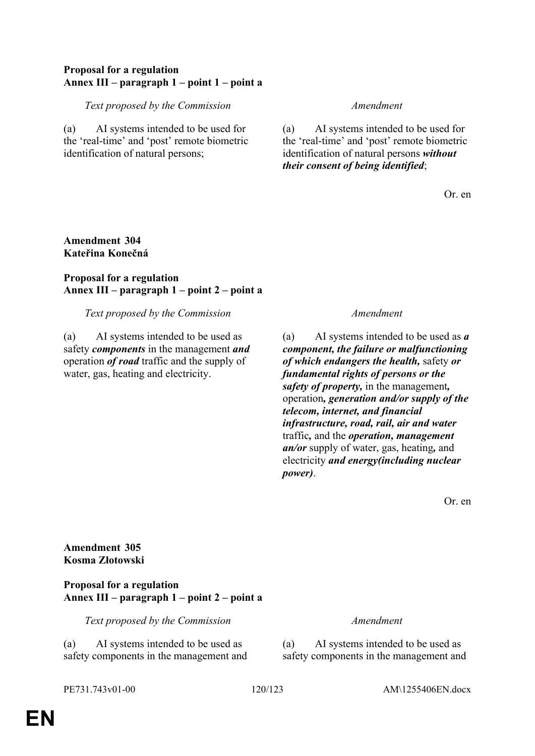## **Proposal for a regulation Annex III – paragraph 1 – point 1 – point a**

### *Text proposed by the Commission Amendment*

(a) AI systems intended to be used for the 'real-time' and 'post' remote biometric identification of natural persons;

(a) AI systems intended to be used for the 'real-time' and 'post' remote biometric identification of natural persons *without their consent of being identified*;

Or. en

## **Amendment 304 Kateřina Konečná**

## **Proposal for a regulation Annex III – paragraph 1 – point 2 – point a**

*Text proposed by the Commission Amendment*

(a) AI systems intended to be used as safety *components* in the management *and* operation *of road* traffic and the supply of water, gas, heating and electricity.

(a) AI systems intended to be used as *a component, the failure or malfunctioning of which endangers the health,* safety *or fundamental rights of persons or the safety of property,* in the management*,* operation*, generation and/or supply of the telecom, internet, and financial infrastructure, road, rail, air and water* traffic*,* and the *operation, management an/or* supply of water, gas, heating*,* and electricity *and energy(including nuclear power)*.

Or. en

**Amendment 305 Kosma Złotowski**

### **Proposal for a regulation Annex III – paragraph 1 – point 2 – point a**

*Text proposed by the Commission Amendment*

(a) AI systems intended to be used as safety components in the management and

(a) AI systems intended to be used as safety components in the management and

PE731.743v01-00 120/123 AM\1255406EN.docx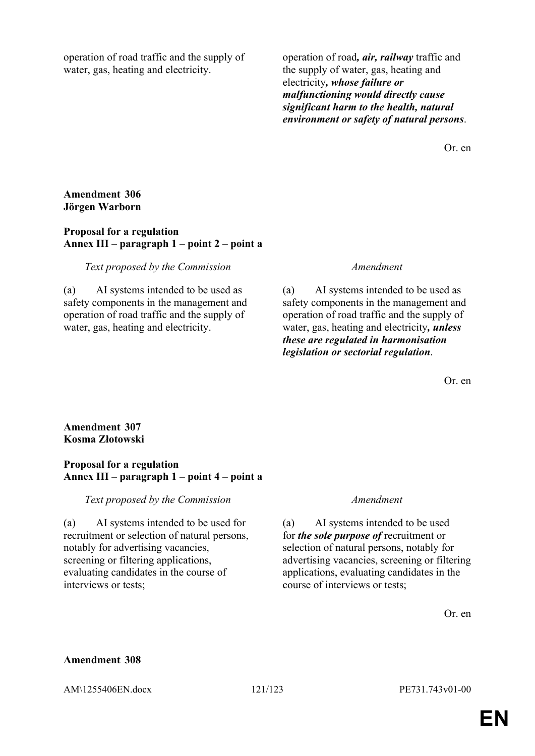operation of road traffic and the supply of water, gas, heating and electricity.

operation of road*, air, railway* traffic and the supply of water, gas, heating and electricity*, whose failure or malfunctioning would directly cause significant harm to the health, natural environment or safety of natural persons*.

Or. en

### **Amendment 306 Jörgen Warborn**

### **Proposal for a regulation Annex III – paragraph 1 – point 2 – point a**

### *Text proposed by the Commission Amendment*

(a) AI systems intended to be used as safety components in the management and operation of road traffic and the supply of water, gas, heating and electricity.

(a) AI systems intended to be used as safety components in the management and operation of road traffic and the supply of water, gas, heating and electricity*, unless these are regulated in harmonisation legislation or sectorial regulation*.

Or. en

## **Amendment 307 Kosma Złotowski**

## **Proposal for a regulation Annex III – paragraph 1 – point 4 – point a**

*Text proposed by the Commission Amendment*

(a) AI systems intended to be used for recruitment or selection of natural persons, notably for advertising vacancies, screening or filtering applications, evaluating candidates in the course of interviews or tests;

(a) AI systems intended to be used for *the sole purpose of* recruitment or selection of natural persons, notably for advertising vacancies, screening or filtering applications, evaluating candidates in the course of interviews or tests;

Or. en

### **Amendment 308**

AM\1255406EN.docx 121/123 PE731.743v01-00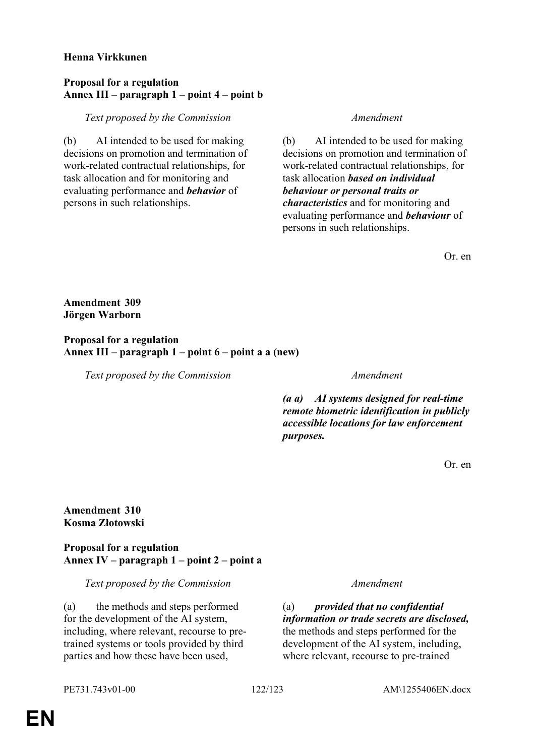### **Henna Virkkunen**

## **Proposal for a regulation Annex III – paragraph 1 – point 4 – point b**

*Text proposed by the Commission Amendment*

(b) AI intended to be used for making decisions on promotion and termination of work-related contractual relationships, for task allocation and for monitoring and evaluating performance and *behavior* of persons in such relationships.

(b) AI intended to be used for making decisions on promotion and termination of work-related contractual relationships, for task allocation *based on individual behaviour or personal traits or characteristics* and for monitoring and evaluating performance and *behaviour* of persons in such relationships.

Or. en

**Amendment 309 Jörgen Warborn**

**Proposal for a regulation Annex III – paragraph 1 – point 6 – point a a (new)**

*Text proposed by the Commission Amendment*

*(a a) AI systems designed for real-time remote biometric identification in publicly accessible locations for law enforcement purposes.*

Or. en

## **Amendment 310 Kosma Złotowski**

**Proposal for a regulation Annex IV – paragraph 1 – point 2 – point a**

*Text proposed by the Commission Amendment*

(a) the methods and steps performed for the development of the AI system, including, where relevant, recourse to pretrained systems or tools provided by third parties and how these have been used,

(a) *provided that no confidential information or trade secrets are disclosed,* the methods and steps performed for the development of the AI system, including, where relevant, recourse to pre-trained